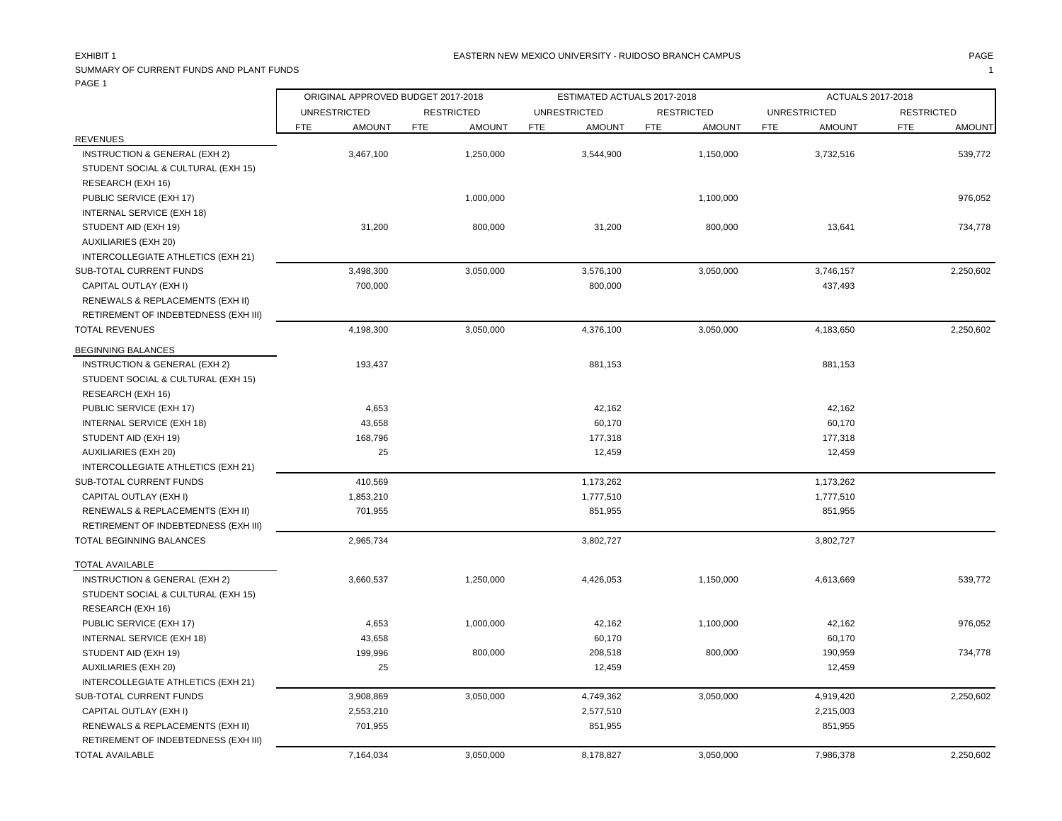### EASTERN NEW MEXICO UNIVERSITY - RUIDOSO BRANCH CAMPUS AND THE MAGE PAGE AND PAGE AND PAGE AND PAGE AND THE MAGE

SUMMARY OF CURRENT FUNDS AND PLANT FUNDS **1** PAGE 1 Ē

|                                      | ORIGINAL APPROVED BUDGET 2017-2018 |                             | ESTIMATED ACTUALS 2017-2018 |                      |                             | ACTUALS 2017-2018           |
|--------------------------------------|------------------------------------|-----------------------------|-----------------------------|----------------------|-----------------------------|-----------------------------|
|                                      | <b>UNRESTRICTED</b>                | <b>RESTRICTED</b>           | <b>UNRESTRICTED</b>         | <b>RESTRICTED</b>    | <b>UNRESTRICTED</b>         | <b>RESTRICTED</b>           |
|                                      | FTE<br><b>AMOUNT</b>               | <b>FTE</b><br><b>AMOUNT</b> | <b>FTE</b><br><b>AMOUNT</b> | FTE<br><b>AMOUNT</b> | <b>FTE</b><br><b>AMOUNT</b> | <b>FTE</b><br><b>AMOUNT</b> |
| <b>REVENUES</b>                      |                                    |                             |                             |                      |                             |                             |
| INSTRUCTION & GENERAL (EXH 2)        | 3,467,100                          | 1,250,000                   | 3,544,900                   | 1,150,000            | 3,732,516                   | 539,772                     |
| STUDENT SOCIAL & CULTURAL (EXH 15)   |                                    |                             |                             |                      |                             |                             |
| RESEARCH (EXH 16)                    |                                    |                             |                             |                      |                             |                             |
| PUBLIC SERVICE (EXH 17)              |                                    | 1,000,000                   |                             | 1,100,000            |                             | 976,052                     |
| INTERNAL SERVICE (EXH 18)            |                                    |                             |                             |                      |                             |                             |
| STUDENT AID (EXH 19)                 | 31,200                             | 800,000                     | 31,200                      | 800,000              | 13,641                      | 734,778                     |
| <b>AUXILIARIES (EXH 20)</b>          |                                    |                             |                             |                      |                             |                             |
| INTERCOLLEGIATE ATHLETICS (EXH 21)   |                                    |                             |                             |                      |                             |                             |
| SUB-TOTAL CURRENT FUNDS              | 3,498,300                          | 3,050,000                   | 3,576,100                   | 3,050,000            | 3,746,157                   | 2,250,602                   |
| CAPITAL OUTLAY (EXH I)               | 700,000                            |                             | 800,000                     |                      | 437,493                     |                             |
| RENEWALS & REPLACEMENTS (EXH II)     |                                    |                             |                             |                      |                             |                             |
| RETIREMENT OF INDEBTEDNESS (EXH III) |                                    |                             |                             |                      |                             |                             |
| <b>TOTAL REVENUES</b>                | 4,198,300                          | 3,050,000                   | 4,376,100                   | 3,050,000            | 4,183,650                   | 2,250,602                   |
| <b>BEGINNING BALANCES</b>            |                                    |                             |                             |                      |                             |                             |
| INSTRUCTION & GENERAL (EXH 2)        | 193,437                            |                             | 881,153                     |                      | 881,153                     |                             |
| STUDENT SOCIAL & CULTURAL (EXH 15)   |                                    |                             |                             |                      |                             |                             |
| RESEARCH (EXH 16)                    |                                    |                             |                             |                      |                             |                             |
| PUBLIC SERVICE (EXH 17)              | 4,653                              |                             | 42,162                      |                      | 42,162                      |                             |
| INTERNAL SERVICE (EXH 18)            | 43,658                             |                             | 60,170                      |                      | 60,170                      |                             |
| STUDENT AID (EXH 19)                 | 168,796                            |                             | 177,318                     |                      | 177,318                     |                             |
| AUXILIARIES (EXH 20)                 | 25                                 |                             | 12,459                      |                      | 12,459                      |                             |
| INTERCOLLEGIATE ATHLETICS (EXH 21)   |                                    |                             |                             |                      |                             |                             |
| SUB-TOTAL CURRENT FUNDS              | 410,569                            |                             | 1,173,262                   |                      | 1,173,262                   |                             |
| CAPITAL OUTLAY (EXH I)               | 1,853,210                          |                             | 1,777,510                   |                      | 1,777,510                   |                             |
| RENEWALS & REPLACEMENTS (EXH II)     | 701,955                            |                             | 851,955                     |                      | 851,955                     |                             |
| RETIREMENT OF INDEBTEDNESS (EXH III) |                                    |                             |                             |                      |                             |                             |
| TOTAL BEGINNING BALANCES             | 2,965,734                          |                             | 3,802,727                   |                      | 3,802,727                   |                             |
| TOTAL AVAILABLE                      |                                    |                             |                             |                      |                             |                             |
| INSTRUCTION & GENERAL (EXH 2)        | 3,660,537                          | 1,250,000                   | 4,426,053                   | 1,150,000            | 4,613,669                   | 539,772                     |
| STUDENT SOCIAL & CULTURAL (EXH 15)   |                                    |                             |                             |                      |                             |                             |
| RESEARCH (EXH 16)                    |                                    |                             |                             |                      |                             |                             |
| PUBLIC SERVICE (EXH 17)              | 4,653                              | 1,000,000                   | 42,162                      | 1,100,000            | 42,162                      | 976,052                     |
| INTERNAL SERVICE (EXH 18)            | 43,658                             |                             | 60,170                      |                      | 60,170                      |                             |
| STUDENT AID (EXH 19)                 | 199,996                            | 800,000                     | 208,518                     | 800,000              | 190,959                     |                             |
|                                      |                                    |                             |                             |                      |                             | 734,778                     |
| <b>AUXILIARIES (EXH 20)</b>          | 25                                 |                             | 12,459                      |                      | 12,459                      |                             |
| INTERCOLLEGIATE ATHLETICS (EXH 21)   |                                    |                             |                             |                      |                             |                             |
| SUB-TOTAL CURRENT FUNDS              | 3,908,869                          | 3,050,000                   | 4,749,362                   | 3,050,000            | 4,919,420                   | 2,250,602                   |
| CAPITAL OUTLAY (EXH I)               | 2,553,210                          |                             | 2,577,510                   |                      | 2,215,003                   |                             |
| RENEWALS & REPLACEMENTS (EXH II)     | 701,955                            |                             | 851,955                     |                      | 851,955                     |                             |
| RETIREMENT OF INDEBTEDNESS (EXH III) |                                    |                             |                             |                      |                             |                             |
| <b>TOTAL AVAILABLE</b>               | 7,164,034                          | 3,050,000                   | 8,178,827                   | 3,050,000            | 7,986,378                   | 2,250,602                   |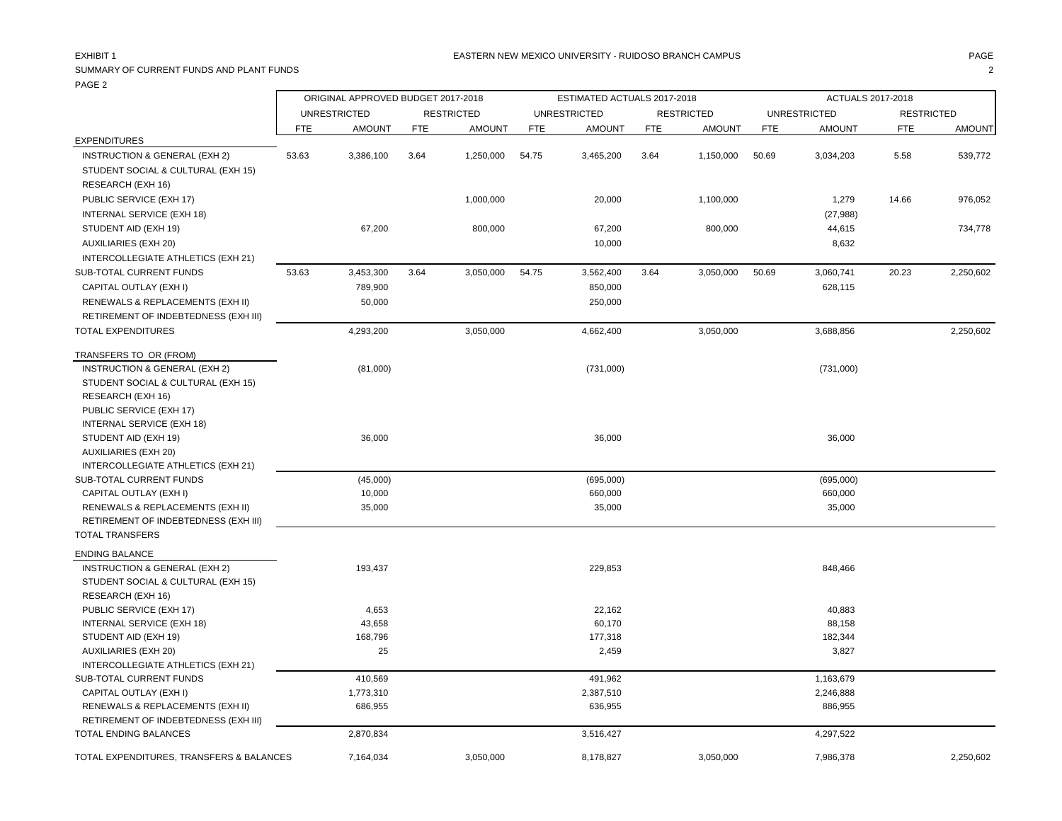### EASTERN NEW MEXICO UNIVERSITY - RUIDOSO BRANCH CAMPUS AND THE MAGE PAGE AND PAGE AND PAGE AND PAGE AND THE MAGE

## SUMMARY OF CURRENT FUNDS AND PLANT FUNDS 2 PAGE 2 r.

|                                          | ORIGINAL APPROVED BUDGET 2017-2018 |                     |            |                   | ESTIMATED ACTUALS 2017-2018 |                     |            |                   | ACTUALS 2017-2018 |                     |                   |               |
|------------------------------------------|------------------------------------|---------------------|------------|-------------------|-----------------------------|---------------------|------------|-------------------|-------------------|---------------------|-------------------|---------------|
|                                          |                                    | <b>UNRESTRICTED</b> |            | <b>RESTRICTED</b> |                             | <b>UNRESTRICTED</b> |            | <b>RESTRICTED</b> |                   | <b>UNRESTRICTED</b> | <b>RESTRICTED</b> |               |
|                                          | <b>FTE</b>                         | <b>AMOUNT</b>       | <b>FTE</b> | <b>AMOUNT</b>     | <b>FTE</b>                  | <b>AMOUNT</b>       | <b>FTE</b> | <b>AMOUNT</b>     | FTE               | <b>AMOUNT</b>       | <b>FTE</b>        | <b>AMOUNT</b> |
| <b>EXPENDITURES</b>                      |                                    |                     |            |                   |                             |                     |            |                   |                   |                     |                   |               |
| INSTRUCTION & GENERAL (EXH 2)            | 53.63                              | 3,386,100           | 3.64       | 1,250,000         | 54.75                       | 3,465,200           | 3.64       | 1,150,000         | 50.69             | 3,034,203           | 5.58              | 539,772       |
| STUDENT SOCIAL & CULTURAL (EXH 15)       |                                    |                     |            |                   |                             |                     |            |                   |                   |                     |                   |               |
| RESEARCH (EXH 16)                        |                                    |                     |            |                   |                             |                     |            |                   |                   |                     |                   |               |
| PUBLIC SERVICE (EXH 17)                  |                                    |                     |            | 1,000,000         |                             | 20,000              |            | 1,100,000         |                   | 1,279               | 14.66             | 976,052       |
| <b>INTERNAL SERVICE (EXH 18)</b>         |                                    |                     |            |                   |                             |                     |            |                   |                   | (27, 988)           |                   |               |
| STUDENT AID (EXH 19)                     |                                    | 67,200              |            | 800,000           |                             | 67,200              |            | 800,000           |                   | 44,615              |                   | 734,778       |
| <b>AUXILIARIES (EXH 20)</b>              |                                    |                     |            |                   |                             | 10,000              |            |                   |                   | 8,632               |                   |               |
| INTERCOLLEGIATE ATHLETICS (EXH 21)       |                                    |                     |            |                   |                             |                     |            |                   |                   |                     |                   |               |
| SUB-TOTAL CURRENT FUNDS                  | 53.63                              | 3,453,300           | 3.64       | 3,050,000         | 54.75                       | 3,562,400           | 3.64       | 3,050,000         | 50.69             | 3,060,741           | 20.23             | 2,250,602     |
| CAPITAL OUTLAY (EXH I)                   |                                    | 789,900             |            |                   |                             | 850,000             |            |                   |                   | 628,115             |                   |               |
| RENEWALS & REPLACEMENTS (EXH II)         |                                    | 50,000              |            |                   |                             | 250,000             |            |                   |                   |                     |                   |               |
| RETIREMENT OF INDEBTEDNESS (EXH III)     |                                    |                     |            |                   |                             |                     |            |                   |                   |                     |                   |               |
| <b>TOTAL EXPENDITURES</b>                |                                    | 4,293,200           |            | 3,050,000         |                             | 4,662,400           |            | 3,050,000         |                   | 3,688,856           |                   | 2,250,602     |
|                                          |                                    |                     |            |                   |                             |                     |            |                   |                   |                     |                   |               |
| TRANSFERS TO OR (FROM)                   |                                    |                     |            |                   |                             |                     |            |                   |                   |                     |                   |               |
| INSTRUCTION & GENERAL (EXH 2)            |                                    | (81,000)            |            |                   |                             | (731,000)           |            |                   |                   | (731,000)           |                   |               |
| STUDENT SOCIAL & CULTURAL (EXH 15)       |                                    |                     |            |                   |                             |                     |            |                   |                   |                     |                   |               |
| RESEARCH (EXH 16)                        |                                    |                     |            |                   |                             |                     |            |                   |                   |                     |                   |               |
| PUBLIC SERVICE (EXH 17)                  |                                    |                     |            |                   |                             |                     |            |                   |                   |                     |                   |               |
| INTERNAL SERVICE (EXH 18)                |                                    |                     |            |                   |                             |                     |            |                   |                   |                     |                   |               |
| STUDENT AID (EXH 19)                     |                                    | 36,000              |            |                   |                             | 36,000              |            |                   |                   | 36,000              |                   |               |
| AUXILIARIES (EXH 20)                     |                                    |                     |            |                   |                             |                     |            |                   |                   |                     |                   |               |
| INTERCOLLEGIATE ATHLETICS (EXH 21)       |                                    |                     |            |                   |                             |                     |            |                   |                   |                     |                   |               |
| SUB-TOTAL CURRENT FUNDS                  |                                    | (45,000)            |            |                   |                             | (695,000)           |            |                   |                   | (695,000)           |                   |               |
| CAPITAL OUTLAY (EXH I)                   |                                    | 10,000              |            |                   |                             | 660,000             |            |                   |                   | 660,000             |                   |               |
| RENEWALS & REPLACEMENTS (EXH II)         |                                    | 35,000              |            |                   |                             | 35,000              |            |                   |                   | 35,000              |                   |               |
| RETIREMENT OF INDEBTEDNESS (EXH III)     |                                    |                     |            |                   |                             |                     |            |                   |                   |                     |                   |               |
| <b>TOTAL TRANSFERS</b>                   |                                    |                     |            |                   |                             |                     |            |                   |                   |                     |                   |               |
| <b>ENDING BALANCE</b>                    |                                    |                     |            |                   |                             |                     |            |                   |                   |                     |                   |               |
| <b>INSTRUCTION &amp; GENERAL (EXH 2)</b> |                                    | 193,437             |            |                   |                             | 229,853             |            |                   |                   | 848,466             |                   |               |
| STUDENT SOCIAL & CULTURAL (EXH 15)       |                                    |                     |            |                   |                             |                     |            |                   |                   |                     |                   |               |
| RESEARCH (EXH 16)                        |                                    |                     |            |                   |                             |                     |            |                   |                   |                     |                   |               |
| PUBLIC SERVICE (EXH 17)                  |                                    | 4,653               |            |                   |                             | 22,162              |            |                   |                   | 40,883              |                   |               |
| INTERNAL SERVICE (EXH 18)                |                                    | 43,658              |            |                   |                             | 60,170              |            |                   |                   | 88,158              |                   |               |
| STUDENT AID (EXH 19)                     |                                    | 168,796             |            |                   |                             | 177,318             |            |                   |                   | 182,344             |                   |               |
| <b>AUXILIARIES (EXH 20)</b>              |                                    | 25                  |            |                   |                             | 2,459               |            |                   |                   | 3,827               |                   |               |
| INTERCOLLEGIATE ATHLETICS (EXH 21)       |                                    |                     |            |                   |                             |                     |            |                   |                   |                     |                   |               |
| SUB-TOTAL CURRENT FUNDS                  |                                    | 410,569             |            |                   |                             | 491,962             |            |                   |                   | 1,163,679           |                   |               |
| CAPITAL OUTLAY (EXH I)                   |                                    | 1,773,310           |            |                   |                             | 2,387,510           |            |                   |                   | 2,246,888           |                   |               |
| RENEWALS & REPLACEMENTS (EXH II)         |                                    | 686,955             |            |                   |                             | 636,955             |            |                   |                   | 886,955             |                   |               |
| RETIREMENT OF INDEBTEDNESS (EXH III)     |                                    |                     |            |                   |                             |                     |            |                   |                   |                     |                   |               |
| <b>TOTAL ENDING BALANCES</b>             |                                    | 2,870,834           |            |                   |                             | 3,516,427           |            |                   |                   | 4,297,522           |                   |               |
| TOTAL EXPENDITURES, TRANSFERS & BALANCES |                                    | 7,164,034           |            | 3,050,000         |                             | 8,178,827           |            | 3,050,000         |                   | 7,986,378           |                   | 2,250,602     |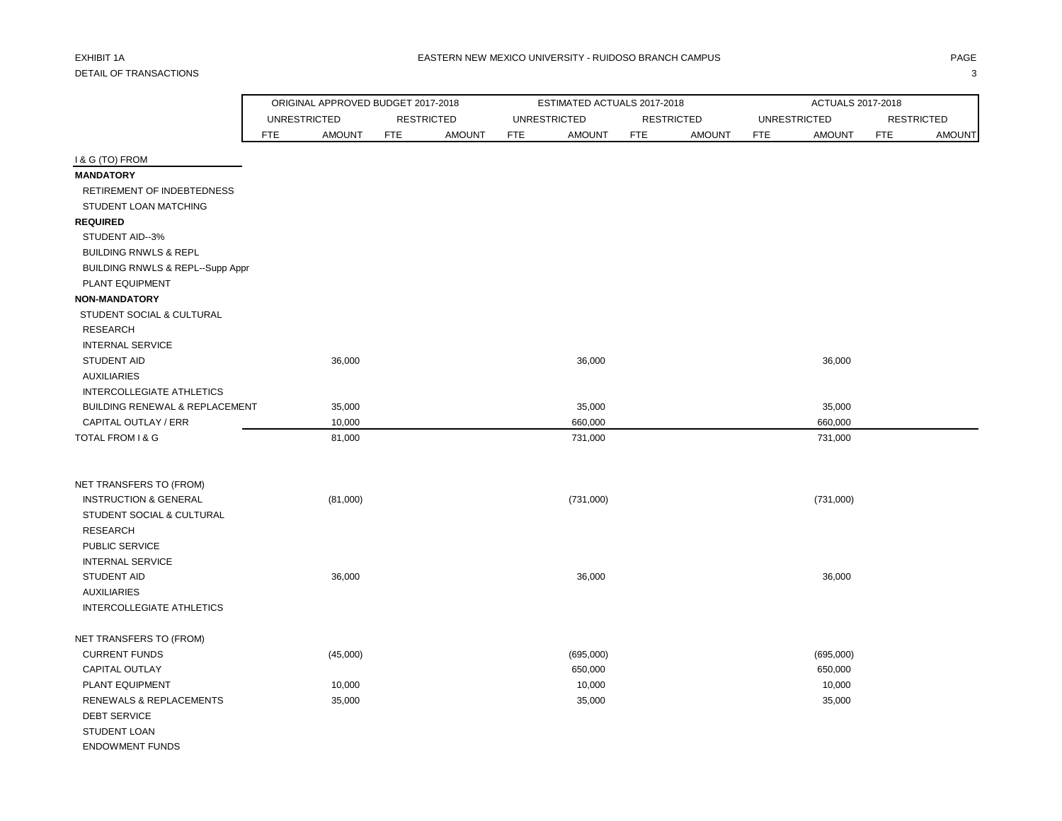|                                  | ORIGINAL APPROVED BUDGET 2017-2018 |               |            |                   |            | ESTIMATED ACTUALS 2017-2018 |            |                   |            | ACTUALS 2017-2018   |            |                   |
|----------------------------------|------------------------------------|---------------|------------|-------------------|------------|-----------------------------|------------|-------------------|------------|---------------------|------------|-------------------|
|                                  | <b>UNRESTRICTED</b>                |               |            | <b>RESTRICTED</b> |            | <b>UNRESTRICTED</b>         |            | <b>RESTRICTED</b> |            | <b>UNRESTRICTED</b> |            | <b>RESTRICTED</b> |
|                                  | FTE                                | <b>AMOUNT</b> | <b>FTE</b> | <b>AMOUNT</b>     | <b>FTE</b> | <b>AMOUNT</b>               | <b>FTE</b> | <b>AMOUNT</b>     | <b>FTE</b> | <b>AMOUNT</b>       | <b>FTE</b> | <b>AMOUNT</b>     |
| I & G (TO) FROM                  |                                    |               |            |                   |            |                             |            |                   |            |                     |            |                   |
| <b>MANDATORY</b>                 |                                    |               |            |                   |            |                             |            |                   |            |                     |            |                   |
| RETIREMENT OF INDEBTEDNESS       |                                    |               |            |                   |            |                             |            |                   |            |                     |            |                   |
| STUDENT LOAN MATCHING            |                                    |               |            |                   |            |                             |            |                   |            |                     |            |                   |
| <b>REQUIRED</b>                  |                                    |               |            |                   |            |                             |            |                   |            |                     |            |                   |
| STUDENT AID--3%                  |                                    |               |            |                   |            |                             |            |                   |            |                     |            |                   |
| <b>BUILDING RNWLS &amp; REPL</b> |                                    |               |            |                   |            |                             |            |                   |            |                     |            |                   |
| BUILDING RNWLS & REPL--Supp Appr |                                    |               |            |                   |            |                             |            |                   |            |                     |            |                   |
| PLANT EQUIPMENT                  |                                    |               |            |                   |            |                             |            |                   |            |                     |            |                   |
| <b>NON-MANDATORY</b>             |                                    |               |            |                   |            |                             |            |                   |            |                     |            |                   |
| STUDENT SOCIAL & CULTURAL        |                                    |               |            |                   |            |                             |            |                   |            |                     |            |                   |
| <b>RESEARCH</b>                  |                                    |               |            |                   |            |                             |            |                   |            |                     |            |                   |
| <b>INTERNAL SERVICE</b>          |                                    |               |            |                   |            |                             |            |                   |            |                     |            |                   |
| <b>STUDENT AID</b>               |                                    | 36,000        |            |                   |            | 36,000                      |            |                   |            | 36,000              |            |                   |
| <b>AUXILIARIES</b>               |                                    |               |            |                   |            |                             |            |                   |            |                     |            |                   |
| INTERCOLLEGIATE ATHLETICS        |                                    |               |            |                   |            |                             |            |                   |            |                     |            |                   |
| BUILDING RENEWAL & REPLACEMENT   |                                    | 35,000        |            |                   |            | 35,000                      |            |                   |            | 35,000              |            |                   |
| CAPITAL OUTLAY / ERR             |                                    | 10,000        |            |                   |            | 660,000                     |            |                   |            | 660,000             |            |                   |
| TOTAL FROM I & G                 |                                    | 81,000        |            |                   |            | 731,000                     |            |                   |            | 731,000             |            |                   |
| NET TRANSFERS TO (FROM)          |                                    |               |            |                   |            |                             |            |                   |            |                     |            |                   |
| <b>INSTRUCTION &amp; GENERAL</b> |                                    | (81,000)      |            |                   |            | (731,000)                   |            |                   |            | (731,000)           |            |                   |
| STUDENT SOCIAL & CULTURAL        |                                    |               |            |                   |            |                             |            |                   |            |                     |            |                   |
| <b>RESEARCH</b>                  |                                    |               |            |                   |            |                             |            |                   |            |                     |            |                   |
| PUBLIC SERVICE                   |                                    |               |            |                   |            |                             |            |                   |            |                     |            |                   |
| <b>INTERNAL SERVICE</b>          |                                    |               |            |                   |            |                             |            |                   |            |                     |            |                   |
| STUDENT AID                      |                                    | 36,000        |            |                   |            | 36,000                      |            |                   |            | 36,000              |            |                   |
| <b>AUXILIARIES</b>               |                                    |               |            |                   |            |                             |            |                   |            |                     |            |                   |
| <b>INTERCOLLEGIATE ATHLETICS</b> |                                    |               |            |                   |            |                             |            |                   |            |                     |            |                   |
| NET TRANSFERS TO (FROM)          |                                    |               |            |                   |            |                             |            |                   |            |                     |            |                   |
| <b>CURRENT FUNDS</b>             |                                    | (45,000)      |            |                   |            | (695,000)                   |            |                   |            | (695,000)           |            |                   |
| CAPITAL OUTLAY                   |                                    |               |            |                   |            | 650,000                     |            |                   |            | 650,000             |            |                   |
| PLANT EQUIPMENT                  |                                    | 10,000        |            |                   |            | 10,000                      |            |                   |            | 10,000              |            |                   |
| RENEWALS & REPLACEMENTS          |                                    | 35,000        |            |                   |            | 35,000                      |            |                   |            | 35,000              |            |                   |
| <b>DEBT SERVICE</b>              |                                    |               |            |                   |            |                             |            |                   |            |                     |            |                   |
| STUDENT LOAN                     |                                    |               |            |                   |            |                             |            |                   |            |                     |            |                   |
| <b>ENDOWMENT FUNDS</b>           |                                    |               |            |                   |            |                             |            |                   |            |                     |            |                   |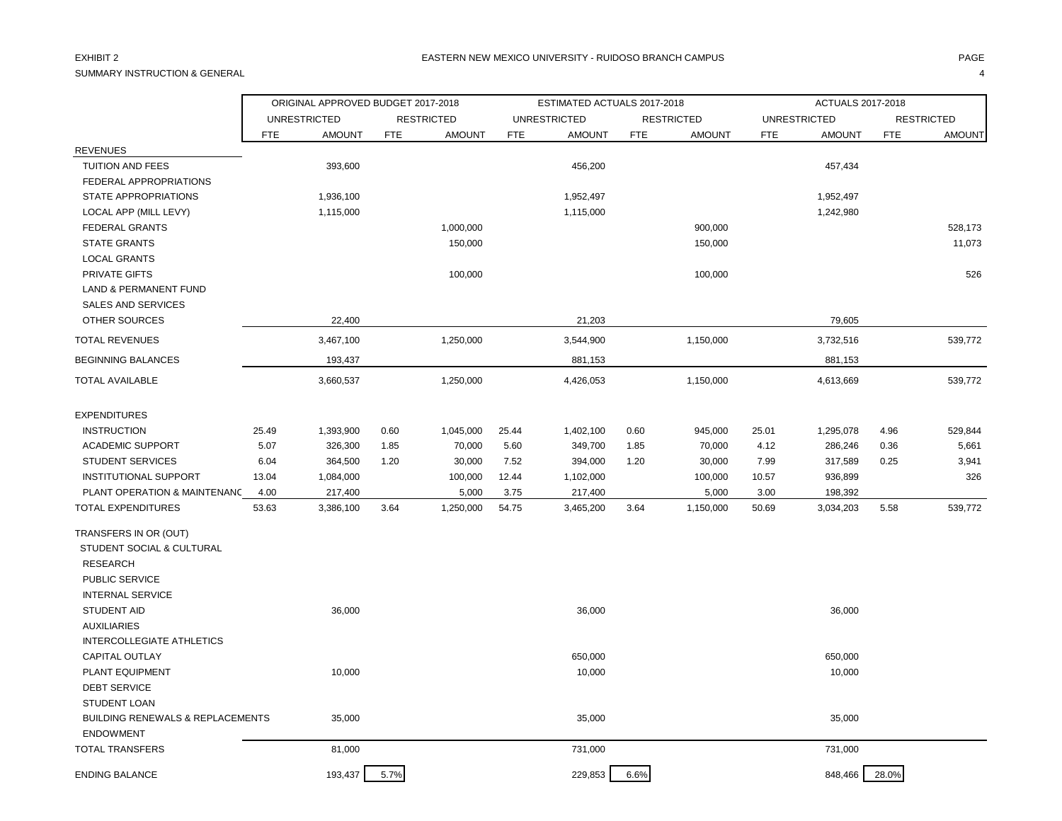SUMMARY INSTRUCTION & GENERAL 4

|                                                                 |            | ORIGINAL APPROVED BUDGET 2017-2018 |            |                   |            | ESTIMATED ACTUALS 2017-2018 |            |                   |            | ACTUALS 2017-2018   |            |                   |
|-----------------------------------------------------------------|------------|------------------------------------|------------|-------------------|------------|-----------------------------|------------|-------------------|------------|---------------------|------------|-------------------|
|                                                                 |            | <b>UNRESTRICTED</b>                |            | <b>RESTRICTED</b> |            | <b>UNRESTRICTED</b>         |            | <b>RESTRICTED</b> |            | <b>UNRESTRICTED</b> |            | <b>RESTRICTED</b> |
|                                                                 | <b>FTE</b> | <b>AMOUNT</b>                      | <b>FTE</b> | <b>AMOUNT</b>     | <b>FTE</b> | <b>AMOUNT</b>               | <b>FTE</b> | <b>AMOUNT</b>     | <b>FTE</b> | <b>AMOUNT</b>       | <b>FTE</b> | <b>AMOUNT</b>     |
| <b>REVENUES</b>                                                 |            |                                    |            |                   |            |                             |            |                   |            |                     |            |                   |
| TUITION AND FEES                                                |            | 393,600                            |            |                   |            | 456,200                     |            |                   |            | 457,434             |            |                   |
| FEDERAL APPROPRIATIONS                                          |            |                                    |            |                   |            |                             |            |                   |            |                     |            |                   |
| STATE APPROPRIATIONS                                            |            | 1,936,100                          |            |                   |            | 1,952,497                   |            |                   |            | 1,952,497           |            |                   |
| LOCAL APP (MILL LEVY)                                           |            | 1,115,000                          |            |                   |            | 1,115,000                   |            |                   |            | 1,242,980           |            |                   |
| <b>FEDERAL GRANTS</b>                                           |            |                                    |            | 1,000,000         |            |                             |            | 900,000           |            |                     |            | 528,173           |
| <b>STATE GRANTS</b>                                             |            |                                    |            | 150,000           |            |                             |            | 150,000           |            |                     |            | 11,073            |
| <b>LOCAL GRANTS</b>                                             |            |                                    |            |                   |            |                             |            |                   |            |                     |            |                   |
| PRIVATE GIFTS                                                   |            |                                    |            | 100,000           |            |                             |            | 100,000           |            |                     |            | 526               |
| <b>LAND &amp; PERMANENT FUND</b>                                |            |                                    |            |                   |            |                             |            |                   |            |                     |            |                   |
| <b>SALES AND SERVICES</b>                                       |            |                                    |            |                   |            |                             |            |                   |            |                     |            |                   |
| <b>OTHER SOURCES</b>                                            |            | 22,400                             |            |                   |            | 21,203                      |            |                   |            | 79,605              |            |                   |
| <b>TOTAL REVENUES</b>                                           |            | 3,467,100                          |            | 1,250,000         |            | 3,544,900                   |            | 1,150,000         |            | 3,732,516           |            | 539,772           |
| <b>BEGINNING BALANCES</b>                                       |            | 193,437                            |            |                   |            | 881,153                     |            |                   |            | 881,153             |            |                   |
| <b>TOTAL AVAILABLE</b>                                          |            | 3,660,537                          |            | 1,250,000         |            | 4,426,053                   |            | 1,150,000         |            | 4,613,669           |            | 539,772           |
| <b>EXPENDITURES</b>                                             |            |                                    |            |                   |            |                             |            |                   |            |                     |            |                   |
| <b>INSTRUCTION</b>                                              | 25.49      | 1,393,900                          | 0.60       | 1,045,000         | 25.44      | 1,402,100                   | 0.60       | 945,000           | 25.01      | 1,295,078           | 4.96       | 529,844           |
| <b>ACADEMIC SUPPORT</b>                                         | 5.07       | 326,300                            | 1.85       | 70,000            | 5.60       | 349,700                     | 1.85       | 70,000            | 4.12       | 286,246             | 0.36       | 5,661             |
| <b>STUDENT SERVICES</b>                                         | 6.04       | 364,500                            | 1.20       | 30,000            | 7.52       | 394,000                     | 1.20       | 30,000            | 7.99       | 317,589             | 0.25       | 3,941             |
| <b>INSTITUTIONAL SUPPORT</b>                                    | 13.04      | 1,084,000                          |            | 100,000           | 12.44      | 1,102,000                   |            | 100,000           | 10.57      | 936,899             |            | 326               |
| PLANT OPERATION & MAINTENANC                                    | 4.00       | 217,400                            |            | 5,000             | 3.75       | 217,400                     |            | 5,000             | 3.00       | 198,392             |            |                   |
| <b>TOTAL EXPENDITURES</b>                                       | 53.63      | 3,386,100                          | 3.64       | 1,250,000         | 54.75      | 3,465,200                   | 3.64       | 1,150,000         | 50.69      | 3,034,203           | 5.58       | 539,772           |
| TRANSFERS IN OR (OUT)                                           |            |                                    |            |                   |            |                             |            |                   |            |                     |            |                   |
| STUDENT SOCIAL & CULTURAL                                       |            |                                    |            |                   |            |                             |            |                   |            |                     |            |                   |
| <b>RESEARCH</b>                                                 |            |                                    |            |                   |            |                             |            |                   |            |                     |            |                   |
| PUBLIC SERVICE                                                  |            |                                    |            |                   |            |                             |            |                   |            |                     |            |                   |
| <b>INTERNAL SERVICE</b>                                         |            |                                    |            |                   |            |                             |            |                   |            |                     |            |                   |
| <b>STUDENT AID</b>                                              |            | 36,000                             |            |                   |            | 36,000                      |            |                   |            | 36,000              |            |                   |
| <b>AUXILIARIES</b>                                              |            |                                    |            |                   |            |                             |            |                   |            |                     |            |                   |
| <b>INTERCOLLEGIATE ATHLETICS</b>                                |            |                                    |            |                   |            |                             |            |                   |            |                     |            |                   |
| <b>CAPITAL OUTLAY</b>                                           |            |                                    |            |                   |            | 650,000                     |            |                   |            | 650,000             |            |                   |
| PLANT EQUIPMENT                                                 |            | 10,000                             |            |                   |            | 10,000                      |            |                   |            | 10,000              |            |                   |
| <b>DEBT SERVICE</b>                                             |            |                                    |            |                   |            |                             |            |                   |            |                     |            |                   |
| <b>STUDENT LOAN</b>                                             |            |                                    |            |                   |            |                             |            |                   |            |                     |            |                   |
| <b>BUILDING RENEWALS &amp; REPLACEMENTS</b><br><b>ENDOWMENT</b> |            | 35,000                             |            |                   |            | 35,000                      |            |                   |            | 35,000              |            |                   |
| <b>TOTAL TRANSFERS</b>                                          |            | 81,000                             |            |                   |            | 731,000                     |            |                   |            | 731,000             |            |                   |
| <b>ENDING BALANCE</b>                                           |            | 193,437                            | 5.7%       |                   |            | 229,853                     | 6.6%       |                   |            | 848,466             | 28.0%      |                   |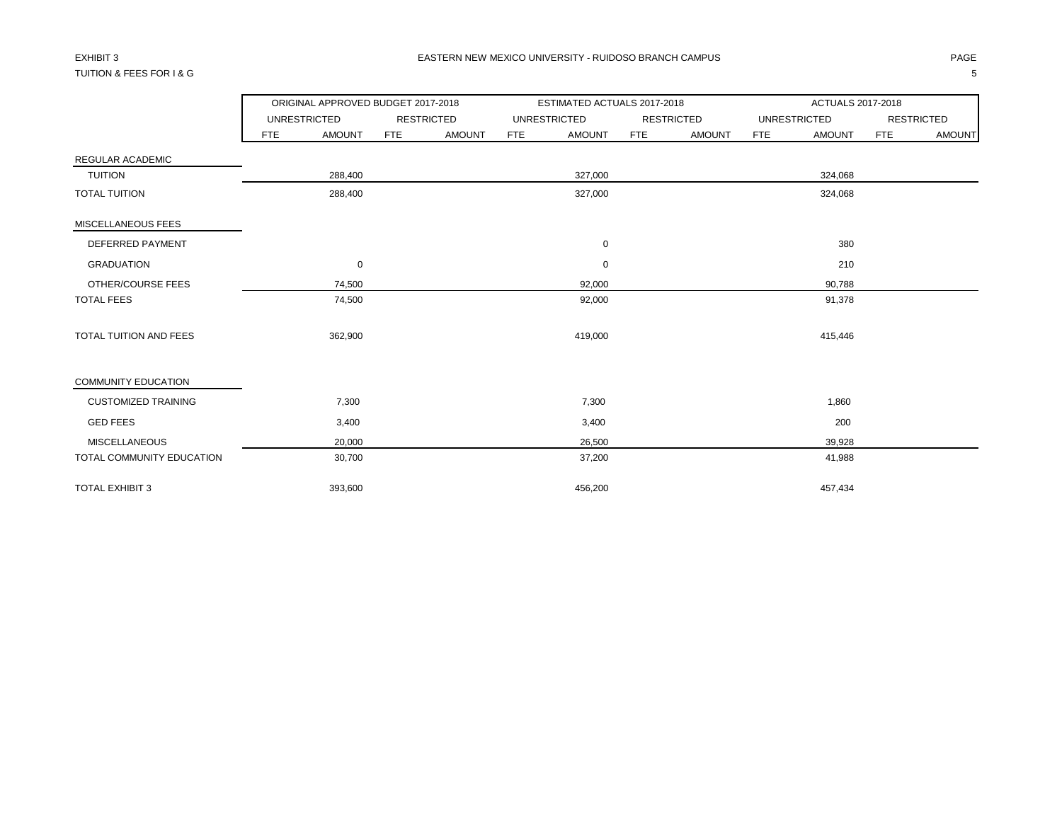## TUITION & FEES FOR I & G 5

|                               |     | ORIGINAL APPROVED BUDGET 2017-2018 |            |                   |            | ESTIMATED ACTUALS 2017-2018 |     |                   |            | ACTUALS 2017-2018   |     |                   |
|-------------------------------|-----|------------------------------------|------------|-------------------|------------|-----------------------------|-----|-------------------|------------|---------------------|-----|-------------------|
|                               |     | <b>UNRESTRICTED</b>                |            | <b>RESTRICTED</b> |            | <b>UNRESTRICTED</b>         |     | <b>RESTRICTED</b> |            | <b>UNRESTRICTED</b> |     | <b>RESTRICTED</b> |
|                               | FTE | <b>AMOUNT</b>                      | <b>FTE</b> | <b>AMOUNT</b>     | <b>FTE</b> | <b>AMOUNT</b>               | FTE | <b>AMOUNT</b>     | <b>FTE</b> | <b>AMOUNT</b>       | FTE | <b>AMOUNT</b>     |
| REGULAR ACADEMIC              |     |                                    |            |                   |            |                             |     |                   |            |                     |     |                   |
| <b>TUITION</b>                |     | 288,400                            |            |                   |            | 327,000                     |     |                   |            | 324,068             |     |                   |
| <b>TOTAL TUITION</b>          |     | 288,400                            |            |                   |            | 327,000                     |     |                   |            | 324,068             |     |                   |
| MISCELLANEOUS FEES            |     |                                    |            |                   |            |                             |     |                   |            |                     |     |                   |
| DEFERRED PAYMENT              |     |                                    |            |                   |            | 0                           |     |                   |            | 380                 |     |                   |
| <b>GRADUATION</b>             |     | $\mathbf 0$                        |            |                   |            | $\mathbf 0$                 |     |                   |            | 210                 |     |                   |
| OTHER/COURSE FEES             |     | 74,500                             |            |                   |            | 92,000                      |     |                   |            | 90,788              |     |                   |
| <b>TOTAL FEES</b>             |     | 74,500                             |            |                   |            | 92,000                      |     |                   |            | 91,378              |     |                   |
| <b>TOTAL TUITION AND FEES</b> |     | 362,900                            |            |                   |            | 419,000                     |     |                   |            | 415,446             |     |                   |
| <b>COMMUNITY EDUCATION</b>    |     |                                    |            |                   |            |                             |     |                   |            |                     |     |                   |
| <b>CUSTOMIZED TRAINING</b>    |     | 7,300                              |            |                   |            | 7,300                       |     |                   |            | 1,860               |     |                   |
| <b>GED FEES</b>               |     | 3,400                              |            |                   |            | 3,400                       |     |                   |            | 200                 |     |                   |
| <b>MISCELLANEOUS</b>          |     | 20,000                             |            |                   |            | 26,500                      |     |                   |            | 39,928              |     |                   |
| TOTAL COMMUNITY EDUCATION     |     | 30,700                             |            |                   |            | 37,200                      |     |                   |            | 41,988              |     |                   |
| <b>TOTAL EXHIBIT 3</b>        |     | 393,600                            |            |                   |            | 456,200                     |     |                   |            | 457,434             |     |                   |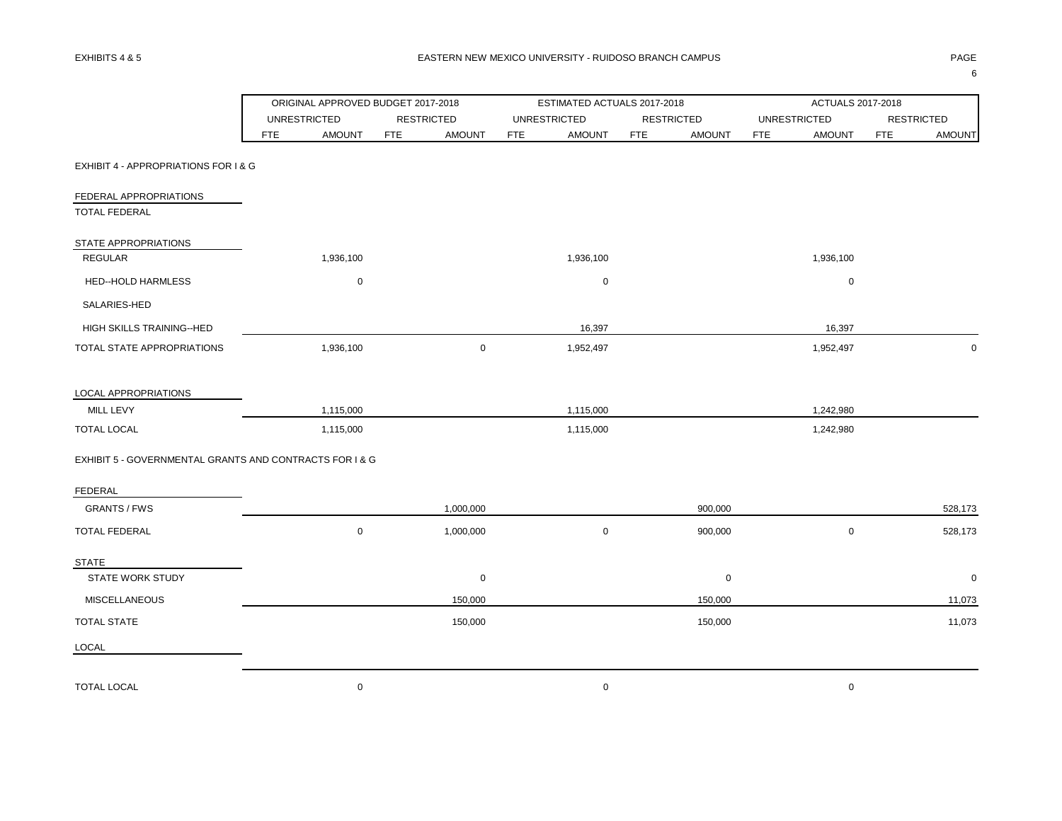÷,

Ñ,

 $\ddot{\phantom{a}}$ 

|                                                         |                     | ORIGINAL APPROVED BUDGET 2017-2018 |            |                   |            | ESTIMATED ACTUALS 2017-2018 |            |                   |            | ACTUALS 2017-2018   |                   |               |
|---------------------------------------------------------|---------------------|------------------------------------|------------|-------------------|------------|-----------------------------|------------|-------------------|------------|---------------------|-------------------|---------------|
|                                                         | <b>UNRESTRICTED</b> |                                    |            | <b>RESTRICTED</b> |            | <b>UNRESTRICTED</b>         |            | <b>RESTRICTED</b> |            | <b>UNRESTRICTED</b> | <b>RESTRICTED</b> |               |
|                                                         | <b>FTE</b>          | <b>AMOUNT</b>                      | <b>FTE</b> | <b>AMOUNT</b>     | <b>FTE</b> | <b>AMOUNT</b>               | <b>FTE</b> | <b>AMOUNT</b>     | <b>FTE</b> | <b>AMOUNT</b>       | <b>FTE</b>        | <b>AMOUNT</b> |
| EXHIBIT 4 - APPROPRIATIONS FOR I & G                    |                     |                                    |            |                   |            |                             |            |                   |            |                     |                   |               |
| FEDERAL APPROPRIATIONS                                  |                     |                                    |            |                   |            |                             |            |                   |            |                     |                   |               |
| <b>TOTAL FEDERAL</b>                                    |                     |                                    |            |                   |            |                             |            |                   |            |                     |                   |               |
| STATE APPROPRIATIONS                                    |                     |                                    |            |                   |            |                             |            |                   |            |                     |                   |               |
| REGULAR                                                 |                     | 1,936,100                          |            |                   |            | 1,936,100                   |            |                   |            | 1,936,100           |                   |               |
| <b>HED--HOLD HARMLESS</b>                               |                     | $\mathbf 0$                        |            |                   |            | $\mathbf 0$                 |            |                   |            | $\mathbf 0$         |                   |               |
| SALARIES-HED                                            |                     |                                    |            |                   |            |                             |            |                   |            |                     |                   |               |
| HIGH SKILLS TRAINING--HED                               |                     |                                    |            |                   |            | 16,397                      |            |                   |            | 16,397              |                   |               |
| TOTAL STATE APPROPRIATIONS                              |                     | 1,936,100                          |            | $\mathbf 0$       |            | 1,952,497                   |            |                   |            | 1,952,497           |                   | $\mathbf 0$   |
| LOCAL APPROPRIATIONS                                    |                     |                                    |            |                   |            |                             |            |                   |            |                     |                   |               |
| MILL LEVY                                               |                     | 1,115,000                          |            |                   |            | 1,115,000                   |            |                   |            | 1,242,980           |                   |               |
| <b>TOTAL LOCAL</b>                                      |                     | 1,115,000                          |            |                   |            | 1,115,000                   |            |                   |            | 1,242,980           |                   |               |
| EXHIBIT 5 - GOVERNMENTAL GRANTS AND CONTRACTS FOR I & G |                     |                                    |            |                   |            |                             |            |                   |            |                     |                   |               |
| FEDERAL                                                 |                     |                                    |            |                   |            |                             |            |                   |            |                     |                   |               |
| <b>GRANTS / FWS</b>                                     |                     |                                    |            | 1,000,000         |            |                             |            | 900,000           |            |                     |                   | 528,173       |
| <b>TOTAL FEDERAL</b>                                    |                     | $\mathbf 0$                        |            | 1,000,000         |            | $\mathbf 0$                 |            | 900,000           |            | $\mathbf 0$         |                   | 528,173       |
| STATE                                                   |                     |                                    |            |                   |            |                             |            |                   |            |                     |                   |               |
| <b>STATE WORK STUDY</b>                                 |                     |                                    |            | 0                 |            |                             |            | 0                 |            |                     |                   | $\mathbf 0$   |
| <b>MISCELLANEOUS</b>                                    |                     |                                    |            | 150,000           |            |                             |            | 150,000           |            |                     |                   | 11,073        |
| TOTAL STATE                                             |                     |                                    |            | 150,000           |            |                             |            | 150,000           |            |                     |                   | 11,073        |
| LOCAL                                                   |                     |                                    |            |                   |            |                             |            |                   |            |                     |                   |               |
| <b>TOTAL LOCAL</b>                                      |                     | $\mathbf 0$                        |            |                   |            | $\mathbf 0$                 |            |                   |            | $\mathbf 0$         |                   |               |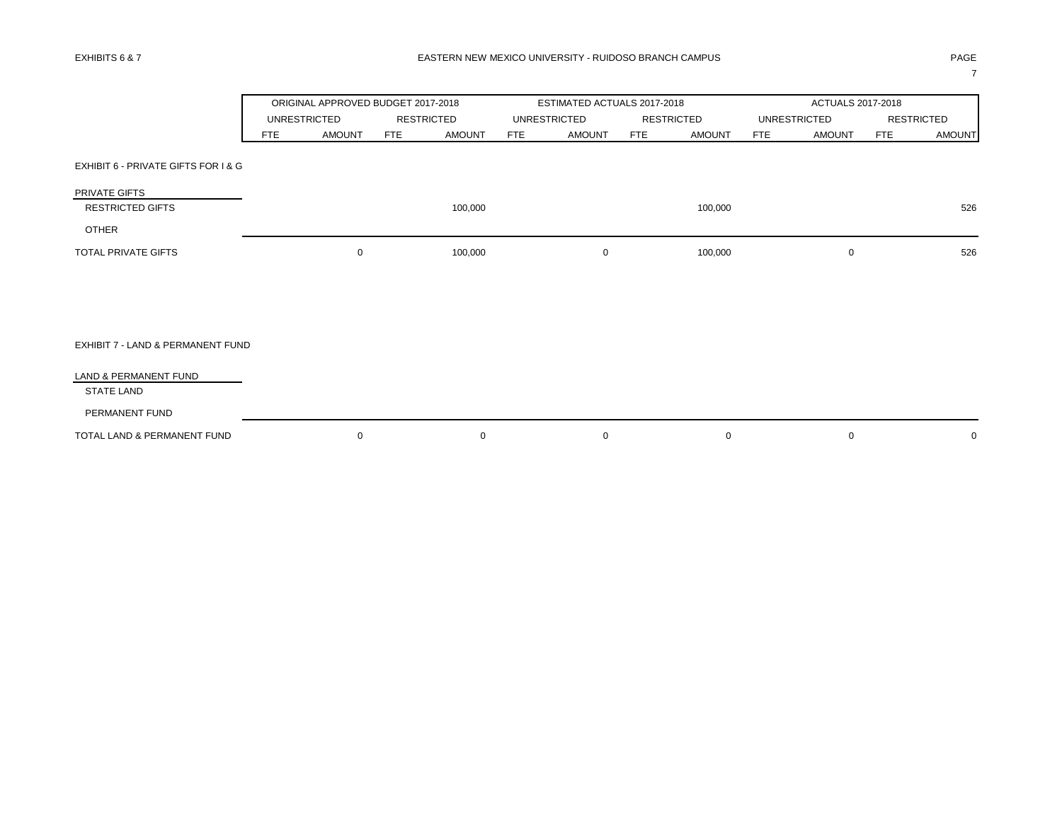ORIGINAL APPROVED BUDGET 2017-2018 ESTIMATED ACTUALS 2017-2018 ACTUALS 2017-2018 UNRESTRICTED RESTRICTED UNRESTRICTED RESTRICTED UNRESTRICTED RESTRICTED FTE AMOUNT FTE AMOUNT FTE AMOUNT FTE AMOUNT FTE AMOUNT FTE AMOUNT EXHIBIT 6 - PRIVATE GIFTS FOR I & G PRIVATE GIFTS RESTRICTED GIFTS 100,000 100,000 526 OTHER TOTAL PRIVATE GIFTS **100,000** 100,000 0 100,000 0 100,000 0 0 100,000 0 526 EXHIBIT 7 - LAND & PERMANENT FUND LAND & PERMANENT FUND STATE LAND PERMANENT FUND TOTAL LAND & PERMANENT FUND 0 0 0 0 0 0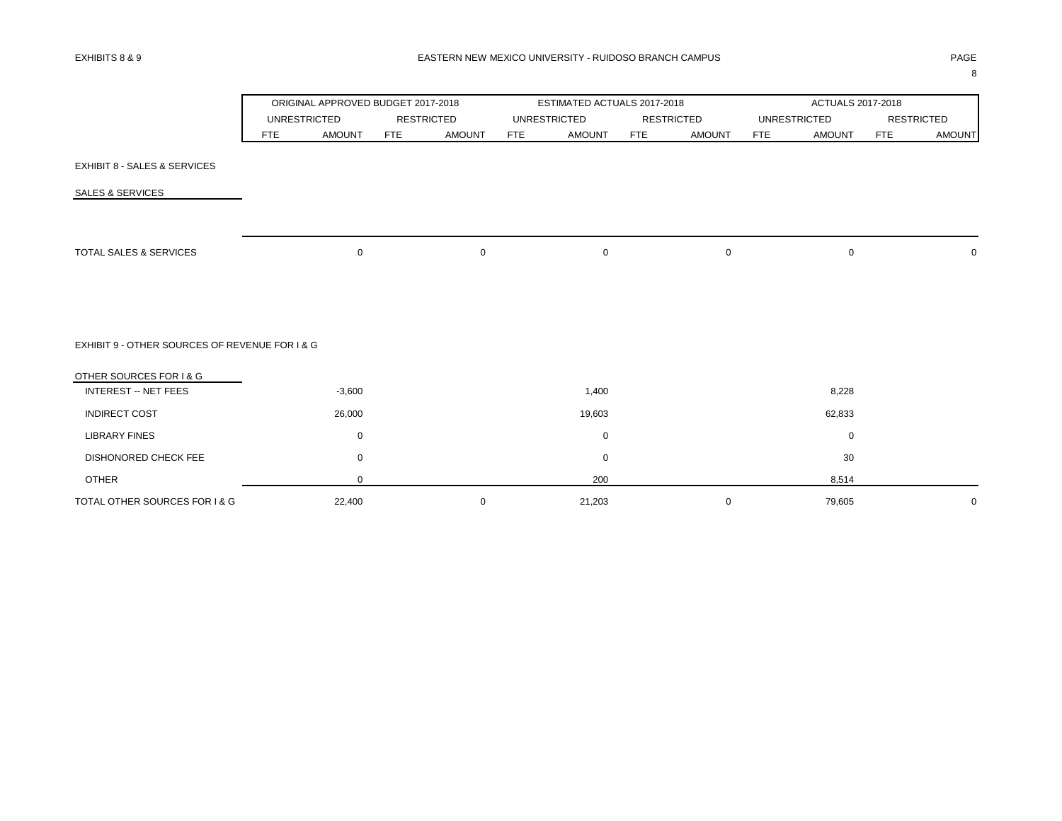|                                                |            | ORIGINAL APPROVED BUDGET 2017-2018 |            |                   |            | ESTIMATED ACTUALS 2017-2018 |            |                   |            | <b>ACTUALS 2017-2018</b> |            |                   |
|------------------------------------------------|------------|------------------------------------|------------|-------------------|------------|-----------------------------|------------|-------------------|------------|--------------------------|------------|-------------------|
|                                                |            | <b>UNRESTRICTED</b>                |            | <b>RESTRICTED</b> |            | <b>UNRESTRICTED</b>         |            | <b>RESTRICTED</b> |            | <b>UNRESTRICTED</b>      |            | <b>RESTRICTED</b> |
|                                                | <b>FTE</b> | <b>AMOUNT</b>                      | <b>FTE</b> | <b>AMOUNT</b>     | <b>FTE</b> | <b>AMOUNT</b>               | <b>FTE</b> | <b>AMOUNT</b>     | <b>FTE</b> | <b>AMOUNT</b>            | <b>FTE</b> | <b>AMOUNT</b>     |
| <b>EXHIBIT 8 - SALES &amp; SERVICES</b>        |            |                                    |            |                   |            |                             |            |                   |            |                          |            |                   |
| <b>SALES &amp; SERVICES</b>                    |            |                                    |            |                   |            |                             |            |                   |            |                          |            |                   |
|                                                |            |                                    |            |                   |            |                             |            |                   |            |                          |            |                   |
| <b>TOTAL SALES &amp; SERVICES</b>              |            | $\mathbf 0$                        |            | 0                 |            | $\mathbf 0$                 |            | $\pmb{0}$         |            | $\mathbf 0$              |            | $\mathbf 0$       |
|                                                |            |                                    |            |                   |            |                             |            |                   |            |                          |            |                   |
| EXHIBIT 9 - OTHER SOURCES OF REVENUE FOR I & G |            |                                    |            |                   |            |                             |            |                   |            |                          |            |                   |
| OTHER SOURCES FOR I & G                        |            |                                    |            |                   |            |                             |            |                   |            |                          |            |                   |
| <b>INTEREST -- NET FEES</b>                    |            | $-3,600$                           |            |                   |            | 1,400                       |            |                   |            | 8,228                    |            |                   |
| <b>INDIRECT COST</b>                           |            | 26,000                             |            |                   |            | 19,603                      |            |                   |            | 62,833                   |            |                   |
| <b>LIBRARY FINES</b>                           |            | $\mathbf 0$                        |            |                   |            | 0                           |            |                   |            | 0                        |            |                   |
| DISHONORED CHECK FEE                           |            | $\mathbf 0$                        |            |                   |            | 0                           |            |                   |            | 30                       |            |                   |
| <b>OTHER</b>                                   |            | $\mathbf 0$                        |            |                   |            | 200                         |            |                   |            | 8,514                    |            |                   |
| TOTAL OTHER SOURCES FOR I & G                  |            | 22,400                             |            | 0                 |            | 21,203                      |            | $\mathbf 0$       |            | 79,605                   |            | $\mathbf 0$       |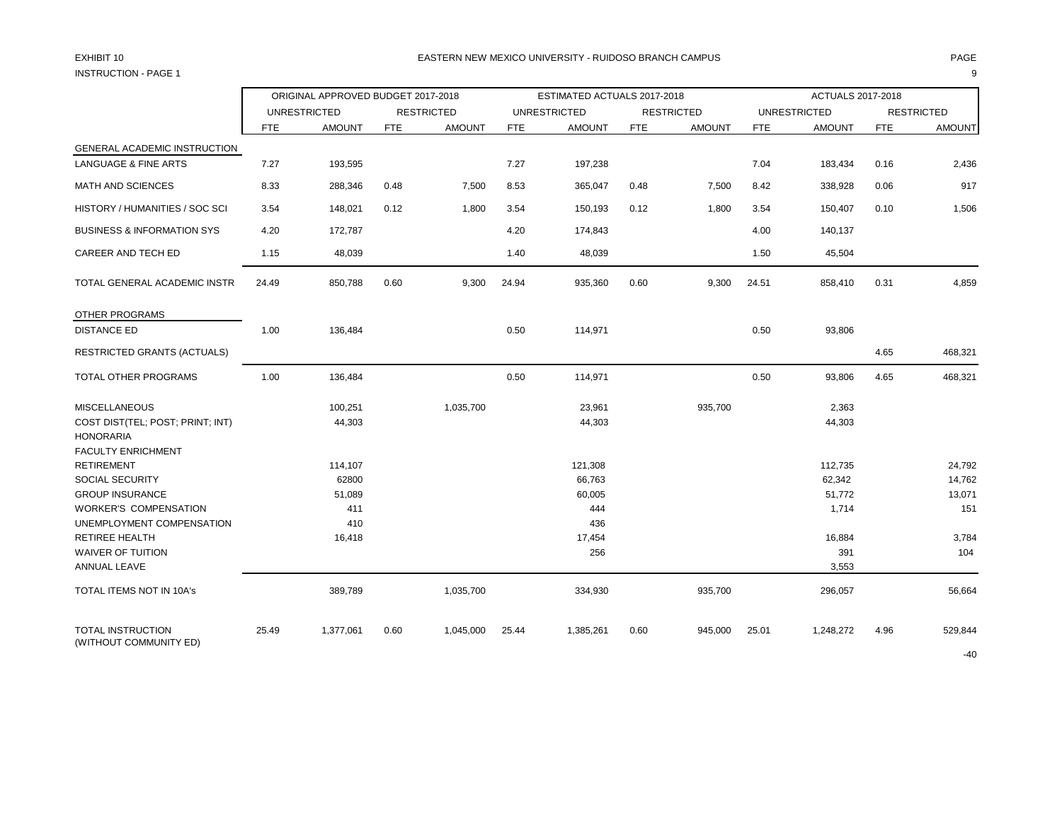# INSTRUCTION - PAGE 1 9

### EXHIBIT 10 PAGE PAGE IN PAGE IN THE SEASTERN NEW MEXICO UNIVERSITY - RUIDOSO BRANCH CAMPUS AND THE SEASTERN SPAGE

|                                                                                                           |            | ORIGINAL APPROVED BUDGET 2017-2018 |            |                   |            | ESTIMATED ACTUALS 2017-2018        |            |                   |            | <b>ACTUALS 2017-2018</b>             |            |                                   |
|-----------------------------------------------------------------------------------------------------------|------------|------------------------------------|------------|-------------------|------------|------------------------------------|------------|-------------------|------------|--------------------------------------|------------|-----------------------------------|
|                                                                                                           |            | <b>UNRESTRICTED</b>                |            | <b>RESTRICTED</b> |            | <b>UNRESTRICTED</b>                |            | <b>RESTRICTED</b> |            | <b>UNRESTRICTED</b>                  |            | <b>RESTRICTED</b>                 |
|                                                                                                           | <b>FTE</b> | <b>AMOUNT</b>                      | <b>FTE</b> | <b>AMOUNT</b>     | <b>FTE</b> | <b>AMOUNT</b>                      | <b>FTE</b> | <b>AMOUNT</b>     | <b>FTE</b> | <b>AMOUNT</b>                        | <b>FTE</b> | <b>AMOUNT</b>                     |
| GENERAL ACADEMIC INSTRUCTION                                                                              |            |                                    |            |                   |            |                                    |            |                   |            |                                      |            |                                   |
| <b>LANGUAGE &amp; FINE ARTS</b>                                                                           | 7.27       | 193,595                            |            |                   | 7.27       | 197,238                            |            |                   | 7.04       | 183,434                              | 0.16       | 2,436                             |
| <b>MATH AND SCIENCES</b>                                                                                  | 8.33       | 288,346                            | 0.48       | 7,500             | 8.53       | 365,047                            | 0.48       | 7,500             | 8.42       | 338,928                              | 0.06       | 917                               |
| HISTORY / HUMANITIES / SOC SCI                                                                            | 3.54       | 148,021                            | 0.12       | 1,800             | 3.54       | 150,193                            | 0.12       | 1,800             | 3.54       | 150,407                              | 0.10       | 1,506                             |
| <b>BUSINESS &amp; INFORMATION SYS</b>                                                                     | 4.20       | 172,787                            |            |                   | 4.20       | 174,843                            |            |                   | 4.00       | 140,137                              |            |                                   |
| CAREER AND TECH ED                                                                                        | 1.15       | 48,039                             |            |                   | 1.40       | 48,039                             |            |                   | 1.50       | 45,504                               |            |                                   |
| TOTAL GENERAL ACADEMIC INSTR                                                                              | 24.49      | 850,788                            | 0.60       | 9,300             | 24.94      | 935,360                            | 0.60       | 9,300             | 24.51      | 858,410                              | 0.31       | 4,859                             |
| OTHER PROGRAMS                                                                                            |            |                                    |            |                   |            |                                    |            |                   |            |                                      |            |                                   |
| <b>DISTANCE ED</b>                                                                                        | 1.00       | 136,484                            |            |                   | 0.50       | 114,971                            |            |                   | 0.50       | 93,806                               |            |                                   |
| <b>RESTRICTED GRANTS (ACTUALS)</b>                                                                        |            |                                    |            |                   |            |                                    |            |                   |            |                                      | 4.65       | 468,321                           |
| TOTAL OTHER PROGRAMS                                                                                      | 1.00       | 136,484                            |            |                   | 0.50       | 114,971                            |            |                   | 0.50       | 93,806                               | 4.65       | 468,321                           |
| <b>MISCELLANEOUS</b><br>COST DIST(TEL; POST; PRINT; INT)<br><b>HONORARIA</b><br><b>FACULTY ENRICHMENT</b> |            | 100,251<br>44,303                  |            | 1,035,700         |            | 23,961<br>44,303                   |            | 935,700           |            | 2,363<br>44,303                      |            |                                   |
| <b>RETIREMENT</b><br><b>SOCIAL SECURITY</b><br><b>GROUP INSURANCE</b><br><b>WORKER'S COMPENSATION</b>     |            | 114,107<br>62800<br>51,089<br>411  |            |                   |            | 121,308<br>66,763<br>60,005<br>444 |            |                   |            | 112,735<br>62,342<br>51,772<br>1,714 |            | 24,792<br>14,762<br>13,071<br>151 |
| UNEMPLOYMENT COMPENSATION<br><b>RETIREE HEALTH</b><br><b>WAIVER OF TUITION</b><br>ANNUAL LEAVE            |            | 410<br>16,418                      |            |                   |            | 436<br>17,454<br>256               |            |                   |            | 16,884<br>391<br>3,553               |            | 3,784<br>104                      |
| TOTAL ITEMS NOT IN 10A's                                                                                  |            | 389,789                            |            | 1,035,700         |            | 334,930                            |            | 935,700           |            | 296,057                              |            | 56,664                            |
| <b>TOTAL INSTRUCTION</b><br>(WITHOUT COMMUNITY ED)                                                        | 25.49      | 1,377,061                          | 0.60       | 1,045,000         | 25.44      | 1,385,261                          | 0.60       | 945,000           | 25.01      | 1,248,272                            | 4.96       | 529,844                           |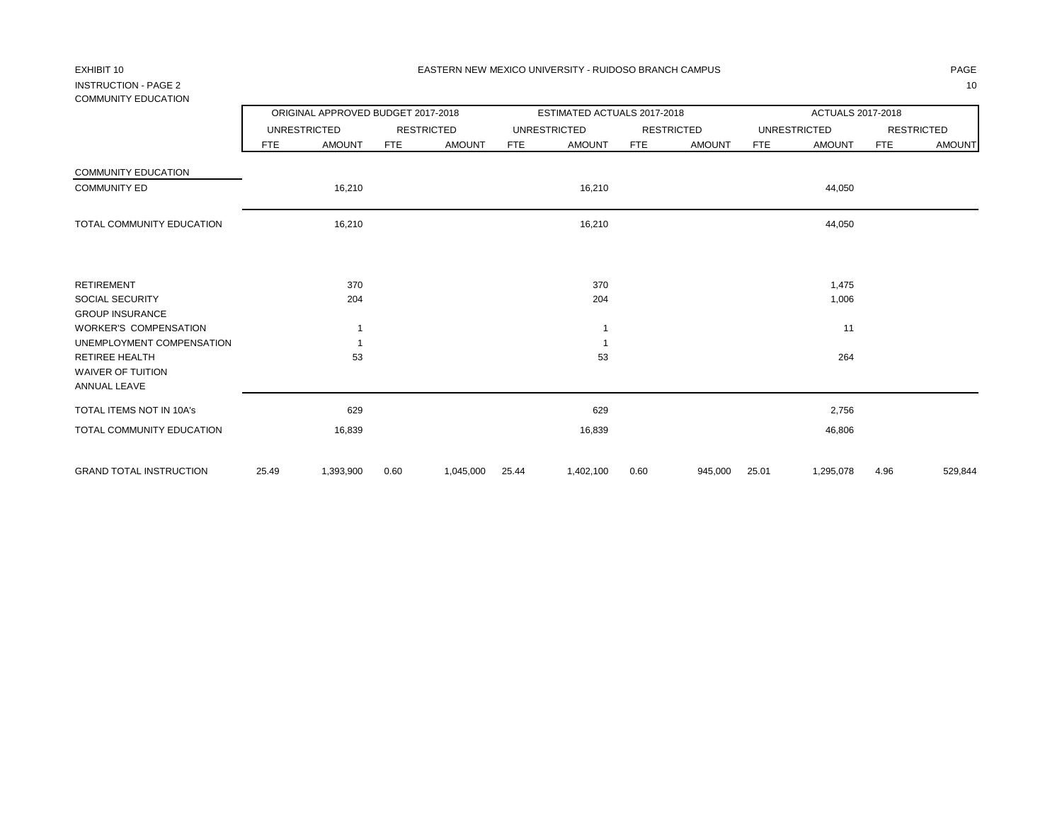## INSTRUCTION - PAGE 2 10 COMMUNITY EDUCATION

|                                                                                                |       | ORIGINAL APPROVED BUDGET 2017-2018 |            |                   |            | ESTIMATED ACTUALS 2017-2018 |            |                   |            | ACTUALS 2017-2018   |            |                   |
|------------------------------------------------------------------------------------------------|-------|------------------------------------|------------|-------------------|------------|-----------------------------|------------|-------------------|------------|---------------------|------------|-------------------|
|                                                                                                |       | <b>UNRESTRICTED</b>                |            | <b>RESTRICTED</b> |            | <b>UNRESTRICTED</b>         |            | <b>RESTRICTED</b> |            | <b>UNRESTRICTED</b> |            | <b>RESTRICTED</b> |
|                                                                                                | FTE   | <b>AMOUNT</b>                      | <b>FTE</b> | <b>AMOUNT</b>     | <b>FTE</b> | <b>AMOUNT</b>               | <b>FTE</b> | <b>AMOUNT</b>     | <b>FTE</b> | <b>AMOUNT</b>       | <b>FTE</b> | <b>AMOUNT</b>     |
| <b>COMMUNITY EDUCATION</b>                                                                     |       |                                    |            |                   |            |                             |            |                   |            |                     |            |                   |
| <b>COMMUNITY ED</b>                                                                            |       | 16,210                             |            |                   |            | 16,210                      |            |                   |            | 44,050              |            |                   |
| TOTAL COMMUNITY EDUCATION                                                                      |       | 16,210                             |            |                   |            | 16,210                      |            |                   |            | 44,050              |            |                   |
| <b>RETIREMENT</b>                                                                              |       | 370                                |            |                   |            | 370                         |            |                   |            | 1,475               |            |                   |
| <b>SOCIAL SECURITY</b><br><b>GROUP INSURANCE</b>                                               |       | 204                                |            |                   |            | 204                         |            |                   |            | 1,006               |            |                   |
| <b>WORKER'S COMPENSATION</b>                                                                   |       |                                    |            |                   |            |                             |            |                   |            | 11                  |            |                   |
| UNEMPLOYMENT COMPENSATION<br><b>RETIREE HEALTH</b><br><b>WAIVER OF TUITION</b><br>ANNUAL LEAVE |       | 53                                 |            |                   |            | 53                          |            |                   |            | 264                 |            |                   |
| TOTAL ITEMS NOT IN 10A's                                                                       |       | 629                                |            |                   |            | 629                         |            |                   |            | 2,756               |            |                   |
| TOTAL COMMUNITY EDUCATION                                                                      |       | 16,839                             |            |                   |            | 16,839                      |            |                   |            | 46,806              |            |                   |
| <b>GRAND TOTAL INSTRUCTION</b>                                                                 | 25.49 | 1,393,900                          | 0.60       | 1,045,000         | 25.44      | 1,402,100                   | 0.60       | 945,000           | 25.01      | 1,295,078           | 4.96       | 529,844           |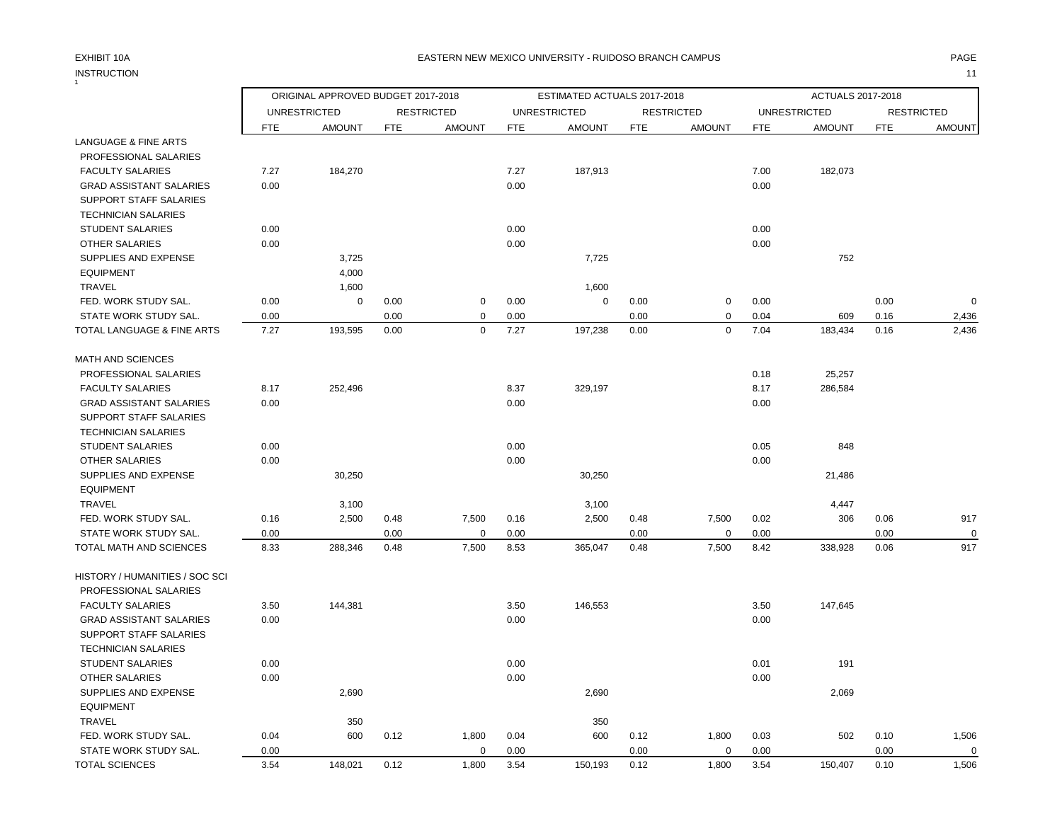# INSTRUCTION 11

### EXHIBIT 10A PAGE EASTERN NEW MEXICO UNIVERSITY - RUIDOSO BRANCH CAMPUS

|                                 |            | ORIGINAL APPROVED BUDGET 2017-2018 |            |                   |            | ESTIMATED ACTUALS 2017-2018 |            |                   |            | ACTUALS 2017-2018   |            |                   |
|---------------------------------|------------|------------------------------------|------------|-------------------|------------|-----------------------------|------------|-------------------|------------|---------------------|------------|-------------------|
|                                 |            | <b>UNRESTRICTED</b>                |            | <b>RESTRICTED</b> |            | <b>UNRESTRICTED</b>         |            | <b>RESTRICTED</b> |            | <b>UNRESTRICTED</b> |            | <b>RESTRICTED</b> |
|                                 | <b>FTE</b> | <b>AMOUNT</b>                      | <b>FTE</b> | <b>AMOUNT</b>     | <b>FTE</b> | <b>AMOUNT</b>               | <b>FTE</b> | <b>AMOUNT</b>     | <b>FTE</b> | <b>AMOUNT</b>       | <b>FTE</b> | <b>AMOUNT</b>     |
| <b>LANGUAGE &amp; FINE ARTS</b> |            |                                    |            |                   |            |                             |            |                   |            |                     |            |                   |
| <b>PROFESSIONAL SALARIES</b>    |            |                                    |            |                   |            |                             |            |                   |            |                     |            |                   |
| <b>FACULTY SALARIES</b>         | 7.27       | 184,270                            |            |                   | 7.27       | 187,913                     |            |                   | 7.00       | 182,073             |            |                   |
| <b>GRAD ASSISTANT SALARIES</b>  | 0.00       |                                    |            |                   | 0.00       |                             |            |                   | 0.00       |                     |            |                   |
| SUPPORT STAFF SALARIES          |            |                                    |            |                   |            |                             |            |                   |            |                     |            |                   |
| <b>TECHNICIAN SALARIES</b>      |            |                                    |            |                   |            |                             |            |                   |            |                     |            |                   |
| <b>STUDENT SALARIES</b>         | 0.00       |                                    |            |                   | 0.00       |                             |            |                   | 0.00       |                     |            |                   |
| OTHER SALARIES                  | 0.00       |                                    |            |                   | 0.00       |                             |            |                   | 0.00       |                     |            |                   |
| SUPPLIES AND EXPENSE            |            | 3,725                              |            |                   |            | 7,725                       |            |                   |            | 752                 |            |                   |
| <b>EQUIPMENT</b>                |            | 4,000                              |            |                   |            |                             |            |                   |            |                     |            |                   |
| <b>TRAVEL</b>                   |            | 1,600                              |            |                   |            | 1,600                       |            |                   |            |                     |            |                   |
| FED. WORK STUDY SAL.            | 0.00       | $\mathbf 0$                        | 0.00       | $\mathbf 0$       | 0.00       | $\mathbf 0$                 | 0.00       | $\mathbf 0$       | 0.00       |                     | 0.00       | O                 |
| STATE WORK STUDY SAL.           | 0.00       |                                    | 0.00       | 0                 | 0.00       |                             | 0.00       | 0                 | 0.04       | 609                 | 0.16       | 2,436             |
| TOTAL LANGUAGE & FINE ARTS      | 7.27       | 193,595                            | 0.00       | $\mathbf 0$       | 7.27       | 197,238                     | 0.00       | $\mathbf 0$       | 7.04       | 183,434             | 0.16       | 2,436             |
| <b>MATH AND SCIENCES</b>        |            |                                    |            |                   |            |                             |            |                   |            |                     |            |                   |
| PROFESSIONAL SALARIES           |            |                                    |            |                   |            |                             |            |                   | 0.18       | 25,257              |            |                   |
| <b>FACULTY SALARIES</b>         | 8.17       | 252,496                            |            |                   | 8.37       | 329,197                     |            |                   | 8.17       | 286,584             |            |                   |
| <b>GRAD ASSISTANT SALARIES</b>  | 0.00       |                                    |            |                   | 0.00       |                             |            |                   | 0.00       |                     |            |                   |
| SUPPORT STAFF SALARIES          |            |                                    |            |                   |            |                             |            |                   |            |                     |            |                   |
| <b>TECHNICIAN SALARIES</b>      |            |                                    |            |                   |            |                             |            |                   |            |                     |            |                   |
| <b>STUDENT SALARIES</b>         | 0.00       |                                    |            |                   | 0.00       |                             |            |                   | 0.05       | 848                 |            |                   |
| <b>OTHER SALARIES</b>           | 0.00       |                                    |            |                   | 0.00       |                             |            |                   | 0.00       |                     |            |                   |
| SUPPLIES AND EXPENSE            |            | 30,250                             |            |                   |            | 30,250                      |            |                   |            | 21,486              |            |                   |
| <b>EQUIPMENT</b>                |            |                                    |            |                   |            |                             |            |                   |            |                     |            |                   |
| <b>TRAVEL</b>                   |            | 3,100                              |            |                   |            | 3,100                       |            |                   |            | 4,447               |            |                   |
| FED. WORK STUDY SAL.            | 0.16       | 2,500                              | 0.48       | 7,500             | 0.16       | 2,500                       | 0.48       | 7,500             | 0.02       | 306                 | 0.06       | 917               |
| STATE WORK STUDY SAL.           | 0.00       |                                    | 0.00       | $\mathbf 0$       | 0.00       |                             | 0.00       | $\mathbf 0$       | 0.00       |                     | 0.00       |                   |
| TOTAL MATH AND SCIENCES         | 8.33       | 288,346                            | 0.48       | 7,500             | 8.53       | 365,047                     | 0.48       | 7,500             | 8.42       | 338,928             | 0.06       | 917               |
| HISTORY / HUMANITIES / SOC SCI  |            |                                    |            |                   |            |                             |            |                   |            |                     |            |                   |
| PROFESSIONAL SALARIES           |            |                                    |            |                   |            |                             |            |                   |            |                     |            |                   |
| <b>FACULTY SALARIES</b>         | 3.50       | 144,381                            |            |                   | 3.50       | 146,553                     |            |                   | 3.50       | 147,645             |            |                   |
| <b>GRAD ASSISTANT SALARIES</b>  | 0.00       |                                    |            |                   | 0.00       |                             |            |                   | 0.00       |                     |            |                   |
| SUPPORT STAFF SALARIES          |            |                                    |            |                   |            |                             |            |                   |            |                     |            |                   |
| <b>TECHNICIAN SALARIES</b>      |            |                                    |            |                   |            |                             |            |                   |            |                     |            |                   |
| <b>STUDENT SALARIES</b>         | 0.00       |                                    |            |                   | 0.00       |                             |            |                   | 0.01       | 191                 |            |                   |
| <b>OTHER SALARIES</b>           | 0.00       |                                    |            |                   | 0.00       |                             |            |                   | 0.00       |                     |            |                   |
| SUPPLIES AND EXPENSE            |            | 2,690                              |            |                   |            | 2,690                       |            |                   |            | 2,069               |            |                   |
| <b>EQUIPMENT</b>                |            |                                    |            |                   |            |                             |            |                   |            |                     |            |                   |
| <b>TRAVEL</b>                   |            | 350                                |            |                   |            | 350                         |            |                   |            |                     |            |                   |
| FED. WORK STUDY SAL.            | 0.04       | 600                                | 0.12       | 1,800             | 0.04       | 600                         | 0.12       | 1,800             | 0.03       | 502                 | 0.10       | 1,506             |
| STATE WORK STUDY SAL.           | 0.00       |                                    |            | $\mathbf 0$       | 0.00       |                             | 0.00       | $\mathbf 0$       | 0.00       |                     | 0.00       | $\Omega$          |

TOTAL SCIENCES 3.54 148,021 0.12 1,800 3.54 150,193 0.12 1,800 3.54 150,407 0.10 1,506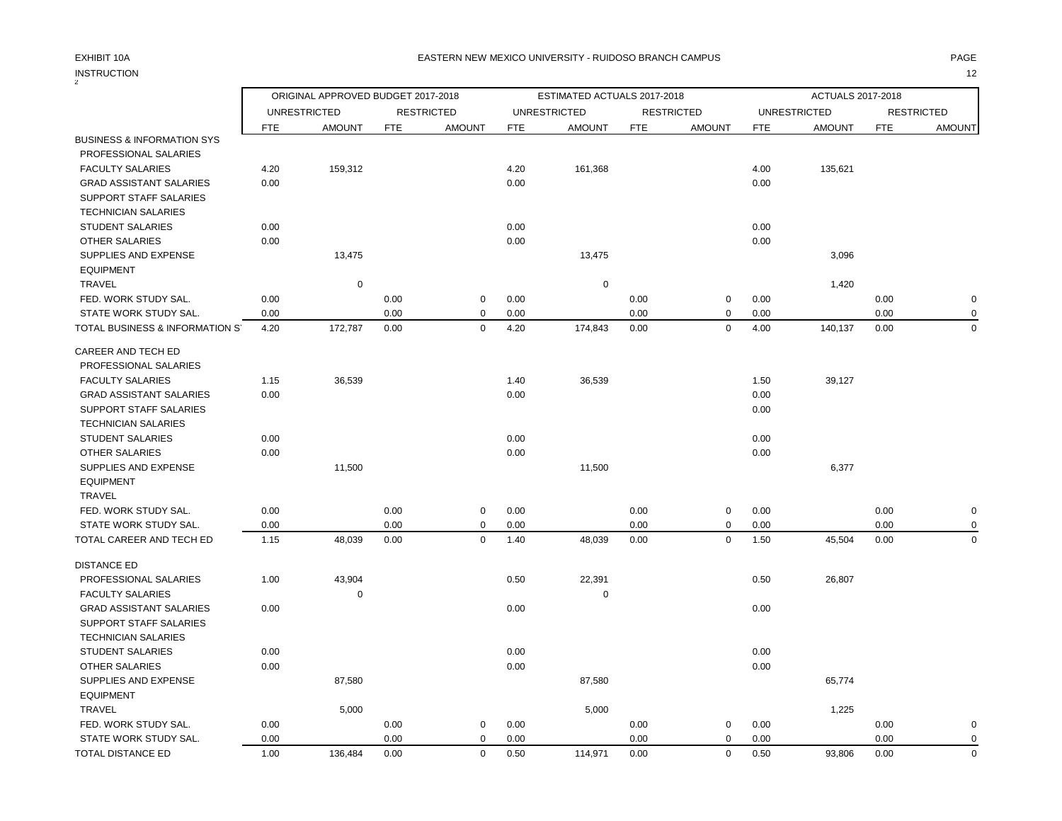### EXHIBIT 10A PAGE EASTERN NEW MEXICO UNIVERSITY - RUIDOSO BRANCH CAMPUS

|                                       |            | ORIGINAL APPROVED BUDGET 2017-2018 |            |                   |            | ESTIMATED ACTUALS 2017-2018 |            |                   |            | ACTUALS 2017-2018   |            |                   |
|---------------------------------------|------------|------------------------------------|------------|-------------------|------------|-----------------------------|------------|-------------------|------------|---------------------|------------|-------------------|
|                                       |            | <b>UNRESTRICTED</b>                |            | <b>RESTRICTED</b> |            | <b>UNRESTRICTED</b>         |            | <b>RESTRICTED</b> |            | <b>UNRESTRICTED</b> |            | <b>RESTRICTED</b> |
|                                       | <b>FTE</b> | <b>AMOUNT</b>                      | <b>FTE</b> | <b>AMOUNT</b>     | <b>FTE</b> | <b>AMOUNT</b>               | <b>FTE</b> | <b>AMOUNT</b>     | <b>FTE</b> | <b>AMOUNT</b>       | <b>FTE</b> | <b>AMOUNT</b>     |
| <b>BUSINESS &amp; INFORMATION SYS</b> |            |                                    |            |                   |            |                             |            |                   |            |                     |            |                   |
| PROFESSIONAL SALARIES                 |            |                                    |            |                   |            |                             |            |                   |            |                     |            |                   |
| <b>FACULTY SALARIES</b>               | 4.20       | 159,312                            |            |                   | 4.20       | 161,368                     |            |                   | 4.00       | 135,621             |            |                   |
| <b>GRAD ASSISTANT SALARIES</b>        | 0.00       |                                    |            |                   | 0.00       |                             |            |                   | 0.00       |                     |            |                   |
| SUPPORT STAFF SALARIES                |            |                                    |            |                   |            |                             |            |                   |            |                     |            |                   |
| <b>TECHNICIAN SALARIES</b>            |            |                                    |            |                   |            |                             |            |                   |            |                     |            |                   |
| <b>STUDENT SALARIES</b>               | 0.00       |                                    |            |                   | 0.00       |                             |            |                   | 0.00       |                     |            |                   |
| <b>OTHER SALARIES</b>                 | 0.00       |                                    |            |                   | 0.00       |                             |            |                   | 0.00       |                     |            |                   |
| SUPPLIES AND EXPENSE                  |            | 13,475                             |            |                   |            | 13,475                      |            |                   |            | 3,096               |            |                   |
| <b>EQUIPMENT</b>                      |            |                                    |            |                   |            |                             |            |                   |            |                     |            |                   |
| <b>TRAVEL</b>                         |            | 0                                  |            |                   |            | 0                           |            |                   |            | 1,420               |            |                   |
| FED. WORK STUDY SAL.                  | 0.00       |                                    | 0.00       | $\pmb{0}$         | 0.00       |                             | 0.00       | $\mathbf 0$       | 0.00       |                     | 0.00       | $\mathbf 0$       |
| STATE WORK STUDY SAL.                 | 0.00       |                                    | 0.00       | $\mathbf 0$       | 0.00       |                             | 0.00       | $\mathbf 0$       | 0.00       |                     | 0.00       | 0                 |
| TOTAL BUSINESS & INFORMATION S'       | 4.20       | 172,787                            | 0.00       | $\mathbf 0$       | 4.20       | 174,843                     | 0.00       | $\mathbf 0$       | 4.00       | 140,137             | 0.00       | $\mathbf 0$       |
| CAREER AND TECH ED                    |            |                                    |            |                   |            |                             |            |                   |            |                     |            |                   |
| PROFESSIONAL SALARIES                 |            |                                    |            |                   |            |                             |            |                   |            |                     |            |                   |
| <b>FACULTY SALARIES</b>               | 1.15       | 36,539                             |            |                   | 1.40       | 36,539                      |            |                   | 1.50       | 39,127              |            |                   |
| <b>GRAD ASSISTANT SALARIES</b>        | 0.00       |                                    |            |                   | 0.00       |                             |            |                   | 0.00       |                     |            |                   |
| SUPPORT STAFF SALARIES                |            |                                    |            |                   |            |                             |            |                   | 0.00       |                     |            |                   |
| <b>TECHNICIAN SALARIES</b>            |            |                                    |            |                   |            |                             |            |                   |            |                     |            |                   |
| <b>STUDENT SALARIES</b>               | 0.00       |                                    |            |                   | 0.00       |                             |            |                   | 0.00       |                     |            |                   |
| <b>OTHER SALARIES</b>                 | 0.00       |                                    |            |                   | 0.00       |                             |            |                   | 0.00       |                     |            |                   |
| SUPPLIES AND EXPENSE                  |            | 11,500                             |            |                   |            | 11,500                      |            |                   |            | 6,377               |            |                   |
| <b>EQUIPMENT</b>                      |            |                                    |            |                   |            |                             |            |                   |            |                     |            |                   |
| <b>TRAVEL</b>                         |            |                                    |            |                   |            |                             |            |                   |            |                     |            |                   |
| FED. WORK STUDY SAL.                  | 0.00       |                                    | 0.00       | $\mathbf 0$       | 0.00       |                             | 0.00       | $\pmb{0}$         | 0.00       |                     | 0.00       | $\pmb{0}$         |
| STATE WORK STUDY SAL.                 | 0.00       |                                    | 0.00       | $\mathbf 0$       | 0.00       |                             | 0.00       | 0                 | 0.00       |                     | 0.00       | $\mathbf 0$       |
| TOTAL CAREER AND TECH ED              | 1.15       | 48,039                             | 0.00       | $\Omega$          | 1.40       | 48,039                      | 0.00       | $\mathbf 0$       | 1.50       | 45,504              | 0.00       | $\mathbf 0$       |
| <b>DISTANCE ED</b>                    |            |                                    |            |                   |            |                             |            |                   |            |                     |            |                   |
| PROFESSIONAL SALARIES                 | 1.00       | 43,904                             |            |                   | 0.50       | 22,391                      |            |                   | 0.50       | 26,807              |            |                   |
| <b>FACULTY SALARIES</b>               |            | $\mathbf 0$                        |            |                   |            | 0                           |            |                   |            |                     |            |                   |
| <b>GRAD ASSISTANT SALARIES</b>        | 0.00       |                                    |            |                   | 0.00       |                             |            |                   | 0.00       |                     |            |                   |
| SUPPORT STAFF SALARIES                |            |                                    |            |                   |            |                             |            |                   |            |                     |            |                   |
| <b>TECHNICIAN SALARIES</b>            |            |                                    |            |                   |            |                             |            |                   |            |                     |            |                   |
| <b>STUDENT SALARIES</b>               | 0.00       |                                    |            |                   | 0.00       |                             |            |                   | 0.00       |                     |            |                   |
| <b>OTHER SALARIES</b>                 | 0.00       |                                    |            |                   | 0.00       |                             |            |                   | 0.00       |                     |            |                   |
| SUPPLIES AND EXPENSE                  |            | 87,580                             |            |                   |            | 87,580                      |            |                   |            | 65,774              |            |                   |
| <b>EQUIPMENT</b>                      |            |                                    |            |                   |            |                             |            |                   |            |                     |            |                   |
| <b>TRAVEL</b>                         |            | 5,000                              |            |                   |            | 5,000                       |            |                   |            | 1,225               |            |                   |
| FED. WORK STUDY SAL.                  | 0.00       |                                    | 0.00       | $\pmb{0}$         | 0.00       |                             | 0.00       | $\mathbf 0$       | 0.00       |                     | 0.00       | $\mathbf 0$       |
| STATE WORK STUDY SAL.                 | 0.00       |                                    | 0.00       | $\Omega$          | 0.00       |                             | 0.00       | $\mathbf 0$       | 0.00       |                     | 0.00       | 0                 |
| TOTAL DISTANCE ED                     | 1.00       | 136,484                            | 0.00       | $\Omega$          | 0.50       | 114,971                     | 0.00       | $\mathbf 0$       | 0.50       | 93,806              | 0.00       | $\mathbf 0$       |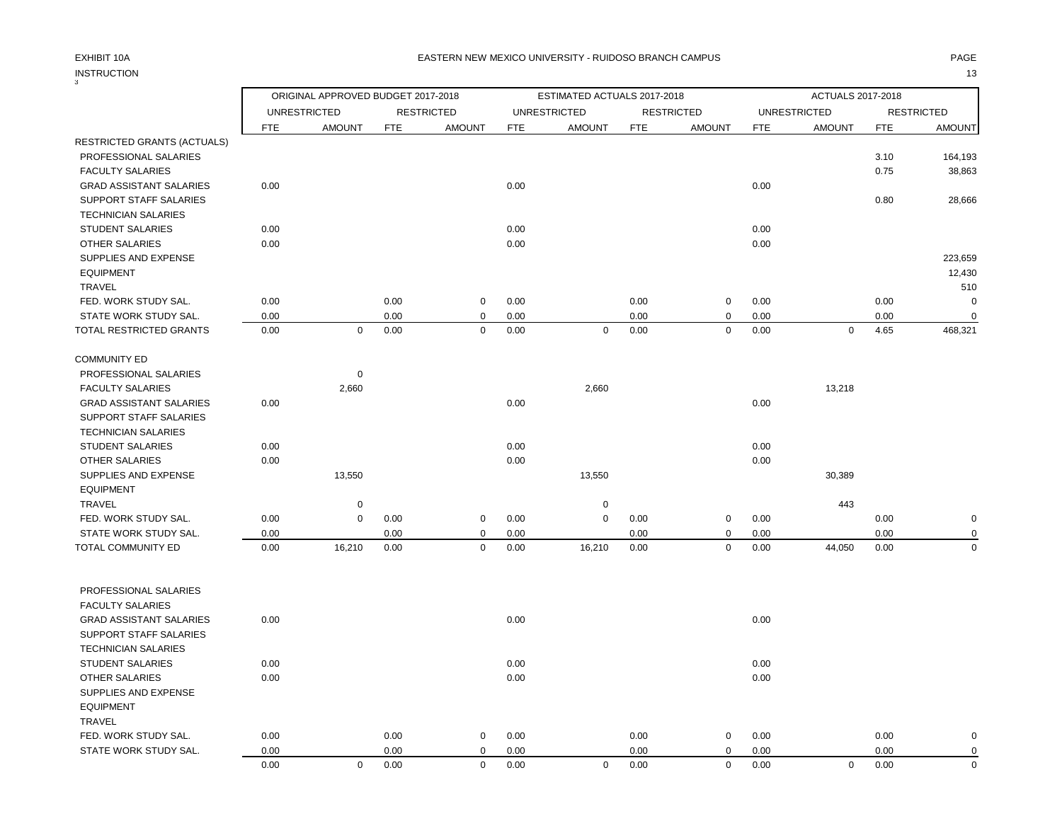## EXHIBIT 10A PAGE EASTERN NEW MEXICO UNIVERSITY - RUIDOSO BRANCH CAMPUS

## INSTRUCTION 13

| <b>INSTRUCTION</b><br>3            |      |                                    |            |                   |            |                             |            |                   |            |                     |            | 13                |
|------------------------------------|------|------------------------------------|------------|-------------------|------------|-----------------------------|------------|-------------------|------------|---------------------|------------|-------------------|
|                                    |      | ORIGINAL APPROVED BUDGET 2017-2018 |            |                   |            | ESTIMATED ACTUALS 2017-2018 |            |                   |            | ACTUALS 2017-2018   |            |                   |
|                                    |      | <b>UNRESTRICTED</b>                |            | <b>RESTRICTED</b> |            | <b>UNRESTRICTED</b>         |            | <b>RESTRICTED</b> |            | <b>UNRESTRICTED</b> |            | <b>RESTRICTED</b> |
|                                    | FTE  | <b>AMOUNT</b>                      | <b>FTE</b> | <b>AMOUNT</b>     | <b>FTE</b> | <b>AMOUNT</b>               | <b>FTE</b> | <b>AMOUNT</b>     | <b>FTE</b> | <b>AMOUNT</b>       | <b>FTE</b> | <b>AMOUNT</b>     |
| <b>RESTRICTED GRANTS (ACTUALS)</b> |      |                                    |            |                   |            |                             |            |                   |            |                     |            |                   |
| PROFESSIONAL SALARIES              |      |                                    |            |                   |            |                             |            |                   |            |                     | 3.10       | 164,193           |
| <b>FACULTY SALARIES</b>            |      |                                    |            |                   |            |                             |            |                   |            |                     | 0.75       | 38,863            |
| <b>GRAD ASSISTANT SALARIES</b>     | 0.00 |                                    |            |                   | 0.00       |                             |            |                   | 0.00       |                     |            |                   |
| SUPPORT STAFF SALARIES             |      |                                    |            |                   |            |                             |            |                   |            |                     | 0.80       | 28,666            |
| <b>TECHNICIAN SALARIES</b>         |      |                                    |            |                   |            |                             |            |                   |            |                     |            |                   |
| <b>STUDENT SALARIES</b>            | 0.00 |                                    |            |                   | 0.00       |                             |            |                   | 0.00       |                     |            |                   |
| <b>OTHER SALARIES</b>              | 0.00 |                                    |            |                   | 0.00       |                             |            |                   | 0.00       |                     |            |                   |
| SUPPLIES AND EXPENSE               |      |                                    |            |                   |            |                             |            |                   |            |                     |            | 223,659           |
| <b>EQUIPMENT</b>                   |      |                                    |            |                   |            |                             |            |                   |            |                     |            | 12,430            |
| TRAVEL                             |      |                                    |            |                   |            |                             |            |                   |            |                     |            | 510               |
| FED. WORK STUDY SAL.               | 0.00 |                                    | 0.00       | 0                 | 0.00       |                             | 0.00       | 0                 | 0.00       |                     | 0.00       | 0                 |
| STATE WORK STUDY SAL.              | 0.00 |                                    | 0.00       | 0                 | 0.00       |                             | 0.00       | $\mathbf 0$       | 0.00       |                     | 0.00       | $\mathbf 0$       |
| TOTAL RESTRICTED GRANTS            | 0.00 | $\mathbf 0$                        | 0.00       | $\mathbf 0$       | 0.00       | 0                           | 0.00       | $\mathbf 0$       | 0.00       | $\mathbf 0$         | 4.65       | 468,321           |
| <b>COMMUNITY ED</b>                |      |                                    |            |                   |            |                             |            |                   |            |                     |            |                   |
| PROFESSIONAL SALARIES              |      | 0                                  |            |                   |            |                             |            |                   |            |                     |            |                   |
| <b>FACULTY SALARIES</b>            |      | 2,660                              |            |                   |            | 2,660                       |            |                   |            | 13,218              |            |                   |
| <b>GRAD ASSISTANT SALARIES</b>     | 0.00 |                                    |            |                   | 0.00       |                             |            |                   | 0.00       |                     |            |                   |
| SUPPORT STAFF SALARIES             |      |                                    |            |                   |            |                             |            |                   |            |                     |            |                   |
| <b>TECHNICIAN SALARIES</b>         |      |                                    |            |                   |            |                             |            |                   |            |                     |            |                   |
| <b>STUDENT SALARIES</b>            | 0.00 |                                    |            |                   | 0.00       |                             |            |                   | 0.00       |                     |            |                   |
| OTHER SALARIES                     | 0.00 |                                    |            |                   | 0.00       |                             |            |                   | 0.00       |                     |            |                   |
| SUPPLIES AND EXPENSE               |      | 13,550                             |            |                   |            | 13,550                      |            |                   |            | 30,389              |            |                   |
| <b>EQUIPMENT</b>                   |      |                                    |            |                   |            |                             |            |                   |            |                     |            |                   |
| <b>TRAVEL</b>                      |      | $\pmb{0}$                          |            |                   |            | 0                           |            |                   |            | 443                 |            |                   |
| FED. WORK STUDY SAL.               | 0.00 | 0                                  | 0.00       | 0                 | 0.00       | 0                           | 0.00       | $\pmb{0}$         | 0.00       |                     | 0.00       | $\mathbf 0$       |
| STATE WORK STUDY SAL.              | 0.00 |                                    | 0.00       | $\mathbf 0$       | 0.00       |                             | 0.00       | $\mathbf 0$       | 0.00       |                     | 0.00       | $\mathbf 0$       |
| TOTAL COMMUNITY ED                 | 0.00 | 16,210                             | 0.00       | $\mathbf 0$       | 0.00       | 16,210                      | 0.00       | $\mathbf 0$       | 0.00       | 44,050              | 0.00       | $\mathbf 0$       |
| PROFESSIONAL SALARIES              |      |                                    |            |                   |            |                             |            |                   |            |                     |            |                   |
| <b>FACULTY SALARIES</b>            |      |                                    |            |                   |            |                             |            |                   |            |                     |            |                   |
| <b>GRAD ASSISTANT SALARIES</b>     | 0.00 |                                    |            |                   | 0.00       |                             |            |                   | 0.00       |                     |            |                   |
| <b>SUPPORT STAFF SALARIES</b>      |      |                                    |            |                   |            |                             |            |                   |            |                     |            |                   |
| <b>TECHNICIAN SALARIES</b>         |      |                                    |            |                   |            |                             |            |                   |            |                     |            |                   |
| STUDENT SALARIES                   | 0.00 |                                    |            |                   | 0.00       |                             |            |                   | 0.00       |                     |            |                   |
| <b>OTHER SALARIES</b>              | 0.00 |                                    |            |                   | 0.00       |                             |            |                   | 0.00       |                     |            |                   |
| SUPPLIES AND EXPENSE               |      |                                    |            |                   |            |                             |            |                   |            |                     |            |                   |
| <b>EQUIPMENT</b>                   |      |                                    |            |                   |            |                             |            |                   |            |                     |            |                   |
| TRAVEL                             |      |                                    |            |                   |            |                             |            |                   |            |                     |            |                   |
| FED. WORK STUDY SAL.               | 0.00 |                                    | 0.00       | 0                 | 0.00       |                             | 0.00       | 0                 | 0.00       |                     | 0.00       | $\mathbf 0$       |
| STATE WORK STUDY SAL.              | 0.00 |                                    | 0.00       | 0                 | 0.00       |                             | 0.00       | 0                 | 0.00       |                     | 0.00       | $\mathbf 0$       |
|                                    | 0.00 | 0                                  | 0.00       | $\mathbf 0$       | 0.00       | 0                           | 0.00       | $\mathsf{O}$      | 0.00       | $\mathbf 0$         | $0.00\,$   | $\mathbf 0$       |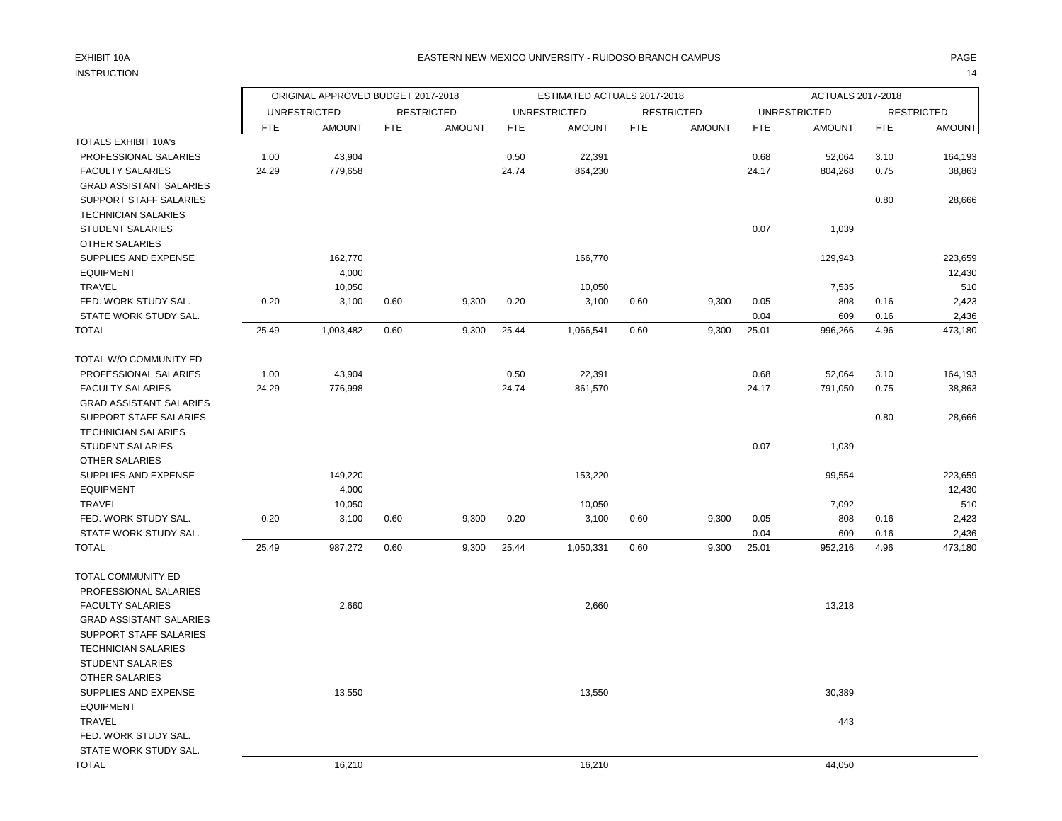### EXHIBIT 10A PAGE EASTERN NEW MEXICO UNIVERSITY - RUIDOSO BRANCH CAMPUS

| <b>INSTRUCTION</b>             |            |                                    |            |                   |            |                             |            |                   |            |                          |            | 14                |
|--------------------------------|------------|------------------------------------|------------|-------------------|------------|-----------------------------|------------|-------------------|------------|--------------------------|------------|-------------------|
|                                |            | ORIGINAL APPROVED BUDGET 2017-2018 |            |                   |            | ESTIMATED ACTUALS 2017-2018 |            |                   |            | <b>ACTUALS 2017-2018</b> |            |                   |
|                                |            | <b>UNRESTRICTED</b>                |            | <b>RESTRICTED</b> |            | <b>UNRESTRICTED</b>         |            | <b>RESTRICTED</b> |            | <b>UNRESTRICTED</b>      |            | <b>RESTRICTED</b> |
|                                | <b>FTE</b> | <b>AMOUNT</b>                      | <b>FTE</b> | <b>AMOUNT</b>     | <b>FTE</b> | <b>AMOUNT</b>               | <b>FTE</b> | <b>AMOUNT</b>     | <b>FTE</b> | <b>AMOUNT</b>            | <b>FTE</b> | <b>AMOUNT</b>     |
| TOTALS EXHIBIT 10A's           |            |                                    |            |                   |            |                             |            |                   |            |                          |            |                   |
| PROFESSIONAL SALARIES          | 1.00       | 43,904                             |            |                   | 0.50       | 22,391                      |            |                   | 0.68       | 52,064                   | 3.10       | 164,193           |
| <b>FACULTY SALARIES</b>        | 24.29      | 779,658                            |            |                   | 24.74      | 864,230                     |            |                   | 24.17      | 804,268                  | 0.75       | 38,863            |
| <b>GRAD ASSISTANT SALARIES</b> |            |                                    |            |                   |            |                             |            |                   |            |                          |            |                   |
| SUPPORT STAFF SALARIES         |            |                                    |            |                   |            |                             |            |                   |            |                          | 0.80       | 28,666            |
| <b>TECHNICIAN SALARIES</b>     |            |                                    |            |                   |            |                             |            |                   |            |                          |            |                   |
| <b>STUDENT SALARIES</b>        |            |                                    |            |                   |            |                             |            |                   | 0.07       | 1,039                    |            |                   |
| <b>OTHER SALARIES</b>          |            |                                    |            |                   |            |                             |            |                   |            |                          |            |                   |
| SUPPLIES AND EXPENSE           |            | 162,770                            |            |                   |            | 166,770                     |            |                   |            | 129,943                  |            | 223,659           |
| <b>EQUIPMENT</b>               |            | 4,000                              |            |                   |            |                             |            |                   |            |                          |            | 12,430            |
| <b>TRAVEL</b>                  |            | 10,050                             |            |                   |            | 10,050                      |            |                   |            | 7,535                    |            | 510               |
| FED. WORK STUDY SAL.           | 0.20       | 3,100                              | 0.60       | 9,300             | 0.20       | 3,100                       | 0.60       | 9,300             | 0.05       | 808                      | 0.16       | 2,423             |
| STATE WORK STUDY SAL.          |            |                                    |            |                   |            |                             |            |                   | 0.04       | 609                      | 0.16       | 2,436             |
| TOTAL                          | 25.49      | 1,003,482                          | 0.60       | 9,300             | 25.44      | 1,066,541                   | 0.60       | 9,300             | 25.01      | 996,266                  | 4.96       | 473,180           |
| TOTAL W/O COMMUNITY ED         |            |                                    |            |                   |            |                             |            |                   |            |                          |            |                   |
| PROFESSIONAL SALARIES          | 1.00       | 43,904                             |            |                   | 0.50       | 22,391                      |            |                   | 0.68       | 52,064                   | 3.10       | 164,193           |
| <b>FACULTY SALARIES</b>        | 24.29      | 776,998                            |            |                   | 24.74      | 861,570                     |            |                   | 24.17      | 791,050                  | 0.75       | 38,863            |
| <b>GRAD ASSISTANT SALARIES</b> |            |                                    |            |                   |            |                             |            |                   |            |                          |            |                   |
| SUPPORT STAFF SALARIES         |            |                                    |            |                   |            |                             |            |                   |            |                          | 0.80       | 28,666            |
| <b>TECHNICIAN SALARIES</b>     |            |                                    |            |                   |            |                             |            |                   |            |                          |            |                   |
| <b>STUDENT SALARIES</b>        |            |                                    |            |                   |            |                             |            |                   | 0.07       | 1,039                    |            |                   |
| <b>OTHER SALARIES</b>          |            |                                    |            |                   |            |                             |            |                   |            |                          |            |                   |
| SUPPLIES AND EXPENSE           |            | 149,220                            |            |                   |            | 153,220                     |            |                   |            | 99,554                   |            | 223,659           |
| <b>EQUIPMENT</b>               |            | 4,000                              |            |                   |            |                             |            |                   |            |                          |            | 12,430            |
| <b>TRAVEL</b>                  |            | 10,050                             |            |                   |            | 10,050                      |            |                   |            | 7,092                    |            | 510               |
| FED. WORK STUDY SAL.           | 0.20       | 3,100                              | 0.60       | 9,300             | 0.20       | 3,100                       | 0.60       | 9,300             | 0.05       | 808                      | 0.16       | 2,423             |
| STATE WORK STUDY SAL.          |            |                                    |            |                   |            |                             |            |                   | 0.04       | 609                      | 0.16       | 2,436             |
| <b>TOTAL</b>                   | 25.49      | 987,272                            | 0.60       | 9,300             | 25.44      | 1,050,331                   | 0.60       | 9,300             | 25.01      | 952,216                  | 4.96       | 473,180           |
| TOTAL COMMUNITY ED             |            |                                    |            |                   |            |                             |            |                   |            |                          |            |                   |
| PROFESSIONAL SALARIES          |            |                                    |            |                   |            |                             |            |                   |            |                          |            |                   |
| <b>FACULTY SALARIES</b>        |            | 2,660                              |            |                   |            | 2,660                       |            |                   |            | 13,218                   |            |                   |
| <b>GRAD ASSISTANT SALARIES</b> |            |                                    |            |                   |            |                             |            |                   |            |                          |            |                   |
| SUPPORT STAFF SALARIES         |            |                                    |            |                   |            |                             |            |                   |            |                          |            |                   |
| <b>TECHNICIAN SALARIES</b>     |            |                                    |            |                   |            |                             |            |                   |            |                          |            |                   |
| <b>STUDENT SALARIES</b>        |            |                                    |            |                   |            |                             |            |                   |            |                          |            |                   |
| <b>OTHER SALARIES</b>          |            |                                    |            |                   |            |                             |            |                   |            |                          |            |                   |
| SUPPLIES AND EXPENSE           |            | 13,550                             |            |                   |            | 13,550                      |            |                   |            | 30,389                   |            |                   |
| <b>EQUIPMENT</b>               |            |                                    |            |                   |            |                             |            |                   |            |                          |            |                   |
| <b>TRAVEL</b>                  |            |                                    |            |                   |            |                             |            |                   |            | 443                      |            |                   |
| FED. WORK STUDY SAL.           |            |                                    |            |                   |            |                             |            |                   |            |                          |            |                   |
| STATE WORK STUDY SAL.          |            |                                    |            |                   |            |                             |            |                   |            |                          |            |                   |
| <b>TOTAL</b>                   |            | 16,210                             |            |                   |            | 16,210                      |            |                   |            | 44,050                   |            |                   |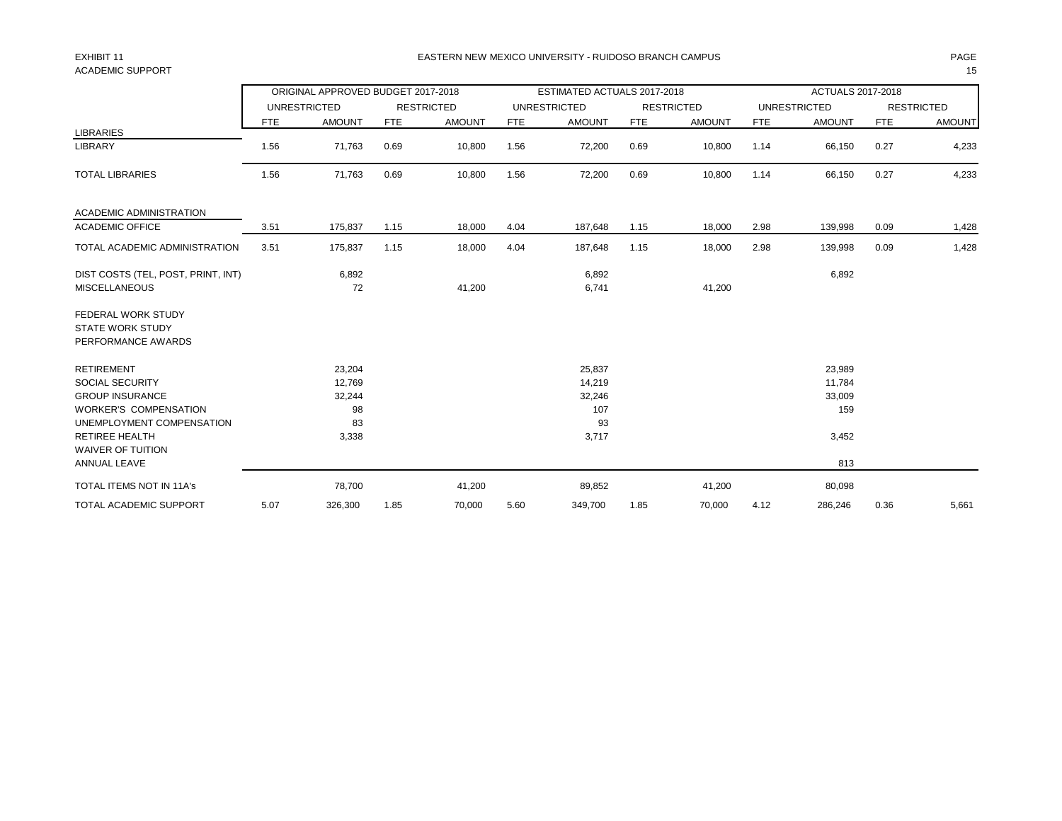## ACADEMIC SUPPORT THE RESERVED OF STRAIGHT AND STRAIGHT AND STRAIGHT AND STRAIGHT AND STRAIGHT AND STRAIGHT AND STRAIGHT AND STRAIGHT AND STRAIGHT AND STRAIGHT AND STRAIGHT AND STRAIGHT AND STRAIGHT AND STRAIGHT AND STRAIGH

### EXHIBIT 11 PAGE EASTERN NEW MEXICO UNIVERSITY - RUIDOSO BRANCH CAMPUS

|                                                                                                                                                                                                         |            | ORIGINAL APPROVED BUDGET 2017-2018              |            |                   |            | ESTIMATED ACTUALS 2017-2018                      |            |                   |            | <b>ACTUALS 2017-2018</b>                          |            |                   |
|---------------------------------------------------------------------------------------------------------------------------------------------------------------------------------------------------------|------------|-------------------------------------------------|------------|-------------------|------------|--------------------------------------------------|------------|-------------------|------------|---------------------------------------------------|------------|-------------------|
|                                                                                                                                                                                                         |            | <b>UNRESTRICTED</b>                             |            | <b>RESTRICTED</b> |            | <b>UNRESTRICTED</b>                              |            | <b>RESTRICTED</b> |            | <b>UNRESTRICTED</b>                               |            | <b>RESTRICTED</b> |
|                                                                                                                                                                                                         | <b>FTE</b> | <b>AMOUNT</b>                                   | <b>FTE</b> | <b>AMOUNT</b>     | <b>FTE</b> | <b>AMOUNT</b>                                    | <b>FTE</b> | <b>AMOUNT</b>     | <b>FTE</b> | <b>AMOUNT</b>                                     | <b>FTE</b> | <b>AMOUNT</b>     |
| <b>LIBRARIES</b><br>LIBRARY                                                                                                                                                                             | 1.56       | 71,763                                          | 0.69       | 10,800            | 1.56       | 72,200                                           | 0.69       | 10,800            | 1.14       | 66,150                                            | 0.27       | 4,233             |
| <b>TOTAL LIBRARIES</b>                                                                                                                                                                                  | 1.56       | 71,763                                          | 0.69       | 10,800            | 1.56       | 72,200                                           | 0.69       | 10,800            | 1.14       | 66,150                                            | 0.27       | 4,233             |
| ACADEMIC ADMINISTRATION                                                                                                                                                                                 |            |                                                 |            |                   |            |                                                  |            |                   |            |                                                   |            |                   |
| <b>ACADEMIC OFFICE</b>                                                                                                                                                                                  | 3.51       | 175,837                                         | 1.15       | 18,000            | 4.04       | 187,648                                          | 1.15       | 18,000            | 2.98       | 139,998                                           | 0.09       | 1,428             |
| TOTAL ACADEMIC ADMINISTRATION                                                                                                                                                                           | 3.51       | 175,837                                         | 1.15       | 18,000            | 4.04       | 187,648                                          | 1.15       | 18,000            | 2.98       | 139,998                                           | 0.09       | 1,428             |
| DIST COSTS (TEL, POST, PRINT, INT)<br><b>MISCELLANEOUS</b>                                                                                                                                              |            | 6,892<br>72                                     |            | 41,200            |            | 6,892<br>6,741                                   |            | 41,200            |            | 6,892                                             |            |                   |
| FEDERAL WORK STUDY<br><b>STATE WORK STUDY</b><br>PERFORMANCE AWARDS                                                                                                                                     |            |                                                 |            |                   |            |                                                  |            |                   |            |                                                   |            |                   |
| <b>RETIREMENT</b><br><b>SOCIAL SECURITY</b><br><b>GROUP INSURANCE</b><br><b>WORKER'S COMPENSATION</b><br>UNEMPLOYMENT COMPENSATION<br><b>RETIREE HEALTH</b><br><b>WAIVER OF TUITION</b><br>ANNUAL LEAVE |            | 23,204<br>12,769<br>32,244<br>98<br>83<br>3,338 |            |                   |            | 25,837<br>14,219<br>32,246<br>107<br>93<br>3,717 |            |                   |            | 23,989<br>11,784<br>33,009<br>159<br>3,452<br>813 |            |                   |
|                                                                                                                                                                                                         |            |                                                 |            |                   |            |                                                  |            |                   |            |                                                   |            |                   |
| <b>TOTAL ITEMS NOT IN 11A's</b>                                                                                                                                                                         |            | 78,700                                          |            | 41,200            |            | 89,852                                           |            | 41,200            |            | 80,098                                            |            |                   |
| <b>TOTAL ACADEMIC SUPPORT</b>                                                                                                                                                                           | 5.07       | 326,300                                         | 1.85       | 70,000            | 5.60       | 349,700                                          | 1.85       | 70,000            | 4.12       | 286,246                                           | 0.36       | 5,661             |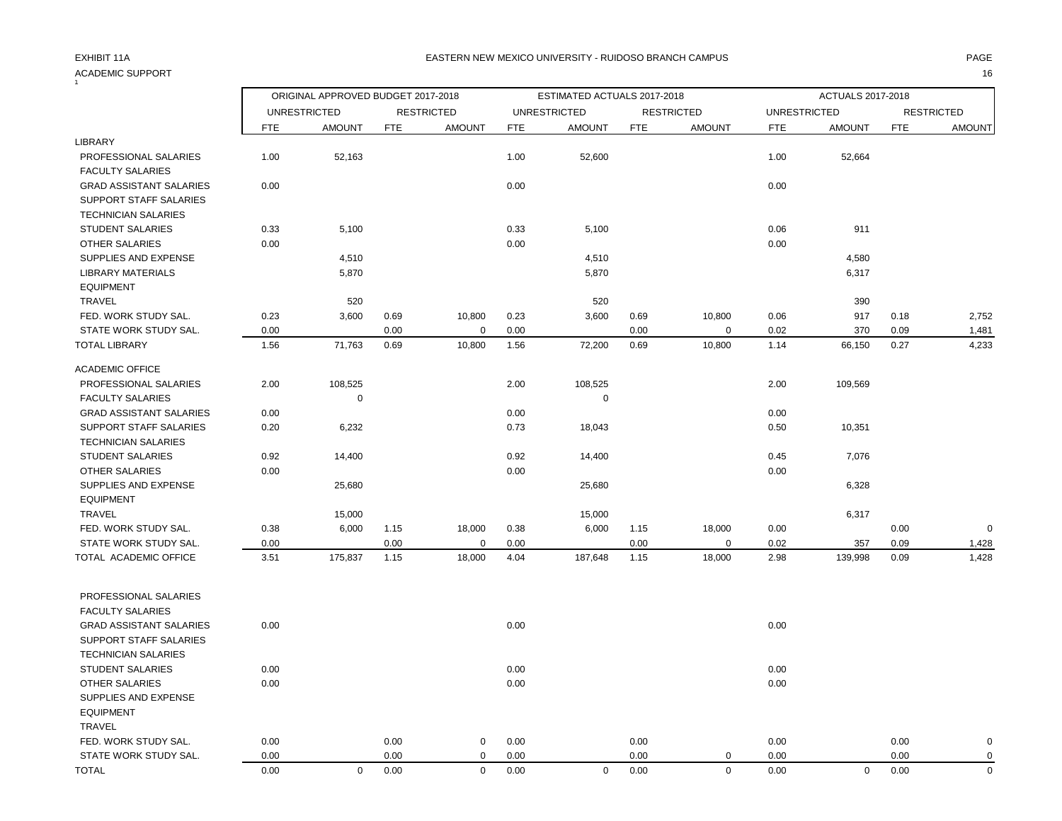### ACADEMIC SUPPORT 16 1

|                                |            | ORIGINAL APPROVED BUDGET 2017-2018 |            |                   |            | ESTIMATED ACTUALS 2017-2018 |            |                   |                     | ACTUALS 2017-2018 |            |                   |
|--------------------------------|------------|------------------------------------|------------|-------------------|------------|-----------------------------|------------|-------------------|---------------------|-------------------|------------|-------------------|
|                                |            | <b>UNRESTRICTED</b>                |            | <b>RESTRICTED</b> |            | <b>UNRESTRICTED</b>         |            | <b>RESTRICTED</b> | <b>UNRESTRICTED</b> |                   |            | <b>RESTRICTED</b> |
|                                | <b>FTE</b> | <b>AMOUNT</b>                      | <b>FTE</b> | <b>AMOUNT</b>     | <b>FTE</b> | <b>AMOUNT</b>               | <b>FTE</b> | <b>AMOUNT</b>     | <b>FTE</b>          | <b>AMOUNT</b>     | <b>FTE</b> | <b>AMOUNT</b>     |
| LIBRARY                        |            |                                    |            |                   |            |                             |            |                   |                     |                   |            |                   |
| PROFESSIONAL SALARIES          | 1.00       | 52,163                             |            |                   | 1.00       | 52,600                      |            |                   | 1.00                | 52,664            |            |                   |
| <b>FACULTY SALARIES</b>        |            |                                    |            |                   |            |                             |            |                   |                     |                   |            |                   |
| <b>GRAD ASSISTANT SALARIES</b> | 0.00       |                                    |            |                   | 0.00       |                             |            |                   | 0.00                |                   |            |                   |
| SUPPORT STAFF SALARIES         |            |                                    |            |                   |            |                             |            |                   |                     |                   |            |                   |
| <b>TECHNICIAN SALARIES</b>     |            |                                    |            |                   |            |                             |            |                   |                     |                   |            |                   |
| <b>STUDENT SALARIES</b>        | 0.33       | 5,100                              |            |                   | 0.33       | 5,100                       |            |                   | 0.06                | 911               |            |                   |
| OTHER SALARIES                 | 0.00       |                                    |            |                   | 0.00       |                             |            |                   | 0.00                |                   |            |                   |
| SUPPLIES AND EXPENSE           |            | 4,510                              |            |                   |            | 4,510                       |            |                   |                     | 4,580             |            |                   |
| <b>LIBRARY MATERIALS</b>       |            | 5,870                              |            |                   |            | 5,870                       |            |                   |                     | 6,317             |            |                   |
| <b>EQUIPMENT</b>               |            |                                    |            |                   |            |                             |            |                   |                     |                   |            |                   |
| TRAVEL                         |            | 520                                |            |                   |            | 520                         |            |                   |                     | 390               |            |                   |
| FED. WORK STUDY SAL.           | 0.23       | 3,600                              | 0.69       | 10,800            | 0.23       | 3,600                       | 0.69       | 10,800            | 0.06                | 917               | 0.18       | 2,752             |
| STATE WORK STUDY SAL.          | 0.00       |                                    | 0.00       | 0                 | 0.00       |                             | 0.00       | 0                 | 0.02                | 370               | 0.09       | 1,481             |
| <b>TOTAL LIBRARY</b>           | 1.56       | 71,763                             | 0.69       | 10,800            | 1.56       | 72,200                      | 0.69       | 10,800            | 1.14                | 66,150            | 0.27       | 4,233             |
| <b>ACADEMIC OFFICE</b>         |            |                                    |            |                   |            |                             |            |                   |                     |                   |            |                   |
| PROFESSIONAL SALARIES          | 2.00       | 108,525                            |            |                   | 2.00       | 108,525                     |            |                   | 2.00                | 109,569           |            |                   |
| <b>FACULTY SALARIES</b>        |            | $\mathbf 0$                        |            |                   |            | $\mathbf 0$                 |            |                   |                     |                   |            |                   |
| <b>GRAD ASSISTANT SALARIES</b> | 0.00       |                                    |            |                   | 0.00       |                             |            |                   | 0.00                |                   |            |                   |
| SUPPORT STAFF SALARIES         | 0.20       | 6,232                              |            |                   | 0.73       | 18,043                      |            |                   | 0.50                | 10,351            |            |                   |
| <b>TECHNICIAN SALARIES</b>     |            |                                    |            |                   |            |                             |            |                   |                     |                   |            |                   |
| <b>STUDENT SALARIES</b>        | 0.92       | 14,400                             |            |                   | 0.92       | 14,400                      |            |                   | 0.45                | 7,076             |            |                   |
| OTHER SALARIES                 | 0.00       |                                    |            |                   | 0.00       |                             |            |                   | 0.00                |                   |            |                   |
| SUPPLIES AND EXPENSE           |            | 25,680                             |            |                   |            | 25,680                      |            |                   |                     | 6,328             |            |                   |
| <b>EQUIPMENT</b>               |            |                                    |            |                   |            |                             |            |                   |                     |                   |            |                   |
| TRAVEL                         |            | 15,000                             |            |                   |            | 15,000                      |            |                   |                     | 6,317             |            |                   |
| FED. WORK STUDY SAL.           | 0.38       | 6,000                              | 1.15       | 18,000            | 0.38       | 6,000                       | 1.15       | 18,000            | 0.00                |                   | 0.00       | $\mathbf 0$       |
| STATE WORK STUDY SAL.          | 0.00       |                                    | 0.00       | $\mathbf 0$       | 0.00       |                             | 0.00       | $\mathbf 0$       | 0.02                | 357               | 0.09       | 1,428             |
| TOTAL ACADEMIC OFFICE          | 3.51       | 175,837                            | 1.15       | 18,000            | 4.04       | 187,648                     | 1.15       | 18,000            | 2.98                | 139,998           | 0.09       | 1,428             |
| PROFESSIONAL SALARIES          |            |                                    |            |                   |            |                             |            |                   |                     |                   |            |                   |
| <b>FACULTY SALARIES</b>        |            |                                    |            |                   |            |                             |            |                   |                     |                   |            |                   |
| <b>GRAD ASSISTANT SALARIES</b> | 0.00       |                                    |            |                   | 0.00       |                             |            |                   | 0.00                |                   |            |                   |
| SUPPORT STAFF SALARIES         |            |                                    |            |                   |            |                             |            |                   |                     |                   |            |                   |
| <b>TECHNICIAN SALARIES</b>     |            |                                    |            |                   |            |                             |            |                   |                     |                   |            |                   |
| <b>STUDENT SALARIES</b>        | 0.00       |                                    |            |                   | 0.00       |                             |            |                   | 0.00                |                   |            |                   |
| <b>OTHER SALARIES</b>          | 0.00       |                                    |            |                   | 0.00       |                             |            |                   | 0.00                |                   |            |                   |
| SUPPLIES AND EXPENSE           |            |                                    |            |                   |            |                             |            |                   |                     |                   |            |                   |
| <b>EQUIPMENT</b>               |            |                                    |            |                   |            |                             |            |                   |                     |                   |            |                   |
| TRAVEL                         |            |                                    |            |                   |            |                             |            |                   |                     |                   |            |                   |
| FED. WORK STUDY SAL.           | 0.00       |                                    | 0.00       | 0                 | 0.00       |                             | 0.00       |                   | 0.00                |                   | 0.00       | 0                 |
| STATE WORK STUDY SAL.          | 0.00       |                                    | 0.00       | $\mathbf 0$       | 0.00       |                             | 0.00       | $\mathbf 0$       | 0.00                |                   | 0.00       | $\mathbf 0$       |
| <b>TOTAL</b>                   | 0.00       | $\mathbf 0$                        | 0.00       | $\mathbf 0$       | 0.00       | $\mathbf 0$                 | 0.00       | $\Omega$          | 0.00                | $\mathbf 0$       | 0.00       | $\mathbf 0$       |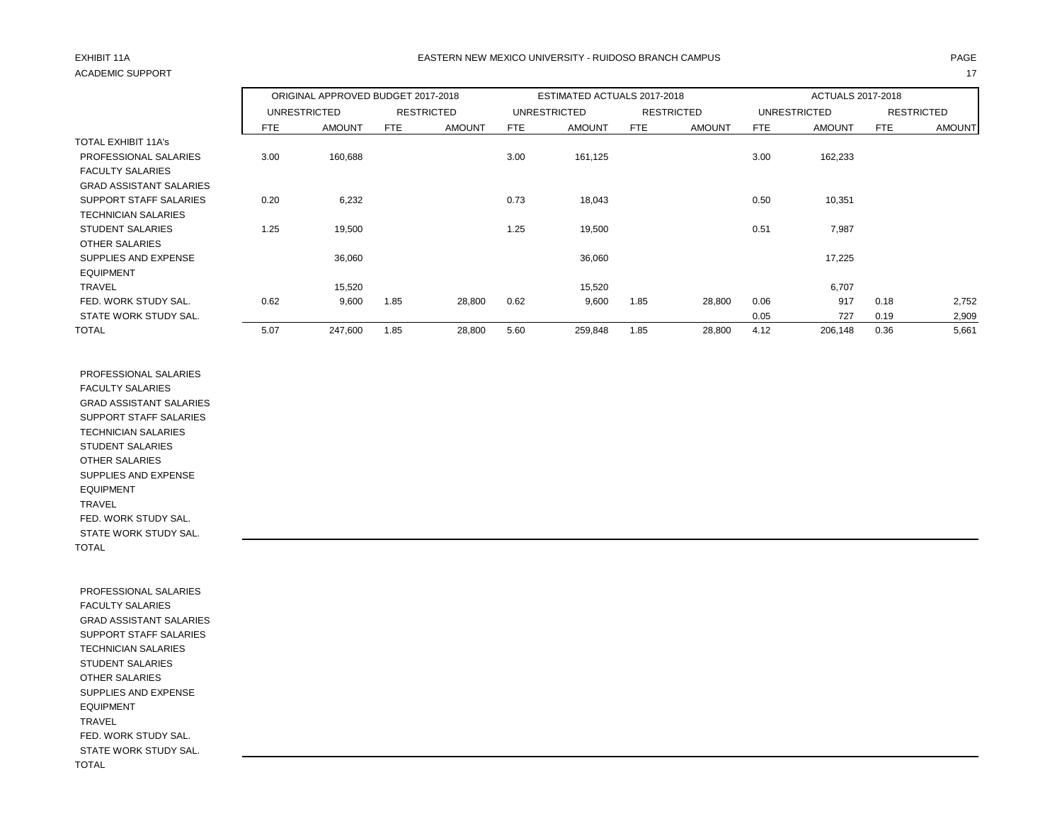# ACADEMIC SUPPORT And the contract of the contract of the contract of the contract of the contract of the contract of the contract of the contract of the contract of the contract of the contract of the contract of the contr

## EXHIBIT 11A PAGE EASTERN NEW MEXICO UNIVERSITY - RUIDOSO BRANCH CAMPUS

|                                |            | ORIGINAL APPROVED BUDGET 2017-2018 |            |                   |            | ESTIMATED ACTUALS 2017-2018 |            |                   |      | ACTUALS 2017-2018 |            |                   |
|--------------------------------|------------|------------------------------------|------------|-------------------|------------|-----------------------------|------------|-------------------|------|-------------------|------------|-------------------|
|                                |            | UNRESTRICTED                       |            | <b>RESTRICTED</b> |            | UNRESTRICTED                |            | <b>RESTRICTED</b> |      | UNRESTRICTED      |            | <b>RESTRICTED</b> |
|                                | <b>FTE</b> | <b>AMOUNT</b>                      | <b>FTE</b> | <b>AMOUNT</b>     | <b>FTE</b> | <b>AMOUNT</b>               | <b>FTE</b> | <b>AMOUNT</b>     | FTE  | <b>AMOUNT</b>     | <b>FTE</b> | <b>AMOUNT</b>     |
| <b>TOTAL EXHIBIT 11A's</b>     |            |                                    |            |                   |            |                             |            |                   |      |                   |            |                   |
| PROFESSIONAL SALARIES          | 3.00       | 160,688                            |            |                   | 3.00       | 161,125                     |            |                   | 3.00 | 162,233           |            |                   |
| <b>FACULTY SALARIES</b>        |            |                                    |            |                   |            |                             |            |                   |      |                   |            |                   |
| <b>GRAD ASSISTANT SALARIES</b> |            |                                    |            |                   |            |                             |            |                   |      |                   |            |                   |
| SUPPORT STAFF SALARIES         | 0.20       | 6,232                              |            |                   | 0.73       | 18,043                      |            |                   | 0.50 | 10,351            |            |                   |
| <b>TECHNICIAN SALARIES</b>     |            |                                    |            |                   |            |                             |            |                   |      |                   |            |                   |
| <b>STUDENT SALARIES</b>        | 1.25       | 19,500                             |            |                   | 1.25       | 19,500                      |            |                   | 0.51 | 7,987             |            |                   |
| <b>OTHER SALARIES</b>          |            |                                    |            |                   |            |                             |            |                   |      |                   |            |                   |
| SUPPLIES AND EXPENSE           |            | 36,060                             |            |                   |            | 36,060                      |            |                   |      | 17,225            |            |                   |
| <b>EQUIPMENT</b>               |            |                                    |            |                   |            |                             |            |                   |      |                   |            |                   |
| <b>TRAVEL</b>                  |            | 15,520                             |            |                   |            | 15,520                      |            |                   |      | 6,707             |            |                   |
| FED. WORK STUDY SAL.           | 0.62       | 9,600                              | 1.85       | 28,800            | 0.62       | 9,600                       | 1.85       | 28,800            | 0.06 | 917               | 0.18       | 2,752             |
| STATE WORK STUDY SAL.          |            |                                    |            |                   |            |                             |            |                   | 0.05 | 727               | 0.19       | 2,909             |
| <b>TOTAL</b>                   | 5.07       | 247,600                            | 1.85       | 28,800            | 5.60       | 259,848                     | 1.85       | 28,800            | 4.12 | 206,148           | 0.36       | 5,661             |

 PROFESSIONAL SALARIES FACULTY SALARIES GRAD ASSISTANT SALARIES SUPPORT STAFF SALARIES TECHNICIAN SALARIES STUDENT SALARIES OTHER SALARIES SUPPLIES AND EXPENSE EQUIPMENT TRAVEL FED. WORK STUDY SAL. STATE WORK STUDY SAL. TOTAL

 PROFESSIONAL SALARIES FACULTY SALARIES GRAD ASSISTANT SALARIES SUPPORT STAFF SALARIES TECHNICIAN SALARIES STUDENT SALARIES OTHER SALARIES SUPPLIES AND EXPENSE EQUIPMENT TRAVEL FED. WORK STUDY SAL. STATE WORK STUDY SAL. TOTAL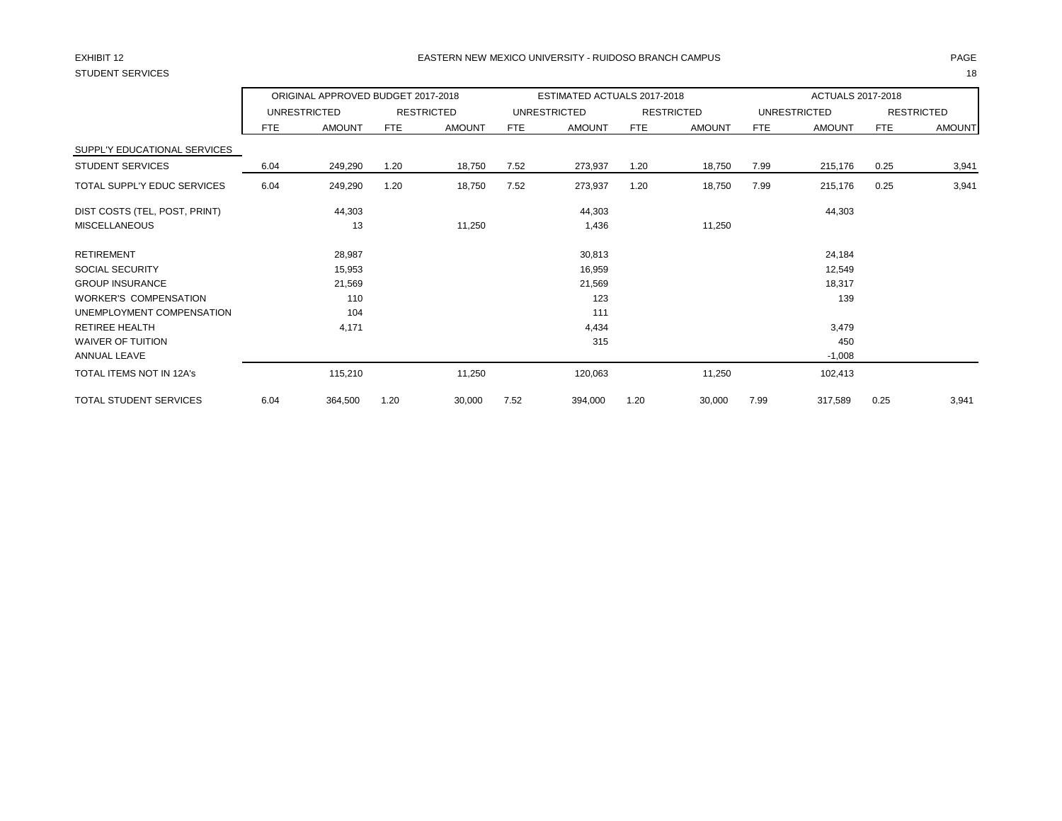# STUDENT SERVICES 18

### EXHIBIT 12 PAGE EASTERN NEW MEXICO UNIVERSITY - RUIDOSO BRANCH CAMPUS

|                               |            | ORIGINAL APPROVED BUDGET 2017-2018 |            |                   |            | ESTIMATED ACTUALS 2017-2018 |            |                   |      | ACTUALS 2017-2018   |      |                   |
|-------------------------------|------------|------------------------------------|------------|-------------------|------------|-----------------------------|------------|-------------------|------|---------------------|------|-------------------|
|                               |            | <b>UNRESTRICTED</b>                |            | <b>RESTRICTED</b> |            | <b>UNRESTRICTED</b>         |            | <b>RESTRICTED</b> |      | <b>UNRESTRICTED</b> |      | <b>RESTRICTED</b> |
|                               | <b>FTE</b> | <b>AMOUNT</b>                      | <b>FTE</b> | <b>AMOUNT</b>     | <b>FTE</b> | <b>AMOUNT</b>               | <b>FTE</b> | <b>AMOUNT</b>     | FTE  | <b>AMOUNT</b>       | FTE  | <b>AMOUNT</b>     |
| SUPPL'Y EDUCATIONAL SERVICES  |            |                                    |            |                   |            |                             |            |                   |      |                     |      |                   |
| <b>STUDENT SERVICES</b>       | 6.04       | 249,290                            | 1.20       | 18,750            | 7.52       | 273,937                     | 1.20       | 18,750            | 7.99 | 215,176             | 0.25 | 3,941             |
| TOTAL SUPPL'Y EDUC SERVICES   | 6.04       | 249,290                            | 1.20       | 18,750            | 7.52       | 273,937                     | 1.20       | 18,750            | 7.99 | 215,176             | 0.25 | 3,941             |
| DIST COSTS (TEL, POST, PRINT) |            | 44,303                             |            |                   |            | 44,303                      |            |                   |      | 44,303              |      |                   |
| <b>MISCELLANEOUS</b>          |            | 13                                 |            | 11,250            |            | 1,436                       |            | 11,250            |      |                     |      |                   |
| <b>RETIREMENT</b>             |            | 28,987                             |            |                   |            | 30,813                      |            |                   |      | 24,184              |      |                   |
| <b>SOCIAL SECURITY</b>        |            | 15,953                             |            |                   |            | 16,959                      |            |                   |      | 12,549              |      |                   |
| <b>GROUP INSURANCE</b>        |            | 21,569                             |            |                   |            | 21,569                      |            |                   |      | 18,317              |      |                   |
| <b>WORKER'S COMPENSATION</b>  |            | 110                                |            |                   |            | 123                         |            |                   |      | 139                 |      |                   |
| UNEMPLOYMENT COMPENSATION     |            | 104                                |            |                   |            | 111                         |            |                   |      |                     |      |                   |
| <b>RETIREE HEALTH</b>         |            | 4,171                              |            |                   |            | 4,434                       |            |                   |      | 3,479               |      |                   |
| <b>WAIVER OF TUITION</b>      |            |                                    |            |                   |            | 315                         |            |                   |      | 450                 |      |                   |
| ANNUAL LEAVE                  |            |                                    |            |                   |            |                             |            |                   |      | $-1,008$            |      |                   |
| TOTAL ITEMS NOT IN 12A's      |            | 115,210                            |            | 11,250            |            | 120,063                     |            | 11,250            |      | 102,413             |      |                   |
| TOTAL STUDENT SERVICES        | 6.04       | 364,500                            | 1.20       | 30,000            | 7.52       | 394,000                     | 1.20       | 30,000            | 7.99 | 317,589             | 0.25 | 3,941             |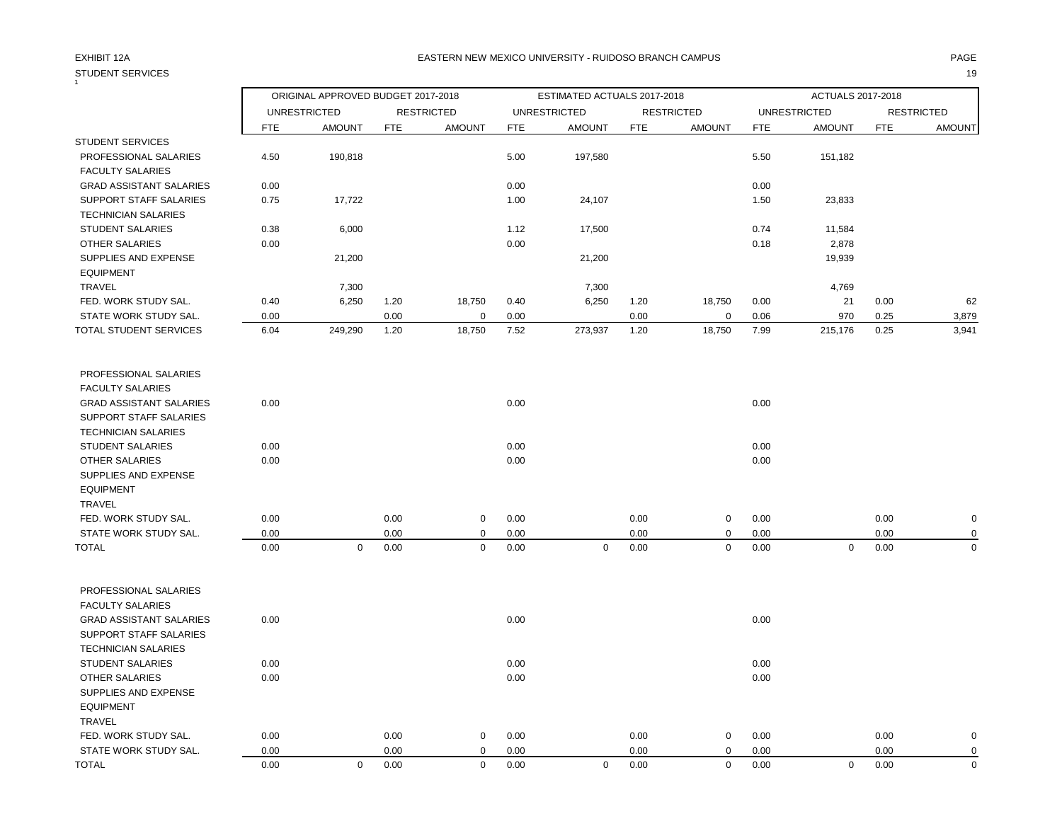# STUDENT SERVICES 19

### EXHIBIT 12A PAGE EASTERN NEW MEXICO UNIVERSITY - RUIDOSO BRANCH CAMPUS

|                                |            | ORIGINAL APPROVED BUDGET 2017-2018 |            |                   |            | ESTIMATED ACTUALS 2017-2018 |            |                   |            | <b>ACTUALS 2017-2018</b> |            |                   |
|--------------------------------|------------|------------------------------------|------------|-------------------|------------|-----------------------------|------------|-------------------|------------|--------------------------|------------|-------------------|
|                                |            | <b>UNRESTRICTED</b>                |            | <b>RESTRICTED</b> |            | <b>UNRESTRICTED</b>         |            | <b>RESTRICTED</b> |            | <b>UNRESTRICTED</b>      |            | <b>RESTRICTED</b> |
|                                | <b>FTE</b> | <b>AMOUNT</b>                      | <b>FTE</b> | <b>AMOUNT</b>     | <b>FTE</b> | <b>AMOUNT</b>               | <b>FTE</b> | <b>AMOUNT</b>     | <b>FTE</b> | <b>AMOUNT</b>            | <b>FTE</b> | <b>AMOUNT</b>     |
| <b>STUDENT SERVICES</b>        |            |                                    |            |                   |            |                             |            |                   |            |                          |            |                   |
| PROFESSIONAL SALARIES          | 4.50       | 190,818                            |            |                   | 5.00       | 197,580                     |            |                   | 5.50       | 151,182                  |            |                   |
| <b>FACULTY SALARIES</b>        |            |                                    |            |                   |            |                             |            |                   |            |                          |            |                   |
| <b>GRAD ASSISTANT SALARIES</b> | 0.00       |                                    |            |                   | 0.00       |                             |            |                   | 0.00       |                          |            |                   |
| <b>SUPPORT STAFF SALARIES</b>  | 0.75       | 17,722                             |            |                   | 1.00       | 24,107                      |            |                   | 1.50       | 23,833                   |            |                   |
| <b>TECHNICIAN SALARIES</b>     |            |                                    |            |                   |            |                             |            |                   |            |                          |            |                   |
| <b>STUDENT SALARIES</b>        | 0.38       | 6,000                              |            |                   | 1.12       | 17,500                      |            |                   | 0.74       | 11,584                   |            |                   |
| <b>OTHER SALARIES</b>          | 0.00       |                                    |            |                   | 0.00       |                             |            |                   | 0.18       | 2,878                    |            |                   |
| SUPPLIES AND EXPENSE           |            | 21,200                             |            |                   |            | 21,200                      |            |                   |            | 19,939                   |            |                   |
| <b>EQUIPMENT</b>               |            |                                    |            |                   |            |                             |            |                   |            |                          |            |                   |
| TRAVEL                         |            | 7,300                              |            |                   |            | 7,300                       |            |                   |            | 4,769                    |            |                   |
| FED. WORK STUDY SAL.           | 0.40       | 6,250                              | 1.20       | 18,750            | 0.40       | 6,250                       | 1.20       | 18,750            | 0.00       | 21                       | 0.00       | 62                |
| STATE WORK STUDY SAL.          | 0.00       |                                    | 0.00       | $\overline{0}$    | 0.00       |                             | 0.00       | 0                 | 0.06       | 970                      | 0.25       | 3,879             |
| TOTAL STUDENT SERVICES         | 6.04       | 249,290                            | 1.20       | 18,750            | 7.52       | 273,937                     | 1.20       | 18,750            | 7.99       | 215,176                  | 0.25       | 3,941             |
| PROFESSIONAL SALARIES          |            |                                    |            |                   |            |                             |            |                   |            |                          |            |                   |
| <b>FACULTY SALARIES</b>        |            |                                    |            |                   |            |                             |            |                   |            |                          |            |                   |
| <b>GRAD ASSISTANT SALARIES</b> | 0.00       |                                    |            |                   | 0.00       |                             |            |                   | 0.00       |                          |            |                   |
| SUPPORT STAFF SALARIES         |            |                                    |            |                   |            |                             |            |                   |            |                          |            |                   |
| <b>TECHNICIAN SALARIES</b>     |            |                                    |            |                   |            |                             |            |                   |            |                          |            |                   |
| <b>STUDENT SALARIES</b>        | 0.00       |                                    |            |                   | 0.00       |                             |            |                   | 0.00       |                          |            |                   |
| <b>OTHER SALARIES</b>          | 0.00       |                                    |            |                   | 0.00       |                             |            |                   | 0.00       |                          |            |                   |
| SUPPLIES AND EXPENSE           |            |                                    |            |                   |            |                             |            |                   |            |                          |            |                   |
| <b>EQUIPMENT</b>               |            |                                    |            |                   |            |                             |            |                   |            |                          |            |                   |
| <b>TRAVEL</b>                  |            |                                    |            |                   |            |                             |            |                   |            |                          |            |                   |
| FED. WORK STUDY SAL.           | 0.00       |                                    | 0.00       | $\mathbf 0$       | 0.00       |                             | 0.00       | 0                 | 0.00       |                          | 0.00       | $\mathbf 0$       |
| STATE WORK STUDY SAL.          | 0.00       |                                    | 0.00       | $\mathbf 0$       | 0.00       |                             | 0.00       | 0                 | 0.00       |                          | 0.00       | $\mathbf 0$       |
| <b>TOTAL</b>                   | 0.00       | $\mathbf 0$                        | 0.00       | $\mathbf 0$       | 0.00       | $\mathbf 0$                 | 0.00       | 0                 | 0.00       | $\mathbf 0$              | 0.00       | $\mathbf 0$       |
| PROFESSIONAL SALARIES          |            |                                    |            |                   |            |                             |            |                   |            |                          |            |                   |
| <b>FACULTY SALARIES</b>        |            |                                    |            |                   |            |                             |            |                   |            |                          |            |                   |
| <b>GRAD ASSISTANT SALARIES</b> | 0.00       |                                    |            |                   | 0.00       |                             |            |                   | 0.00       |                          |            |                   |
| <b>SUPPORT STAFF SALARIES</b>  |            |                                    |            |                   |            |                             |            |                   |            |                          |            |                   |
| <b>TECHNICIAN SALARIES</b>     |            |                                    |            |                   |            |                             |            |                   |            |                          |            |                   |
| <b>STUDENT SALARIES</b>        | 0.00       |                                    |            |                   | 0.00       |                             |            |                   | 0.00       |                          |            |                   |
| <b>OTHER SALARIES</b>          | 0.00       |                                    |            |                   | 0.00       |                             |            |                   | 0.00       |                          |            |                   |
| SUPPLIES AND EXPENSE           |            |                                    |            |                   |            |                             |            |                   |            |                          |            |                   |
| <b>EQUIPMENT</b>               |            |                                    |            |                   |            |                             |            |                   |            |                          |            |                   |
| <b>TRAVEL</b>                  |            |                                    |            |                   |            |                             |            |                   |            |                          |            |                   |
| FED. WORK STUDY SAL.           | 0.00       |                                    | 0.00       | $\mathbf 0$       | 0.00       |                             | 0.00       | 0                 | 0.00       |                          | 0.00       | $\mathbf 0$       |
| STATE WORK STUDY SAL.          | 0.00       |                                    | 0.00       | 0                 | 0.00       |                             | 0.00       | 0                 | 0.00       |                          | 0.00       | $\mathbf 0$       |

TOTAL 0.00 0 0.00 0 0.00 0 0.00 0 0.00 0 0.00 0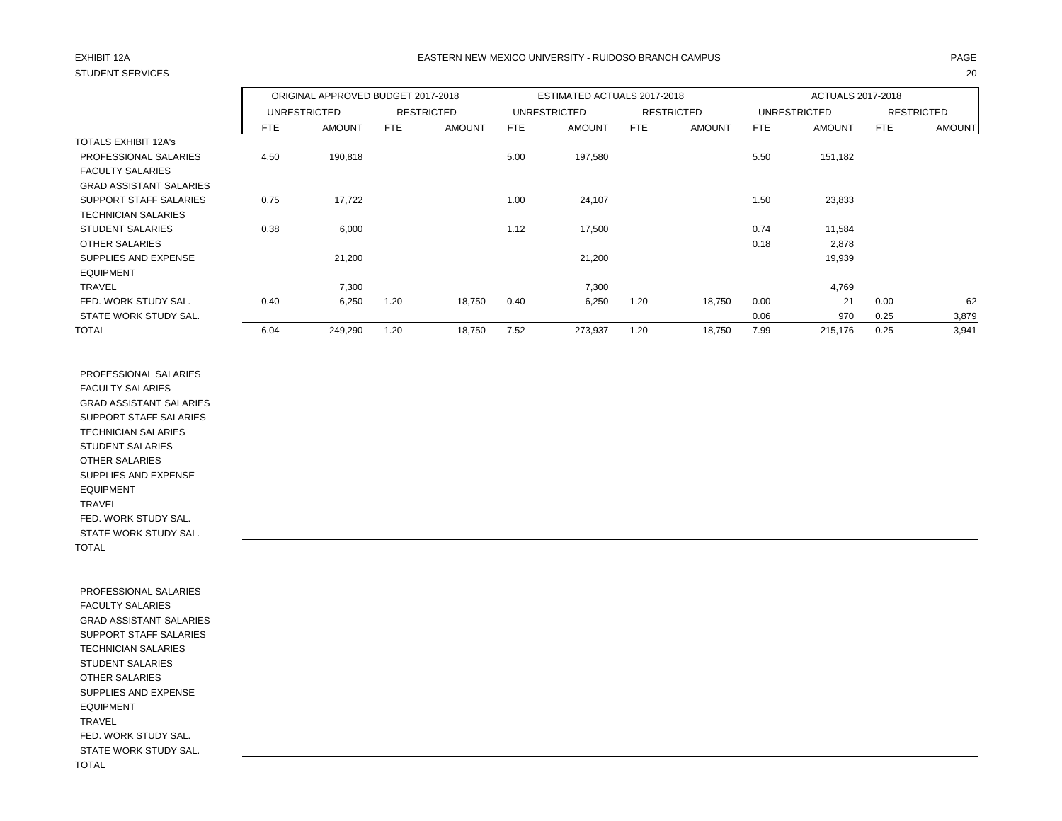# STUDENT SERVICES 20

## EXHIBIT 12A PAGE EASTERN NEW MEXICO UNIVERSITY - RUIDOSO BRANCH CAMPUS

|                                |      | ORIGINAL APPROVED BUDGET 2017-2018 |      |                   |      | ESTIMATED ACTUALS 2017-2018 |      |                   |      | ACTUALS 2017-2018   |      |                   |
|--------------------------------|------|------------------------------------|------|-------------------|------|-----------------------------|------|-------------------|------|---------------------|------|-------------------|
|                                |      | <b>UNRESTRICTED</b>                |      | <b>RESTRICTED</b> |      | <b>UNRESTRICTED</b>         |      | <b>RESTRICTED</b> |      | <b>UNRESTRICTED</b> |      | <b>RESTRICTED</b> |
|                                | FTE  | <b>AMOUNT</b>                      | FTE  | <b>AMOUNT</b>     | FTE. | <b>AMOUNT</b>               | FTE  | <b>AMOUNT</b>     | FTE  | <b>AMOUNT</b>       | FTE  | <b>AMOUNT</b>     |
| <b>TOTALS EXHIBIT 12A's</b>    |      |                                    |      |                   |      |                             |      |                   |      |                     |      |                   |
| PROFESSIONAL SALARIES          | 4.50 | 190,818                            |      |                   | 5.00 | 197,580                     |      |                   | 5.50 | 151,182             |      |                   |
| <b>FACULTY SALARIES</b>        |      |                                    |      |                   |      |                             |      |                   |      |                     |      |                   |
| <b>GRAD ASSISTANT SALARIES</b> |      |                                    |      |                   |      |                             |      |                   |      |                     |      |                   |
| SUPPORT STAFF SALARIES         | 0.75 | 17,722                             |      |                   | 1.00 | 24,107                      |      |                   | 1.50 | 23,833              |      |                   |
| TECHNICIAN SALARIES            |      |                                    |      |                   |      |                             |      |                   |      |                     |      |                   |
| <b>STUDENT SALARIES</b>        | 0.38 | 6,000                              |      |                   | 1.12 | 17,500                      |      |                   | 0.74 | 11,584              |      |                   |
| OTHER SALARIES                 |      |                                    |      |                   |      |                             |      |                   | 0.18 | 2,878               |      |                   |
| SUPPLIES AND EXPENSE           |      | 21,200                             |      |                   |      | 21,200                      |      |                   |      | 19,939              |      |                   |
| <b>EQUIPMENT</b>               |      |                                    |      |                   |      |                             |      |                   |      |                     |      |                   |
| <b>TRAVEL</b>                  |      | 7,300                              |      |                   |      | 7,300                       |      |                   |      | 4,769               |      |                   |
| FED. WORK STUDY SAL.           | 0.40 | 6,250                              | 1.20 | 18,750            | 0.40 | 6,250                       | 1.20 | 18,750            | 0.00 | 21                  | 0.00 | 62                |
| STATE WORK STUDY SAL.          |      |                                    |      |                   |      |                             |      |                   | 0.06 | 970                 | 0.25 | 3,879             |
| <b>TOTAL</b>                   | 6.04 | 249,290                            | 1.20 | 18,750            | 7.52 | 273,937                     | 1.20 | 18,750            | 7.99 | 215,176             | 0.25 | 3,941             |

 PROFESSIONAL SALARIES FACULTY SALARIES GRAD ASSISTANT SALARIES SUPPORT STAFF SALARIES TECHNICIAN SALARIES STUDENT SALARIES OTHER SALARIES SUPPLIES AND EXPENSE EQUIPMENT TRAVEL FED. WORK STUDY SAL. STATE WORK STUDY SAL. TOTAL

 PROFESSIONAL SALARIES FACULTY SALARIES GRAD ASSISTANT SALARIES SUPPORT STAFF SALARIES TECHNICIAN SALARIES STUDENT SALARIES OTHER SALARIES SUPPLIES AND EXPENSE EQUIPMENT TRAVEL FED. WORK STUDY SAL. STATE WORK STUDY SAL. TOTAL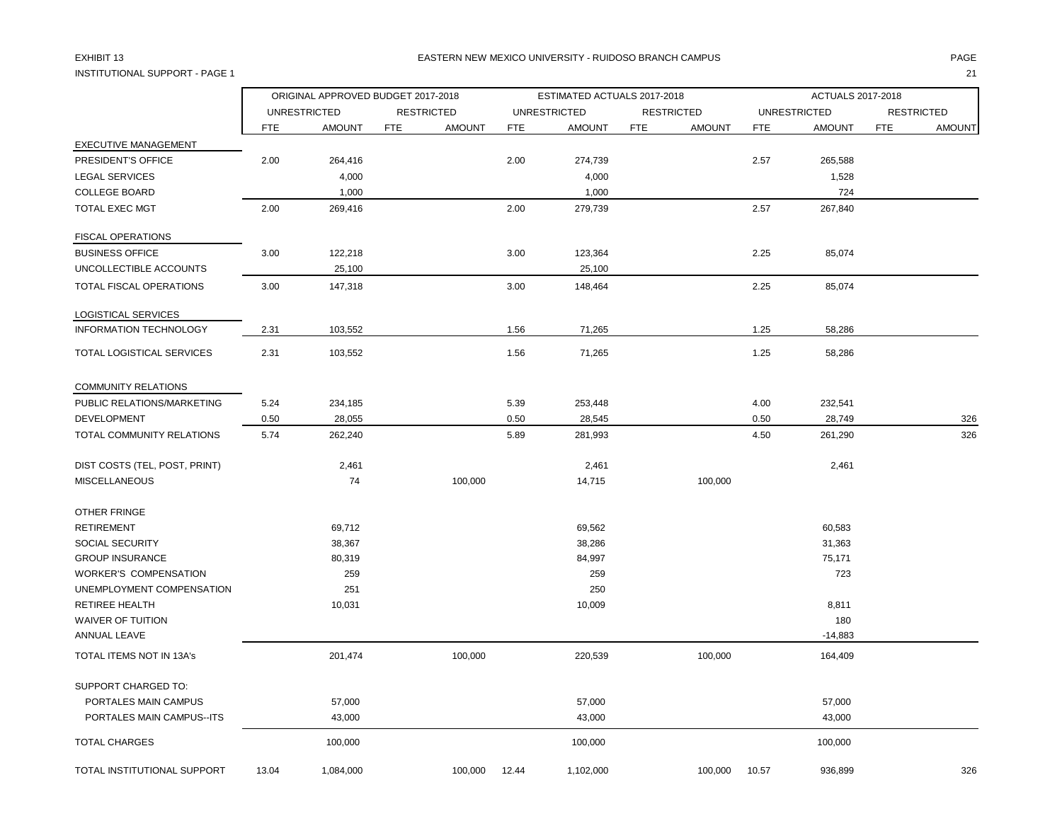## INSTITUTIONAL SUPPORT - PAGE 1 21

### EXHIBIT 13 PAGE EASTERN NEW MEXICO UNIVERSITY - RUIDOSO BRANCH CAMPUS

|                                 |            | ORIGINAL APPROVED BUDGET 2017-2018 |            |                   |            | ESTIMATED ACTUALS 2017-2018 |            |                   |            | ACTUALS 2017-2018   |            |                   |
|---------------------------------|------------|------------------------------------|------------|-------------------|------------|-----------------------------|------------|-------------------|------------|---------------------|------------|-------------------|
|                                 |            | <b>UNRESTRICTED</b>                |            | <b>RESTRICTED</b> |            | <b>UNRESTRICTED</b>         |            | <b>RESTRICTED</b> |            | <b>UNRESTRICTED</b> |            | <b>RESTRICTED</b> |
|                                 | <b>FTE</b> | <b>AMOUNT</b>                      | <b>FTE</b> | <b>AMOUNT</b>     | <b>FTE</b> | <b>AMOUNT</b>               | <b>FTE</b> | <b>AMOUNT</b>     | <b>FTE</b> | <b>AMOUNT</b>       | <b>FTE</b> | <b>AMOUNT</b>     |
| <b>EXECUTIVE MANAGEMENT</b>     |            |                                    |            |                   |            |                             |            |                   |            |                     |            |                   |
| PRESIDENT'S OFFICE              | 2.00       | 264,416                            |            |                   | 2.00       | 274,739                     |            |                   | 2.57       | 265,588             |            |                   |
| <b>LEGAL SERVICES</b>           |            | 4,000                              |            |                   |            | 4,000                       |            |                   |            | 1,528               |            |                   |
| <b>COLLEGE BOARD</b>            |            | 1,000                              |            |                   |            | 1,000                       |            |                   |            | 724                 |            |                   |
| TOTAL EXEC MGT                  | 2.00       | 269,416                            |            |                   | 2.00       | 279,739                     |            |                   | 2.57       | 267,840             |            |                   |
| <b>FISCAL OPERATIONS</b>        |            |                                    |            |                   |            |                             |            |                   |            |                     |            |                   |
| <b>BUSINESS OFFICE</b>          | 3.00       | 122,218                            |            |                   | 3.00       | 123,364                     |            |                   | 2.25       | 85,074              |            |                   |
| UNCOLLECTIBLE ACCOUNTS          |            | 25,100                             |            |                   |            | 25,100                      |            |                   |            |                     |            |                   |
| TOTAL FISCAL OPERATIONS         | 3.00       | 147,318                            |            |                   | 3.00       | 148,464                     |            |                   | 2.25       | 85,074              |            |                   |
| LOGISTICAL SERVICES             |            |                                    |            |                   |            |                             |            |                   |            |                     |            |                   |
| <b>INFORMATION TECHNOLOGY</b>   | 2.31       | 103,552                            |            |                   | 1.56       | 71,265                      |            |                   | 1.25       | 58,286              |            |                   |
| TOTAL LOGISTICAL SERVICES       | 2.31       | 103,552                            |            |                   | 1.56       | 71,265                      |            |                   | 1.25       | 58,286              |            |                   |
| <b>COMMUNITY RELATIONS</b>      |            |                                    |            |                   |            |                             |            |                   |            |                     |            |                   |
| PUBLIC RELATIONS/MARKETING      | 5.24       | 234,185                            |            |                   | 5.39       | 253,448                     |            |                   | 4.00       | 232,541             |            |                   |
| <b>DEVELOPMENT</b>              | 0.50       | 28,055                             |            |                   | 0.50       | 28,545                      |            |                   | 0.50       | 28,749              |            | 326               |
| TOTAL COMMUNITY RELATIONS       | 5.74       | 262,240                            |            |                   | 5.89       | 281,993                     |            |                   | 4.50       | 261,290             |            | 326               |
| DIST COSTS (TEL, POST, PRINT)   |            | 2,461                              |            |                   |            | 2,461                       |            |                   |            | 2,461               |            |                   |
| <b>MISCELLANEOUS</b>            |            | 74                                 |            | 100,000           |            | 14,715                      |            | 100,000           |            |                     |            |                   |
| OTHER FRINGE                    |            |                                    |            |                   |            |                             |            |                   |            |                     |            |                   |
| <b>RETIREMENT</b>               |            | 69,712                             |            |                   |            | 69,562                      |            |                   |            | 60,583              |            |                   |
| SOCIAL SECURITY                 |            | 38,367                             |            |                   |            | 38,286                      |            |                   |            | 31,363              |            |                   |
| <b>GROUP INSURANCE</b>          |            | 80,319                             |            |                   |            | 84,997                      |            |                   |            | 75,171              |            |                   |
| <b>WORKER'S COMPENSATION</b>    |            | 259                                |            |                   |            | 259                         |            |                   |            | 723                 |            |                   |
| UNEMPLOYMENT COMPENSATION       |            | 251                                |            |                   |            | 250                         |            |                   |            |                     |            |                   |
| <b>RETIREE HEALTH</b>           |            | 10,031                             |            |                   |            | 10,009                      |            |                   |            | 8,811               |            |                   |
| <b>WAIVER OF TUITION</b>        |            |                                    |            |                   |            |                             |            |                   |            | 180                 |            |                   |
| ANNUAL LEAVE                    |            |                                    |            |                   |            |                             |            |                   |            | $-14,883$           |            |                   |
| <b>TOTAL ITEMS NOT IN 13A's</b> |            | 201,474                            |            | 100,000           |            | 220,539                     |            | 100,000           |            | 164,409             |            |                   |
| SUPPORT CHARGED TO:             |            |                                    |            |                   |            |                             |            |                   |            |                     |            |                   |
| PORTALES MAIN CAMPUS            |            | 57,000                             |            |                   |            | 57,000                      |            |                   |            | 57,000              |            |                   |
| PORTALES MAIN CAMPUS--ITS       |            | 43,000                             |            |                   |            | 43,000                      |            |                   |            | 43,000              |            |                   |
| <b>TOTAL CHARGES</b>            |            | 100,000                            |            |                   |            | 100,000                     |            |                   |            | 100,000             |            |                   |
| TOTAL INSTITUTIONAL SUPPORT     | 13.04      | 1,084,000                          |            | 100,000           | 12.44      | 1,102,000                   |            | 100,000           | 10.57      | 936,899             |            | 326               |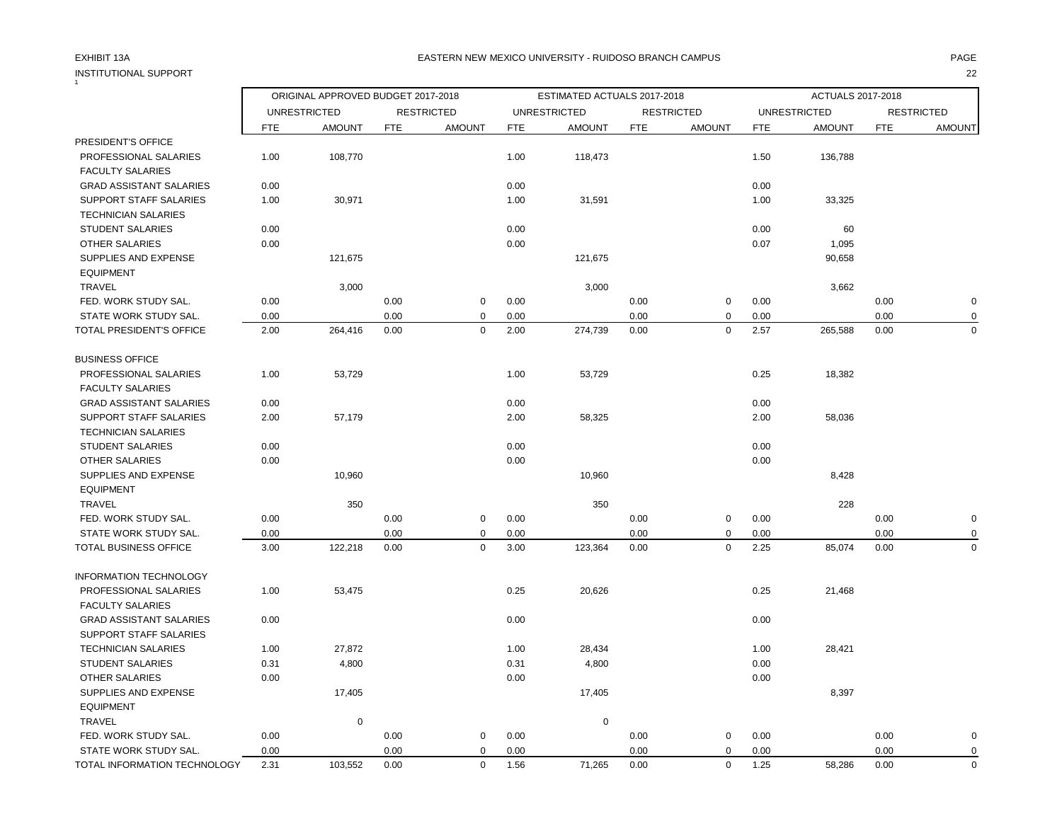## INSTITUTIONAL SUPPORT 22 1

### EXHIBIT 13A PAGE EASTERN NEW MEXICO UNIVERSITY - RUIDOSO BRANCH CAMPUS

|                                                           |              | ORIGINAL APPROVED BUDGET 2017-2018<br>ESTIMATED ACTUALS 2017-2018 |              |                            |              |                     |              |                   |              | ACTUALS 2017-2018   |              |                   |
|-----------------------------------------------------------|--------------|-------------------------------------------------------------------|--------------|----------------------------|--------------|---------------------|--------------|-------------------|--------------|---------------------|--------------|-------------------|
|                                                           |              | <b>UNRESTRICTED</b>                                               |              | <b>RESTRICTED</b>          |              | <b>UNRESTRICTED</b> |              | <b>RESTRICTED</b> |              | <b>UNRESTRICTED</b> |              | <b>RESTRICTED</b> |
|                                                           | <b>FTE</b>   | <b>AMOUNT</b>                                                     | <b>FTE</b>   | <b>AMOUNT</b>              | <b>FTE</b>   | <b>AMOUNT</b>       | <b>FTE</b>   | <b>AMOUNT</b>     | <b>FTE</b>   | <b>AMOUNT</b>       | <b>FTE</b>   | <b>AMOUNT</b>     |
| PRESIDENT'S OFFICE                                        |              |                                                                   |              |                            |              |                     |              |                   |              |                     |              |                   |
| PROFESSIONAL SALARIES                                     | 1.00         | 108,770                                                           |              |                            | 1.00         | 118,473             |              |                   | 1.50         | 136,788             |              |                   |
| <b>FACULTY SALARIES</b><br><b>GRAD ASSISTANT SALARIES</b> |              |                                                                   |              |                            |              |                     |              |                   |              |                     |              |                   |
| <b>SUPPORT STAFF SALARIES</b>                             | 0.00<br>1.00 | 30,971                                                            |              |                            | 0.00<br>1.00 |                     |              |                   | 0.00<br>1.00 |                     |              |                   |
|                                                           |              |                                                                   |              |                            |              | 31,591              |              |                   |              | 33,325              |              |                   |
| <b>TECHNICIAN SALARIES</b>                                | 0.00         |                                                                   |              |                            | 0.00         |                     |              |                   | 0.00         | 60                  |              |                   |
| <b>STUDENT SALARIES</b>                                   |              |                                                                   |              |                            |              |                     |              |                   |              |                     |              |                   |
| OTHER SALARIES                                            | 0.00         |                                                                   |              |                            | 0.00         |                     |              |                   | 0.07         | 1,095               |              |                   |
| SUPPLIES AND EXPENSE<br><b>EQUIPMENT</b>                  |              | 121,675                                                           |              |                            |              | 121,675             |              |                   |              | 90,658              |              |                   |
|                                                           |              |                                                                   |              |                            |              |                     |              |                   |              |                     |              |                   |
| <b>TRAVEL</b><br>FED. WORK STUDY SAL.                     | 0.00         | 3,000                                                             | 0.00         | $\mathsf 0$                | 0.00         | 3,000               | 0.00         | $\pmb{0}$         | 0.00         | 3,662               |              | $\pmb{0}$         |
|                                                           |              |                                                                   |              |                            |              |                     |              |                   |              |                     | 0.00         |                   |
| STATE WORK STUDY SAL.                                     | 0.00<br>2.00 |                                                                   | 0.00<br>0.00 | $\mathbf 0$<br>$\mathbf 0$ | 0.00<br>2.00 | 274,739             | 0.00<br>0.00 | 0<br>$\mathbf 0$  | 0.00<br>2.57 |                     | 0.00<br>0.00 | 0<br>$\mathbf 0$  |
| TOTAL PRESIDENT'S OFFICE                                  |              | 264,416                                                           |              |                            |              |                     |              |                   |              | 265,588             |              |                   |
| <b>BUSINESS OFFICE</b>                                    |              |                                                                   |              |                            |              |                     |              |                   |              |                     |              |                   |
| PROFESSIONAL SALARIES                                     | 1.00         | 53,729                                                            |              |                            | 1.00         | 53,729              |              |                   | 0.25         | 18,382              |              |                   |
| <b>FACULTY SALARIES</b>                                   |              |                                                                   |              |                            |              |                     |              |                   |              |                     |              |                   |
| <b>GRAD ASSISTANT SALARIES</b>                            | 0.00         |                                                                   |              |                            | 0.00         |                     |              |                   | 0.00         |                     |              |                   |
| SUPPORT STAFF SALARIES                                    | 2.00         | 57,179                                                            |              |                            | 2.00         | 58,325              |              |                   | 2.00         | 58,036              |              |                   |
| <b>TECHNICIAN SALARIES</b>                                |              |                                                                   |              |                            |              |                     |              |                   |              |                     |              |                   |
| <b>STUDENT SALARIES</b>                                   | 0.00         |                                                                   |              |                            | 0.00         |                     |              |                   | 0.00         |                     |              |                   |
| OTHER SALARIES                                            | 0.00         |                                                                   |              |                            | 0.00         |                     |              |                   | 0.00         |                     |              |                   |
| SUPPLIES AND EXPENSE                                      |              | 10,960                                                            |              |                            |              | 10,960              |              |                   |              | 8,428               |              |                   |
| <b>EQUIPMENT</b>                                          |              |                                                                   |              |                            |              |                     |              |                   |              |                     |              |                   |
| <b>TRAVEL</b>                                             |              | 350                                                               |              |                            |              | 350                 |              |                   |              | 228                 |              |                   |
| FED. WORK STUDY SAL.                                      | 0.00         |                                                                   | 0.00         | $\mathbf 0$                | 0.00         |                     | 0.00         | $\mathbf 0$       | 0.00         |                     | 0.00         | $\mathbf 0$       |
| STATE WORK STUDY SAL.                                     | 0.00         |                                                                   | 0.00         | $\mathbf 0$                | 0.00         |                     | 0.00         | $\pmb{0}$         | 0.00         |                     | 0.00         | 0                 |
| <b>TOTAL BUSINESS OFFICE</b>                              | 3.00         | 122,218                                                           | 0.00         | $\mathbf 0$                | 3.00         | 123,364             | 0.00         | $\pmb{0}$         | 2.25         | 85,074              | 0.00         | $\mathbf 0$       |
|                                                           |              |                                                                   |              |                            |              |                     |              |                   |              |                     |              |                   |
| <b>INFORMATION TECHNOLOGY</b>                             |              |                                                                   |              |                            |              |                     |              |                   |              |                     |              |                   |
| PROFESSIONAL SALARIES                                     | 1.00         | 53,475                                                            |              |                            | 0.25         | 20,626              |              |                   | 0.25         | 21,468              |              |                   |
| <b>FACULTY SALARIES</b>                                   |              |                                                                   |              |                            |              |                     |              |                   |              |                     |              |                   |
| <b>GRAD ASSISTANT SALARIES</b>                            | 0.00         |                                                                   |              |                            | 0.00         |                     |              |                   | 0.00         |                     |              |                   |
| SUPPORT STAFF SALARIES                                    |              |                                                                   |              |                            |              |                     |              |                   |              |                     |              |                   |
| <b>TECHNICIAN SALARIES</b>                                | 1.00         | 27,872                                                            |              |                            | 1.00         | 28,434              |              |                   | 1.00         | 28,421              |              |                   |
| <b>STUDENT SALARIES</b>                                   | 0.31         | 4,800                                                             |              |                            | 0.31         | 4,800               |              |                   | 0.00         |                     |              |                   |
| OTHER SALARIES                                            | 0.00         |                                                                   |              |                            | 0.00         |                     |              |                   | 0.00         |                     |              |                   |
| SUPPLIES AND EXPENSE                                      |              | 17,405                                                            |              |                            |              | 17,405              |              |                   |              | 8,397               |              |                   |
| <b>EQUIPMENT</b>                                          |              |                                                                   |              |                            |              |                     |              |                   |              |                     |              |                   |
| TRAVEL                                                    |              | $\mathbf 0$                                                       |              |                            |              | 0                   |              |                   |              |                     |              |                   |
| FED. WORK STUDY SAL.                                      | 0.00         |                                                                   | 0.00         | $\mathbf 0$                | 0.00         |                     | 0.00         | $\mathbf 0$       | 0.00         |                     | 0.00         | $\pmb{0}$         |
| STATE WORK STUDY SAL.                                     | 0.00         |                                                                   | 0.00         | $\mathbf 0$                | 0.00         |                     | 0.00         | $\pmb{0}$         | 0.00         |                     | 0.00         | $\mathbf 0$       |
| TOTAL INFORMATION TECHNOLOGY                              | 2.31         | 103.552                                                           | 0.00         | $\Omega$                   | 1.56         | 71.265              | 0.00         | $\mathbf 0$       | 1.25         | 58.286              | 0.00         | $\Omega$          |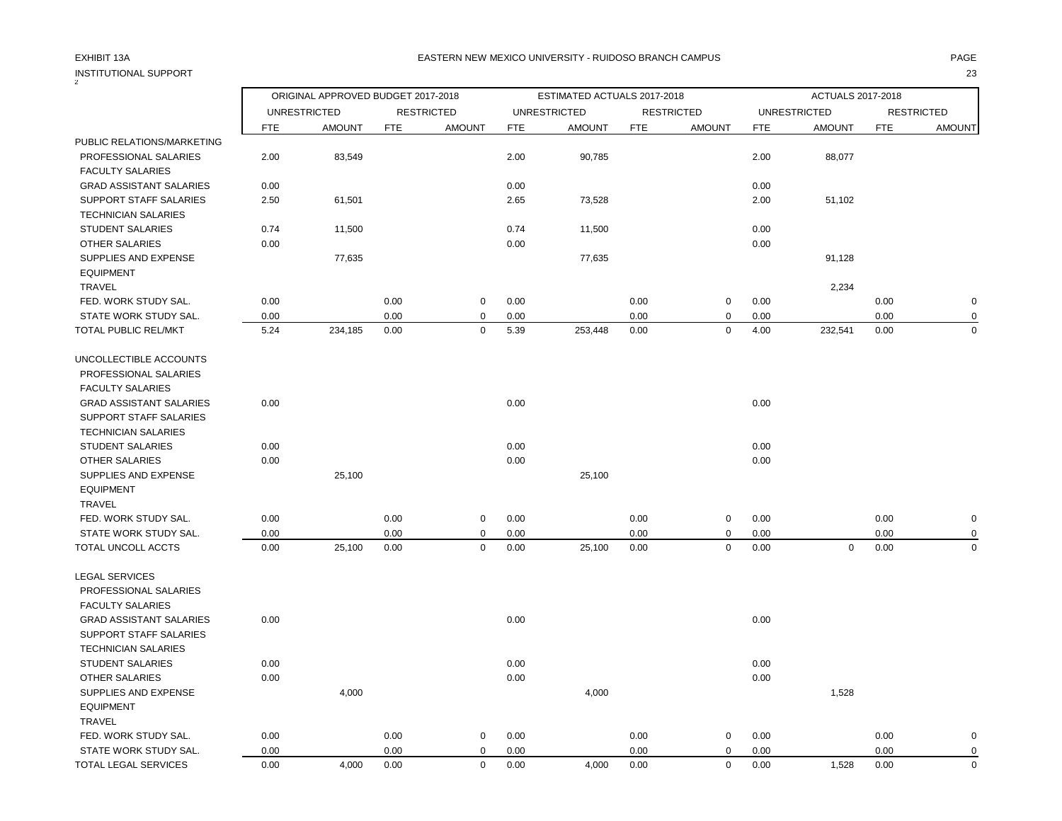| <b>INSTITUTIONAL SUPPORT</b>   |            |                                    |            |                   |            |                             |            |                   |            |                     |            | 23                |
|--------------------------------|------------|------------------------------------|------------|-------------------|------------|-----------------------------|------------|-------------------|------------|---------------------|------------|-------------------|
|                                |            | ORIGINAL APPROVED BUDGET 2017-2018 |            |                   |            | ESTIMATED ACTUALS 2017-2018 |            |                   |            | ACTUALS 2017-2018   |            |                   |
|                                |            | <b>UNRESTRICTED</b>                |            | <b>RESTRICTED</b> |            | <b>UNRESTRICTED</b>         |            | <b>RESTRICTED</b> |            | <b>UNRESTRICTED</b> |            | <b>RESTRICTED</b> |
|                                | <b>FTE</b> | <b>AMOUNT</b>                      | <b>FTE</b> | <b>AMOUNT</b>     | <b>FTE</b> | <b>AMOUNT</b>               | <b>FTE</b> | <b>AMOUNT</b>     | <b>FTE</b> | <b>AMOUNT</b>       | <b>FTE</b> | <b>AMOUNT</b>     |
| PUBLIC RELATIONS/MARKETING     |            |                                    |            |                   |            |                             |            |                   |            |                     |            |                   |
| PROFESSIONAL SALARIES          | 2.00       | 83,549                             |            |                   | 2.00       | 90,785                      |            |                   | 2.00       | 88,077              |            |                   |
| <b>FACULTY SALARIES</b>        |            |                                    |            |                   |            |                             |            |                   |            |                     |            |                   |
| <b>GRAD ASSISTANT SALARIES</b> | 0.00       |                                    |            |                   | 0.00       |                             |            |                   | 0.00       |                     |            |                   |
| <b>SUPPORT STAFF SALARIES</b>  | 2.50       | 61,501                             |            |                   | 2.65       | 73,528                      |            |                   | 2.00       | 51,102              |            |                   |
| <b>TECHNICIAN SALARIES</b>     |            |                                    |            |                   |            |                             |            |                   |            |                     |            |                   |
| <b>STUDENT SALARIES</b>        | 0.74       | 11,500                             |            |                   | 0.74       | 11,500                      |            |                   | 0.00       |                     |            |                   |
| <b>OTHER SALARIES</b>          | 0.00       |                                    |            |                   | 0.00       |                             |            |                   | 0.00       |                     |            |                   |
| SUPPLIES AND EXPENSE           |            | 77,635                             |            |                   |            | 77,635                      |            |                   |            | 91,128              |            |                   |
| <b>EQUIPMENT</b>               |            |                                    |            |                   |            |                             |            |                   |            |                     |            |                   |
| <b>TRAVEL</b>                  |            |                                    |            |                   |            |                             |            |                   |            | 2,234               |            |                   |
| FED. WORK STUDY SAL.           | 0.00       |                                    | 0.00       | $\mathbf 0$       | 0.00       |                             | 0.00       | 0                 | 0.00       |                     | 0.00       | $\mathbf 0$       |
| STATE WORK STUDY SAL.          | 0.00       |                                    | 0.00       | $\mathbf 0$       | 0.00       |                             | 0.00       | 0                 | 0.00       |                     | 0.00       | $\mathbf 0$       |
| TOTAL PUBLIC REL/MKT           | 5.24       | 234,185                            | 0.00       | $\mathbf 0$       | 5.39       | 253,448                     | 0.00       | 0                 | 4.00       | 232,541             | 0.00       | $\mathbf 0$       |
| UNCOLLECTIBLE ACCOUNTS         |            |                                    |            |                   |            |                             |            |                   |            |                     |            |                   |
| PROFESSIONAL SALARIES          |            |                                    |            |                   |            |                             |            |                   |            |                     |            |                   |
| <b>FACULTY SALARIES</b>        |            |                                    |            |                   |            |                             |            |                   |            |                     |            |                   |
| <b>GRAD ASSISTANT SALARIES</b> | 0.00       |                                    |            |                   | 0.00       |                             |            |                   | 0.00       |                     |            |                   |
| <b>SUPPORT STAFF SALARIES</b>  |            |                                    |            |                   |            |                             |            |                   |            |                     |            |                   |
| <b>TECHNICIAN SALARIES</b>     |            |                                    |            |                   |            |                             |            |                   |            |                     |            |                   |
| <b>STUDENT SALARIES</b>        | 0.00       |                                    |            |                   | 0.00       |                             |            |                   | 0.00       |                     |            |                   |
| <b>OTHER SALARIES</b>          | 0.00       |                                    |            |                   | 0.00       |                             |            |                   | 0.00       |                     |            |                   |
| SUPPLIES AND EXPENSE           |            | 25,100                             |            |                   |            | 25,100                      |            |                   |            |                     |            |                   |
| <b>EQUIPMENT</b>               |            |                                    |            |                   |            |                             |            |                   |            |                     |            |                   |
| <b>TRAVEL</b>                  |            |                                    |            |                   |            |                             |            |                   |            |                     |            |                   |
| FED. WORK STUDY SAL.           | 0.00       |                                    | 0.00       | 0                 | 0.00       |                             | 0.00       | 0                 | 0.00       |                     | 0.00       | $\mathbf 0$       |
| STATE WORK STUDY SAL.          | 0.00       |                                    | 0.00       | $\mathbf 0$       | 0.00       |                             | 0.00       | 0                 | 0.00       |                     | 0.00       | 0                 |
| TOTAL UNCOLL ACCTS             | 0.00       | 25,100                             | 0.00       | $\mathbf 0$       | 0.00       | 25,100                      | 0.00       | $\mathbf 0$       | 0.00       | $\mathbf 0$         | 0.00       | $\mathbf 0$       |
| <b>LEGAL SERVICES</b>          |            |                                    |            |                   |            |                             |            |                   |            |                     |            |                   |
| PROFESSIONAL SALARIES          |            |                                    |            |                   |            |                             |            |                   |            |                     |            |                   |
| <b>FACULTY SALARIES</b>        |            |                                    |            |                   |            |                             |            |                   |            |                     |            |                   |
| <b>GRAD ASSISTANT SALARIES</b> | 0.00       |                                    |            |                   | 0.00       |                             |            |                   | 0.00       |                     |            |                   |
| <b>SUPPORT STAFF SALARIES</b>  |            |                                    |            |                   |            |                             |            |                   |            |                     |            |                   |
| <b>TECHNICIAN SALARIES</b>     |            |                                    |            |                   |            |                             |            |                   |            |                     |            |                   |
| <b>STUDENT SALARIES</b>        | 0.00       |                                    |            |                   | 0.00       |                             |            |                   | 0.00       |                     |            |                   |
| <b>OTHER SALARIES</b>          | 0.00       |                                    |            |                   | 0.00       |                             |            |                   | 0.00       |                     |            |                   |
| SUPPLIES AND EXPENSE           |            | 4,000                              |            |                   |            | 4,000                       |            |                   |            | 1,528               |            |                   |
| <b>EQUIPMENT</b>               |            |                                    |            |                   |            |                             |            |                   |            |                     |            |                   |
| <b>TRAVEL</b>                  |            |                                    |            |                   |            |                             |            |                   |            |                     |            |                   |
| FED. WORK STUDY SAL.           | 0.00       |                                    | 0.00       | 0                 | 0.00       |                             | 0.00       | 0                 | 0.00       |                     | 0.00       | $\pmb{0}$         |
| STATE WORK STUDY SAL.          | 0.00       |                                    | 0.00       | $\mathbf 0$       | 0.00       |                             | 0.00       | $\mathbf 0$       | 0.00       |                     | 0.00       | $\mathbf 0$       |

TOTAL LEGAL SERVICES 0.00 4,000 0.00 0 0.00 4,000 0.00 0 0.00 1,528 0.00 0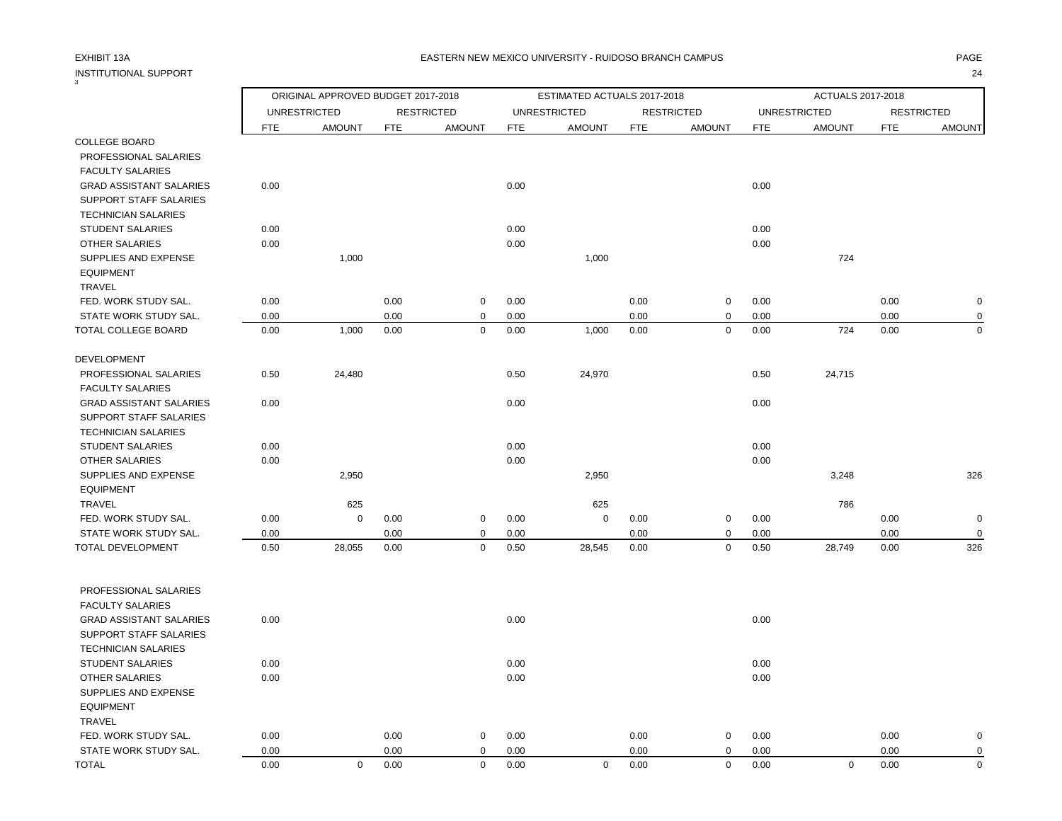# INSTITUTIONAL SUPPORT 24

3

### EXHIBIT 13A PAGE EASTERN NEW MEXICO UNIVERSITY - RUIDOSO BRANCH CAMPUS

|                                                          |            | ORIGINAL APPROVED BUDGET 2017-2018 |            |                   |            | ESTIMATED ACTUALS 2017-2018 |            |                   |            | ACTUALS 2017-2018   |            |                   |
|----------------------------------------------------------|------------|------------------------------------|------------|-------------------|------------|-----------------------------|------------|-------------------|------------|---------------------|------------|-------------------|
|                                                          |            | <b>UNRESTRICTED</b>                |            | <b>RESTRICTED</b> |            | <b>UNRESTRICTED</b>         |            | <b>RESTRICTED</b> |            | <b>UNRESTRICTED</b> |            | <b>RESTRICTED</b> |
|                                                          | <b>FTE</b> | <b>AMOUNT</b>                      | <b>FTE</b> | <b>AMOUNT</b>     | <b>FTE</b> | <b>AMOUNT</b>               | <b>FTE</b> | <b>AMOUNT</b>     | <b>FTE</b> | <b>AMOUNT</b>       | <b>FTE</b> | AMOUNT            |
| <b>COLLEGE BOARD</b>                                     |            |                                    |            |                   |            |                             |            |                   |            |                     |            |                   |
| PROFESSIONAL SALARIES                                    |            |                                    |            |                   |            |                             |            |                   |            |                     |            |                   |
| <b>FACULTY SALARIES</b>                                  |            |                                    |            |                   |            |                             |            |                   |            |                     |            |                   |
| <b>GRAD ASSISTANT SALARIES</b>                           | 0.00       |                                    |            |                   | 0.00       |                             |            |                   | 0.00       |                     |            |                   |
| SUPPORT STAFF SALARIES                                   |            |                                    |            |                   |            |                             |            |                   |            |                     |            |                   |
| <b>TECHNICIAN SALARIES</b>                               |            |                                    |            |                   |            |                             |            |                   |            |                     |            |                   |
| <b>STUDENT SALARIES</b>                                  | 0.00       |                                    |            |                   | 0.00       |                             |            |                   | 0.00       |                     |            |                   |
| <b>OTHER SALARIES</b><br>SUPPLIES AND EXPENSE            | 0.00       | 1,000                              |            |                   | 0.00       | 1,000                       |            |                   | 0.00       | 724                 |            |                   |
| <b>EQUIPMENT</b>                                         |            |                                    |            |                   |            |                             |            |                   |            |                     |            |                   |
| TRAVEL                                                   |            |                                    |            |                   |            |                             |            |                   |            |                     |            |                   |
| FED. WORK STUDY SAL.                                     | 0.00       |                                    | 0.00       | $\mathbf 0$       | 0.00       |                             | 0.00       | $\mathbf 0$       | 0.00       |                     | 0.00       | $\mathbf 0$       |
| STATE WORK STUDY SAL.                                    | 0.00       |                                    | 0.00       | $\mathbf 0$       | 0.00       |                             | 0.00       | $\mathbf 0$       | 0.00       |                     | 0.00       | $\mathbf 0$       |
| TOTAL COLLEGE BOARD                                      | 0.00       | 1,000                              | 0.00       | $\mathbf 0$       | 0.00       | 1,000                       | 0.00       | $\mathbf 0$       | 0.00       | 724                 | 0.00       | $\mathbf 0$       |
|                                                          |            |                                    |            |                   |            |                             |            |                   |            |                     |            |                   |
| <b>DEVELOPMENT</b>                                       |            |                                    |            |                   |            |                             |            |                   |            |                     |            |                   |
| PROFESSIONAL SALARIES                                    | 0.50       | 24,480                             |            |                   | 0.50       | 24,970                      |            |                   | 0.50       | 24,715              |            |                   |
| <b>FACULTY SALARIES</b>                                  |            |                                    |            |                   |            |                             |            |                   |            |                     |            |                   |
| <b>GRAD ASSISTANT SALARIES</b><br>SUPPORT STAFF SALARIES | 0.00       |                                    |            |                   | 0.00       |                             |            |                   | 0.00       |                     |            |                   |
| <b>TECHNICIAN SALARIES</b>                               |            |                                    |            |                   |            |                             |            |                   |            |                     |            |                   |
| <b>STUDENT SALARIES</b>                                  | 0.00       |                                    |            |                   | 0.00       |                             |            |                   | 0.00       |                     |            |                   |
| <b>OTHER SALARIES</b>                                    | 0.00       |                                    |            |                   | 0.00       |                             |            |                   | 0.00       |                     |            |                   |
| SUPPLIES AND EXPENSE                                     |            | 2,950                              |            |                   |            | 2,950                       |            |                   |            | 3,248               |            | 326               |
| <b>EQUIPMENT</b>                                         |            |                                    |            |                   |            |                             |            |                   |            |                     |            |                   |
| TRAVEL                                                   |            | 625                                |            |                   |            | 625                         |            |                   |            | 786                 |            |                   |
| FED. WORK STUDY SAL.                                     | 0.00       | $\mathbf 0$                        | 0.00       | $\mathbf 0$       | 0.00       | $\mathbf 0$                 | 0.00       | $\pmb{0}$         | 0.00       |                     | 0.00       | $\pmb{0}$         |
| STATE WORK STUDY SAL.                                    | 0.00       |                                    | 0.00       | 0                 | 0.00       |                             | 0.00       | 0                 | 0.00       |                     | 0.00       | $\mathbf 0$       |
| <b>TOTAL DEVELOPMENT</b>                                 | 0.50       | 28,055                             | 0.00       | $\mathbf 0$       | 0.50       | 28,545                      | 0.00       | $\pmb{0}$         | 0.50       | 28,749              | 0.00       | 326               |
|                                                          |            |                                    |            |                   |            |                             |            |                   |            |                     |            |                   |
| PROFESSIONAL SALARIES                                    |            |                                    |            |                   |            |                             |            |                   |            |                     |            |                   |
| <b>FACULTY SALARIES</b>                                  |            |                                    |            |                   |            |                             |            |                   |            |                     |            |                   |
| <b>GRAD ASSISTANT SALARIES</b><br>SUPPORT STAFF SALARIES | 0.00       |                                    |            |                   | 0.00       |                             |            |                   | 0.00       |                     |            |                   |
| <b>TECHNICIAN SALARIES</b>                               |            |                                    |            |                   |            |                             |            |                   |            |                     |            |                   |
| <b>STUDENT SALARIES</b>                                  | 0.00       |                                    |            |                   | 0.00       |                             |            |                   | 0.00       |                     |            |                   |
| <b>OTHER SALARIES</b>                                    | 0.00       |                                    |            |                   | 0.00       |                             |            |                   | 0.00       |                     |            |                   |
| SUPPLIES AND EXPENSE                                     |            |                                    |            |                   |            |                             |            |                   |            |                     |            |                   |
| <b>EQUIPMENT</b>                                         |            |                                    |            |                   |            |                             |            |                   |            |                     |            |                   |
| <b>TRAVEL</b>                                            |            |                                    |            |                   |            |                             |            |                   |            |                     |            |                   |
| FED. WORK STUDY SAL.                                     | 0.00       |                                    | 0.00       | $\mathbf 0$       | 0.00       |                             | 0.00       | $\mathbf 0$       | 0.00       |                     | 0.00       | $\mathbf 0$       |
| STATE WORK STUDY SAL.                                    | 0.00       |                                    | 0.00       | 0                 | 0.00       |                             | 0.00       | $\mathbf 0$       | 0.00       |                     | 0.00       | 0                 |
| TOTAL                                                    | 0.00       | $\mathbf 0$                        | 0.00       | $\mathbf 0$       | 0.00       | $\mathbf 0$                 | 0.00       | $\mathbf 0$       | 0.00       | $\Omega$            | 0.00       | $\Omega$          |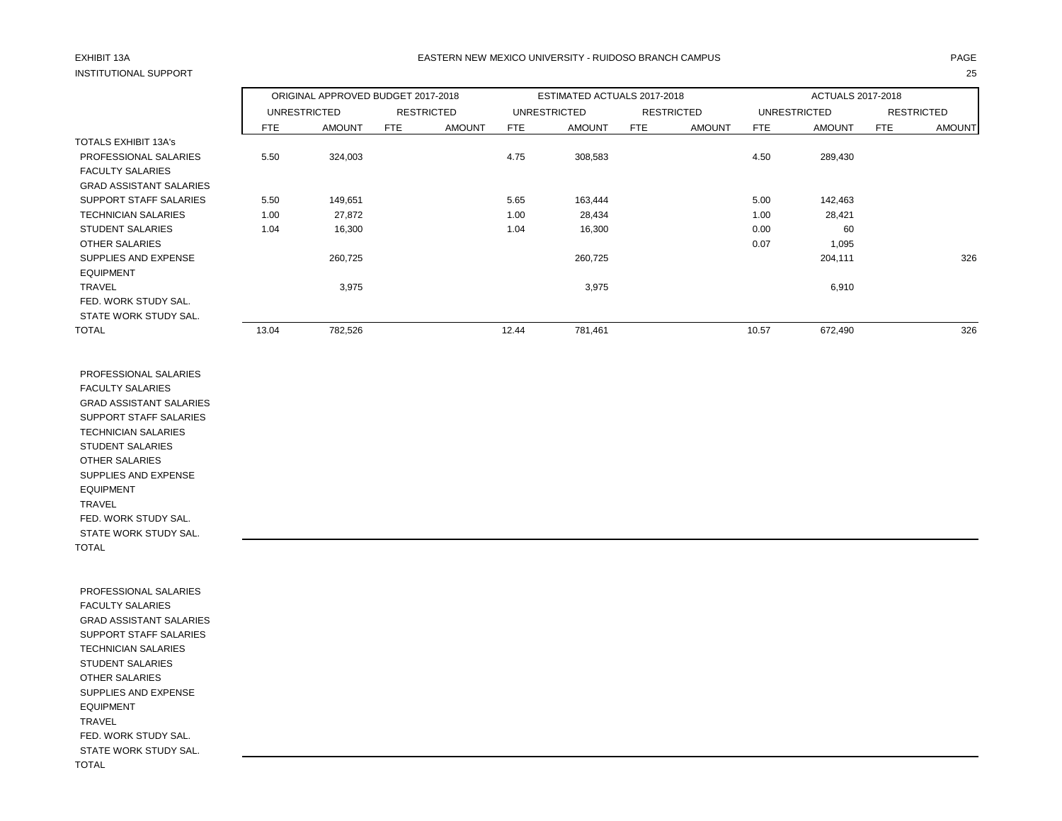## INSTITUTIONAL SUPPORT 25

## EXHIBIT 13A PAGE EASTERN NEW MEXICO UNIVERSITY - RUIDOSO BRANCH CAMPUS

|                                |       | ORIGINAL APPROVED BUDGET 2017-2018 |                   |               |       | ESTIMATED ACTUALS 2017-2018 |     |                   |       | ACTUALS 2017-2018   |     |                   |
|--------------------------------|-------|------------------------------------|-------------------|---------------|-------|-----------------------------|-----|-------------------|-------|---------------------|-----|-------------------|
|                                |       | <b>UNRESTRICTED</b>                | <b>RESTRICTED</b> |               |       | UNRESTRICTED                |     | <b>RESTRICTED</b> |       | <b>UNRESTRICTED</b> |     | <b>RESTRICTED</b> |
|                                | FTE   | <b>AMOUNT</b>                      | FTE               | <b>AMOUNT</b> | FTE.  | <b>AMOUNT</b>               | FTE | <b>AMOUNT</b>     | FTE   | <b>AMOUNT</b>       | FTE | <b>AMOUNT</b>     |
| <b>TOTALS EXHIBIT 13A's</b>    |       |                                    |                   |               |       |                             |     |                   |       |                     |     |                   |
| PROFESSIONAL SALARIES          | 5.50  | 324,003                            |                   |               | 4.75  | 308,583                     |     |                   | 4.50  | 289,430             |     |                   |
| <b>FACULTY SALARIES</b>        |       |                                    |                   |               |       |                             |     |                   |       |                     |     |                   |
| <b>GRAD ASSISTANT SALARIES</b> |       |                                    |                   |               |       |                             |     |                   |       |                     |     |                   |
| <b>SUPPORT STAFF SALARIES</b>  | 5.50  | 149,651                            |                   |               | 5.65  | 163,444                     |     |                   | 5.00  | 142,463             |     |                   |
| <b>TECHNICIAN SALARIES</b>     | 1.00  | 27,872                             |                   |               | 1.00  | 28,434                      |     |                   | 1.00  | 28,421              |     |                   |
| <b>STUDENT SALARIES</b>        | 1.04  | 16,300                             |                   |               | 1.04  | 16,300                      |     |                   | 0.00  | 60                  |     |                   |
| <b>OTHER SALARIES</b>          |       |                                    |                   |               |       |                             |     |                   | 0.07  | 1,095               |     |                   |
| SUPPLIES AND EXPENSE           |       | 260,725                            |                   |               |       | 260,725                     |     |                   |       | 204,111             |     | 326               |
| <b>EQUIPMENT</b>               |       |                                    |                   |               |       |                             |     |                   |       |                     |     |                   |
| <b>TRAVEL</b>                  |       | 3,975                              |                   |               |       | 3,975                       |     |                   |       | 6,910               |     |                   |
| FED. WORK STUDY SAL.           |       |                                    |                   |               |       |                             |     |                   |       |                     |     |                   |
| STATE WORK STUDY SAL.          |       |                                    |                   |               |       |                             |     |                   |       |                     |     |                   |
| <b>TOTAL</b>                   | 13.04 | 782,526                            |                   |               | 12.44 | 781,461                     |     |                   | 10.57 | 672,490             |     | 326               |

 PROFESSIONAL SALARIES FACULTY SALARIES GRAD ASSISTANT SALARIES SUPPORT STAFF SALARIES TECHNICIAN SALARIES STUDENT SALARIES OTHER SALARIES SUPPLIES AND EXPENSE EQUIPMENT TRAVEL FED. WORK STUDY SAL. STATE WORK STUDY SAL. TOTAL

 PROFESSIONAL SALARIES FACULTY SALARIES GRAD ASSISTANT SALARIES SUPPORT STAFF SALARIES TECHNICIAN SALARIES STUDENT SALARIES OTHER SALARIES SUPPLIES AND EXPENSE EQUIPMENT TRAVEL FED. WORK STUDY SAL. STATE WORK STUDY SAL. TOTAL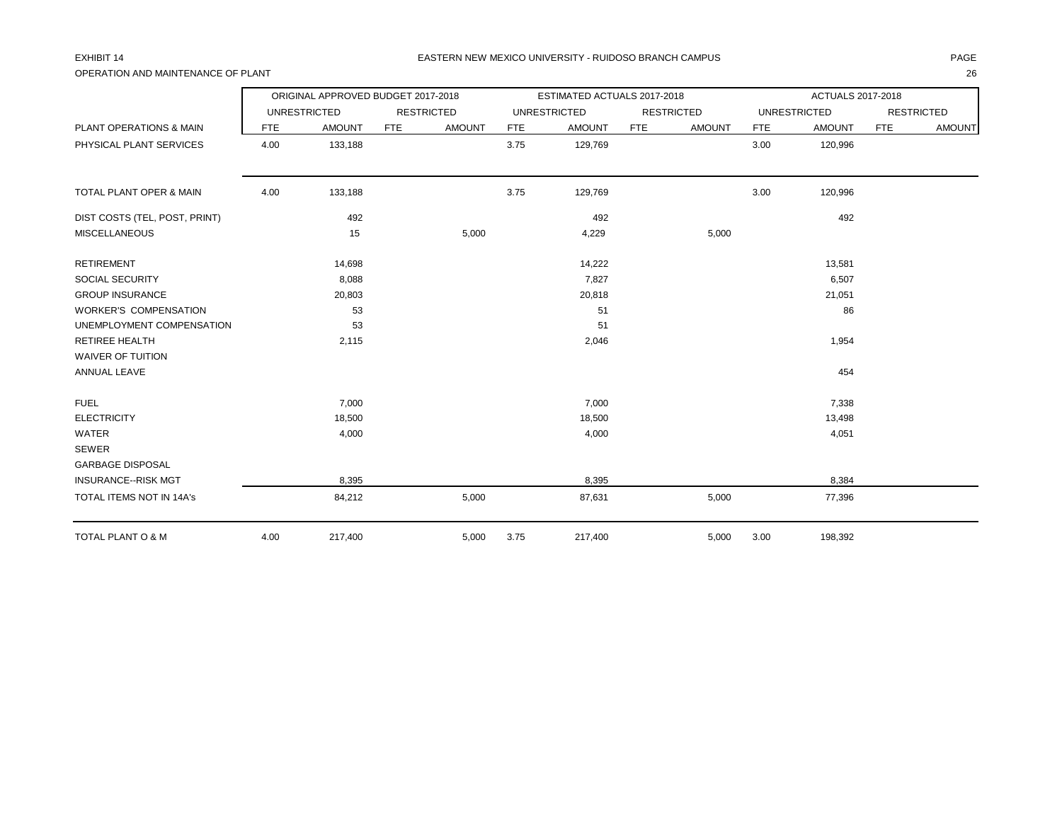## OPERATION AND MAINTENANCE OF PLANT 26

|                                    |            | ORIGINAL APPROVED BUDGET 2017-2018 |            |                   |            | ESTIMATED ACTUALS 2017-2018 |            |                   |            | ACTUALS 2017-2018   |            |                   |
|------------------------------------|------------|------------------------------------|------------|-------------------|------------|-----------------------------|------------|-------------------|------------|---------------------|------------|-------------------|
|                                    |            | <b>UNRESTRICTED</b>                |            | <b>RESTRICTED</b> |            | <b>UNRESTRICTED</b>         |            | <b>RESTRICTED</b> |            | <b>UNRESTRICTED</b> |            | <b>RESTRICTED</b> |
| <b>PLANT OPERATIONS &amp; MAIN</b> | <b>FTE</b> | <b>AMOUNT</b>                      | <b>FTE</b> | <b>AMOUNT</b>     | <b>FTE</b> | <b>AMOUNT</b>               | <b>FTE</b> | <b>AMOUNT</b>     | <b>FTE</b> | <b>AMOUNT</b>       | <b>FTE</b> | <b>AMOUNT</b>     |
| PHYSICAL PLANT SERVICES            | 4.00       | 133,188                            |            |                   | 3.75       | 129,769                     |            |                   | 3.00       | 120,996             |            |                   |
| TOTAL PLANT OPER & MAIN            | 4.00       | 133,188                            |            |                   | 3.75       | 129,769                     |            |                   | 3.00       | 120,996             |            |                   |
| DIST COSTS (TEL, POST, PRINT)      |            | 492                                |            |                   |            | 492                         |            |                   |            | 492                 |            |                   |
| <b>MISCELLANEOUS</b>               |            | 15                                 |            | 5,000             |            | 4,229                       |            | 5,000             |            |                     |            |                   |
| <b>RETIREMENT</b>                  |            | 14,698                             |            |                   |            | 14,222                      |            |                   |            | 13,581              |            |                   |
| SOCIAL SECURITY                    |            | 8,088                              |            |                   |            | 7,827                       |            |                   |            | 6,507               |            |                   |
| <b>GROUP INSURANCE</b>             |            | 20,803                             |            |                   |            | 20,818                      |            |                   |            | 21,051              |            |                   |
| <b>WORKER'S COMPENSATION</b>       |            | 53                                 |            |                   |            | 51                          |            |                   |            | 86                  |            |                   |
| UNEMPLOYMENT COMPENSATION          |            | 53                                 |            |                   |            | 51                          |            |                   |            |                     |            |                   |
| <b>RETIREE HEALTH</b>              |            | 2,115                              |            |                   |            | 2,046                       |            |                   |            | 1,954               |            |                   |
| <b>WAIVER OF TUITION</b>           |            |                                    |            |                   |            |                             |            |                   |            |                     |            |                   |
| ANNUAL LEAVE                       |            |                                    |            |                   |            |                             |            |                   |            | 454                 |            |                   |
| <b>FUEL</b>                        |            | 7,000                              |            |                   |            | 7,000                       |            |                   |            | 7,338               |            |                   |
| <b>ELECTRICITY</b>                 |            | 18,500                             |            |                   |            | 18,500                      |            |                   |            | 13,498              |            |                   |
| WATER                              |            | 4,000                              |            |                   |            | 4,000                       |            |                   |            | 4,051               |            |                   |
| SEWER                              |            |                                    |            |                   |            |                             |            |                   |            |                     |            |                   |
| <b>GARBAGE DISPOSAL</b>            |            |                                    |            |                   |            |                             |            |                   |            |                     |            |                   |
| <b>INSURANCE--RISK MGT</b>         |            | 8,395                              |            |                   |            | 8,395                       |            |                   |            | 8,384               |            |                   |
| TOTAL ITEMS NOT IN 14A's           |            | 84,212                             |            | 5,000             |            | 87,631                      |            | 5,000             |            | 77,396              |            |                   |
| TOTAL PLANT O & M                  | 4.00       | 217,400                            |            | 5,000             | 3.75       | 217,400                     |            | 5,000             | 3.00       | 198,392             |            |                   |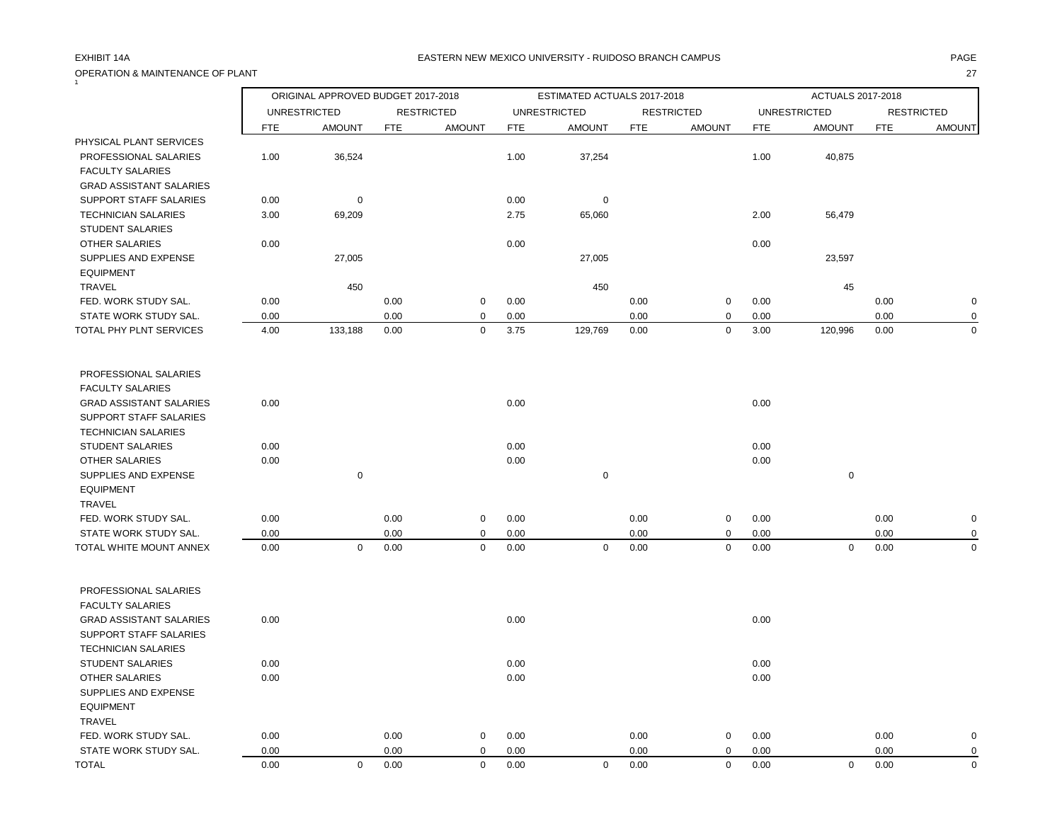# OPERATION & MAINTENANCE OF PLANT 27

### EXHIBIT 14A PAGE EASTERN NEW MEXICO UNIVERSITY - RUIDOSO BRANCH CAMPUS

|                                                                                    |              | ORIGINAL APPROVED BUDGET 2017-2018 |              |                   |              | ESTIMATED ACTUALS 2017-2018 |              |                          |              | ACTUALS 2017-2018   |              |                         |
|------------------------------------------------------------------------------------|--------------|------------------------------------|--------------|-------------------|--------------|-----------------------------|--------------|--------------------------|--------------|---------------------|--------------|-------------------------|
|                                                                                    |              | <b>UNRESTRICTED</b>                |              | <b>RESTRICTED</b> |              | <b>UNRESTRICTED</b>         |              | <b>RESTRICTED</b>        |              | <b>UNRESTRICTED</b> |              | <b>RESTRICTED</b>       |
|                                                                                    | <b>FTE</b>   | <b>AMOUNT</b>                      | <b>FTE</b>   | <b>AMOUNT</b>     | <b>FTE</b>   | <b>AMOUNT</b>               | <b>FTE</b>   | <b>AMOUNT</b>            | <b>FTE</b>   | <b>AMOUNT</b>       | <b>FTE</b>   | <b>AMOUNT</b>           |
| PHYSICAL PLANT SERVICES                                                            |              |                                    |              |                   |              |                             |              |                          |              |                     |              |                         |
| PROFESSIONAL SALARIES<br><b>FACULTY SALARIES</b><br><b>GRAD ASSISTANT SALARIES</b> | 1.00         | 36,524                             |              |                   | 1.00         | 37,254                      |              |                          | 1.00         | 40,875              |              |                         |
| SUPPORT STAFF SALARIES                                                             | 0.00         | $\pmb{0}$                          |              |                   | 0.00         | $\mathbf 0$                 |              |                          |              |                     |              |                         |
| <b>TECHNICIAN SALARIES</b><br><b>STUDENT SALARIES</b>                              | 3.00         | 69,209                             |              |                   | 2.75         | 65,060                      |              |                          | 2.00         | 56,479              |              |                         |
| <b>OTHER SALARIES</b>                                                              | 0.00         |                                    |              |                   | 0.00         |                             |              |                          | 0.00         |                     |              |                         |
| SUPPLIES AND EXPENSE<br><b>EQUIPMENT</b>                                           |              | 27,005                             |              |                   |              | 27,005                      |              |                          |              | 23,597              |              |                         |
| <b>TRAVEL</b>                                                                      |              | 450                                |              |                   |              | 450                         |              |                          |              | 45                  |              |                         |
| FED. WORK STUDY SAL.                                                               | 0.00         |                                    | 0.00         | $\mathbf 0$       | 0.00         |                             | 0.00         | $\mathsf 0$              | 0.00         |                     | 0.00         | $\mathbf 0$             |
| STATE WORK STUDY SAL.<br>TOTAL PHY PLNT SERVICES                                   | 0.00<br>4.00 | 133,188                            | 0.00<br>0.00 | 0<br>$\mathbf 0$  | 0.00<br>3.75 | 129,769                     | 0.00<br>0.00 | $\mathsf 0$<br>$\pmb{0}$ | 0.00<br>3.00 | 120,996             | 0.00<br>0.00 | $\mathbf 0$<br>$\Omega$ |
|                                                                                    |              |                                    |              |                   |              |                             |              |                          |              |                     |              |                         |
| PROFESSIONAL SALARIES                                                              |              |                                    |              |                   |              |                             |              |                          |              |                     |              |                         |
| <b>FACULTY SALARIES</b><br><b>GRAD ASSISTANT SALARIES</b>                          | 0.00         |                                    |              |                   | 0.00         |                             |              |                          | 0.00         |                     |              |                         |
| SUPPORT STAFF SALARIES                                                             |              |                                    |              |                   |              |                             |              |                          |              |                     |              |                         |
| <b>TECHNICIAN SALARIES</b>                                                         |              |                                    |              |                   |              |                             |              |                          |              |                     |              |                         |
| <b>STUDENT SALARIES</b>                                                            | 0.00         |                                    |              |                   | 0.00         |                             |              |                          | 0.00         |                     |              |                         |
| OTHER SALARIES                                                                     | 0.00         |                                    |              |                   | 0.00         |                             |              |                          | 0.00         |                     |              |                         |
| SUPPLIES AND EXPENSE                                                               |              | $\mathbf 0$                        |              |                   |              | $\mathbf 0$                 |              |                          |              | $\mathbf 0$         |              |                         |
| <b>EQUIPMENT</b>                                                                   |              |                                    |              |                   |              |                             |              |                          |              |                     |              |                         |
| TRAVEL                                                                             |              |                                    |              |                   |              |                             |              |                          |              |                     |              |                         |
| FED. WORK STUDY SAL.                                                               | 0.00         |                                    | 0.00         | $\mathbf 0$       | 0.00         |                             | 0.00         | $\mathsf 0$              | 0.00         |                     | 0.00         | $\mathbf 0$             |
| STATE WORK STUDY SAL.                                                              | 0.00         |                                    | 0.00         | $\mathbf 0$       | 0.00         |                             | 0.00         | 0                        | 0.00         |                     | 0.00         | $\Omega$                |
| TOTAL WHITE MOUNT ANNEX                                                            | 0.00         | $\mathbf 0$                        | 0.00         | $\mathbf 0$       | 0.00         | $\mathbf 0$                 | 0.00         | $\mathbf 0$              | 0.00         | $\mathsf 0$         | 0.00         | $\Omega$                |
| PROFESSIONAL SALARIES                                                              |              |                                    |              |                   |              |                             |              |                          |              |                     |              |                         |
| <b>FACULTY SALARIES</b>                                                            |              |                                    |              |                   |              |                             |              |                          |              |                     |              |                         |
| <b>GRAD ASSISTANT SALARIES</b>                                                     | 0.00         |                                    |              |                   | 0.00         |                             |              |                          | 0.00         |                     |              |                         |
| <b>SUPPORT STAFF SALARIES</b>                                                      |              |                                    |              |                   |              |                             |              |                          |              |                     |              |                         |
| <b>TECHNICIAN SALARIES</b>                                                         |              |                                    |              |                   |              |                             |              |                          |              |                     |              |                         |
| <b>STUDENT SALARIES</b>                                                            | 0.00         |                                    |              |                   | 0.00         |                             |              |                          | 0.00         |                     |              |                         |
| <b>OTHER SALARIES</b>                                                              | 0.00         |                                    |              |                   | 0.00         |                             |              |                          | 0.00         |                     |              |                         |
| SUPPLIES AND EXPENSE                                                               |              |                                    |              |                   |              |                             |              |                          |              |                     |              |                         |
| <b>EQUIPMENT</b>                                                                   |              |                                    |              |                   |              |                             |              |                          |              |                     |              |                         |
| TRAVEL                                                                             |              |                                    |              |                   |              |                             |              |                          |              |                     |              |                         |
| FED. WORK STUDY SAL.                                                               | 0.00         |                                    | 0.00         | 0                 | 0.00         |                             | 0.00         | 0                        | 0.00         |                     | 0.00         | 0                       |
| STATE WORK STUDY SAL.                                                              | 0.00         |                                    | 0.00         | 0                 | 0.00         |                             | 0.00         | $\mathbf 0$              | 0.00         |                     | 0.00         | 0                       |
| <b>TOTAL</b>                                                                       | 0.00         | $\mathbf 0$                        | 0.00         | $\mathbf 0$       | 0.00         | $\mathbf 0$                 | 0.00         | $\mathbf 0$              | 0.00         | $\mathbf 0$         | 0.00         | $\mathbf 0$             |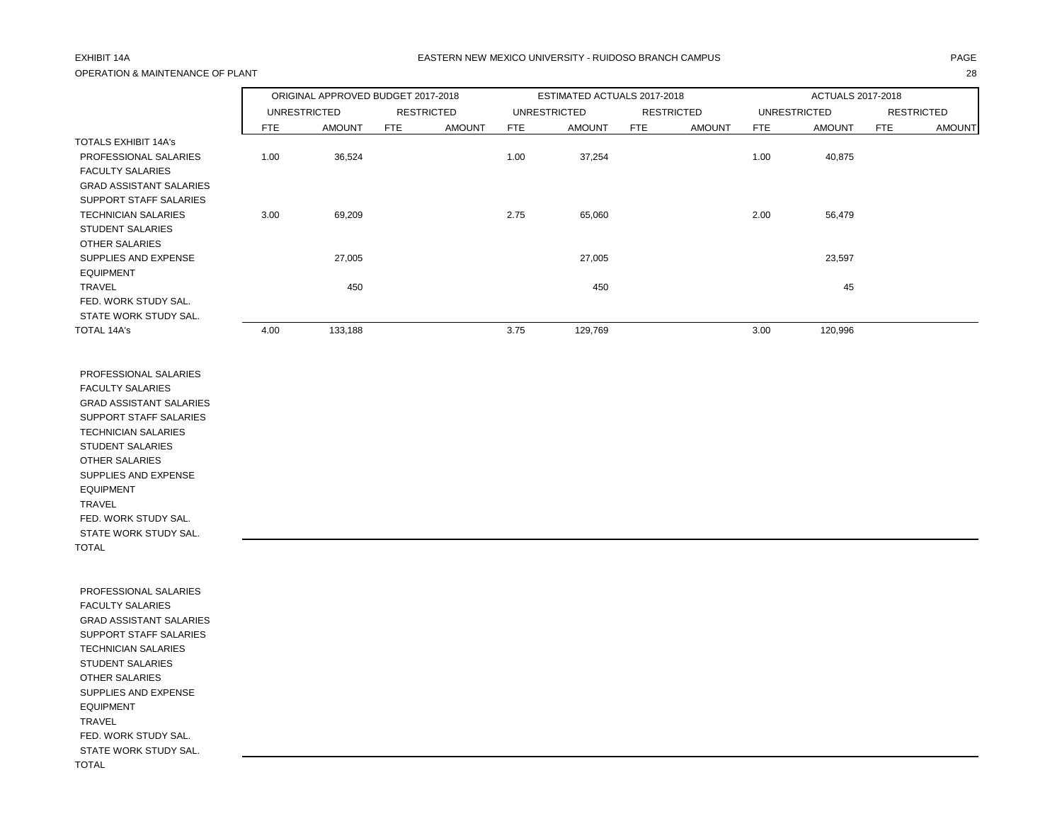## OPERATION & MAINTENANCE OF PLANT 28

### EXHIBIT 14A PAGE EASTERN NEW MEXICO UNIVERSITY - RUIDOSO BRANCH CAMPUS

|                                |      | ORIGINAL APPROVED BUDGET 2017-2018<br><b>UNRESTRICTED</b><br><b>RESTRICTED</b> |     |               |      | ESTIMATED ACTUALS 2017-2018 |            |                   |      | ACTUALS 2017-2018   |            |                   |
|--------------------------------|------|--------------------------------------------------------------------------------|-----|---------------|------|-----------------------------|------------|-------------------|------|---------------------|------------|-------------------|
|                                |      |                                                                                |     |               |      | <b>UNRESTRICTED</b>         |            | <b>RESTRICTED</b> |      | <b>UNRESTRICTED</b> |            | <b>RESTRICTED</b> |
|                                | FTE  | <b>AMOUNT</b>                                                                  | FTE | <b>AMOUNT</b> | FTE  | <b>AMOUNT</b>               | <b>FTE</b> | <b>AMOUNT</b>     | FTE  | <b>AMOUNT</b>       | <b>FTE</b> | <b>AMOUNT</b>     |
| <b>TOTALS EXHIBIT 14A's</b>    |      |                                                                                |     |               |      |                             |            |                   |      |                     |            |                   |
| PROFESSIONAL SALARIES          | 1.00 | 36,524                                                                         |     |               | 1.00 | 37,254                      |            |                   | 1.00 | 40,875              |            |                   |
| <b>FACULTY SALARIES</b>        |      |                                                                                |     |               |      |                             |            |                   |      |                     |            |                   |
| <b>GRAD ASSISTANT SALARIES</b> |      |                                                                                |     |               |      |                             |            |                   |      |                     |            |                   |
| SUPPORT STAFF SALARIES         |      |                                                                                |     |               |      |                             |            |                   |      |                     |            |                   |
| <b>TECHNICIAN SALARIES</b>     | 3.00 | 69,209                                                                         |     |               | 2.75 | 65,060                      |            |                   | 2.00 | 56,479              |            |                   |
| <b>STUDENT SALARIES</b>        |      |                                                                                |     |               |      |                             |            |                   |      |                     |            |                   |
| <b>OTHER SALARIES</b>          |      |                                                                                |     |               |      |                             |            |                   |      |                     |            |                   |
| SUPPLIES AND EXPENSE           |      | 27,005                                                                         |     |               |      | 27,005                      |            |                   |      | 23,597              |            |                   |
| <b>EQUIPMENT</b>               |      |                                                                                |     |               |      |                             |            |                   |      |                     |            |                   |
| <b>TRAVEL</b>                  |      | 450                                                                            |     |               |      | 450                         |            |                   |      | 45                  |            |                   |
| FED. WORK STUDY SAL.           |      |                                                                                |     |               |      |                             |            |                   |      |                     |            |                   |
| STATE WORK STUDY SAL.          |      |                                                                                |     |               |      |                             |            |                   |      |                     |            |                   |
| <b>TOTAL 14A's</b>             | 4.00 | 133,188                                                                        |     |               | 3.75 | 129,769                     |            |                   | 3.00 | 120,996             |            |                   |

 PROFESSIONAL SALARIES FACULTY SALARIES GRAD ASSISTANT SALARIES SUPPORT STAFF SALARIES TECHNICIAN SALARIES STUDENT SALARIES OTHER SALARIES SUPPLIES AND EXPENSE EQUIPMENT TRAVEL FED. WORK STUDY SAL. STATE WORK STUDY SAL. TOTAL

 PROFESSIONAL SALARIES FACULTY SALARIES GRAD ASSISTANT SALARIES SUPPORT STAFF SALARIES TECHNICIAN SALARIES STUDENT SALARIES OTHER SALARIES SUPPLIES AND EXPENSE EQUIPMENT TRAVEL FED. WORK STUDY SAL. STATE WORK STUDY SAL. TOTAL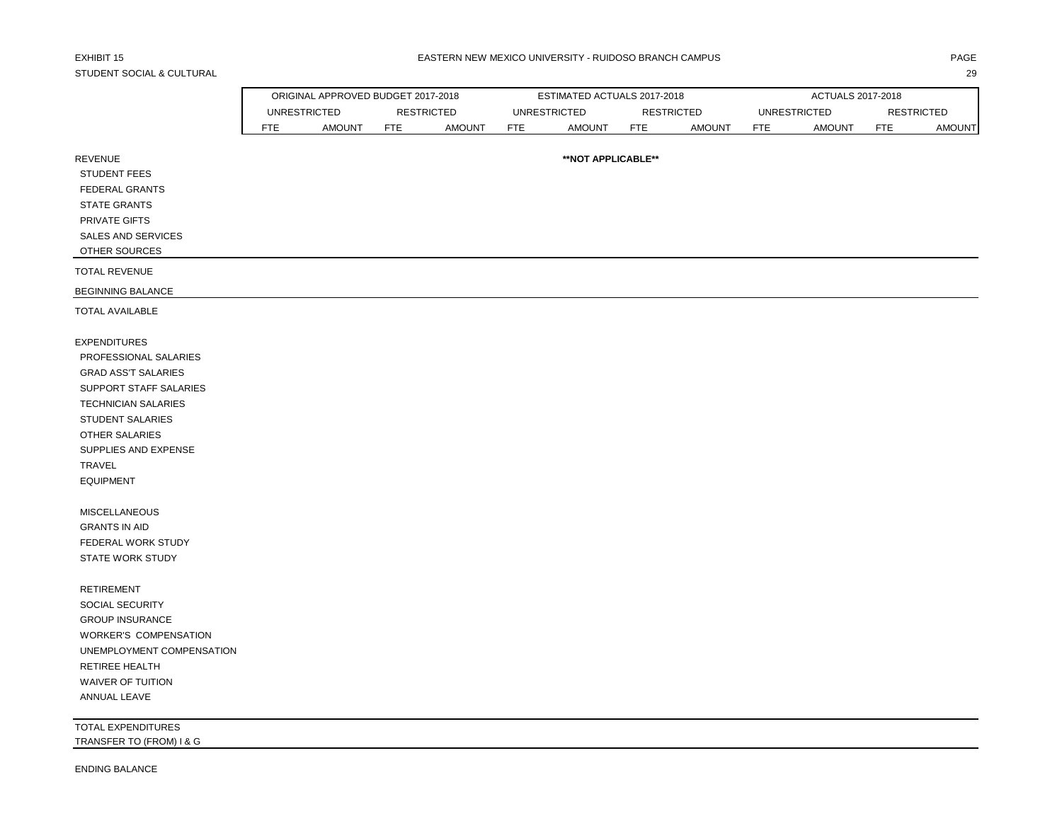# STUDENT SOCIAL & CULTURAL 29

ORIGINAL APPROVED BUDGET 2017-2018 ESTIMATED ACTUALS 2017-2018 ACTUALS 2017-2018

|                                                | <b>UNRESTRICTED</b> |               |            | <b>RESTRICTED</b> |            | <b>UNRESTRICTED</b> | <b>RESTRICTED</b> |               |            | <b>UNRESTRICTED</b> |            | <b>RESTRICTED</b> |
|------------------------------------------------|---------------------|---------------|------------|-------------------|------------|---------------------|-------------------|---------------|------------|---------------------|------------|-------------------|
|                                                | <b>FTE</b>          | <b>AMOUNT</b> | <b>FTE</b> | <b>AMOUNT</b>     | <b>FTE</b> | <b>AMOUNT</b>       | <b>FTE</b>        | <b>AMOUNT</b> | <b>FTE</b> | <b>AMOUNT</b>       | <b>FTE</b> | <b>AMOUNT</b>     |
| <b>REVENUE</b><br><b>STUDENT FEES</b>          |                     |               |            |                   |            | **NOT APPLICABLE**  |                   |               |            |                     |            |                   |
| FEDERAL GRANTS                                 |                     |               |            |                   |            |                     |                   |               |            |                     |            |                   |
| <b>STATE GRANTS</b>                            |                     |               |            |                   |            |                     |                   |               |            |                     |            |                   |
| PRIVATE GIFTS                                  |                     |               |            |                   |            |                     |                   |               |            |                     |            |                   |
| SALES AND SERVICES                             |                     |               |            |                   |            |                     |                   |               |            |                     |            |                   |
| OTHER SOURCES                                  |                     |               |            |                   |            |                     |                   |               |            |                     |            |                   |
| <b>TOTAL REVENUE</b>                           |                     |               |            |                   |            |                     |                   |               |            |                     |            |                   |
| <b>BEGINNING BALANCE</b>                       |                     |               |            |                   |            |                     |                   |               |            |                     |            |                   |
| <b>TOTAL AVAILABLE</b>                         |                     |               |            |                   |            |                     |                   |               |            |                     |            |                   |
| <b>EXPENDITURES</b>                            |                     |               |            |                   |            |                     |                   |               |            |                     |            |                   |
| PROFESSIONAL SALARIES                          |                     |               |            |                   |            |                     |                   |               |            |                     |            |                   |
| <b>GRAD ASS'T SALARIES</b>                     |                     |               |            |                   |            |                     |                   |               |            |                     |            |                   |
| SUPPORT STAFF SALARIES                         |                     |               |            |                   |            |                     |                   |               |            |                     |            |                   |
| <b>TECHNICIAN SALARIES</b>                     |                     |               |            |                   |            |                     |                   |               |            |                     |            |                   |
| STUDENT SALARIES                               |                     |               |            |                   |            |                     |                   |               |            |                     |            |                   |
| OTHER SALARIES                                 |                     |               |            |                   |            |                     |                   |               |            |                     |            |                   |
| SUPPLIES AND EXPENSE                           |                     |               |            |                   |            |                     |                   |               |            |                     |            |                   |
| TRAVEL                                         |                     |               |            |                   |            |                     |                   |               |            |                     |            |                   |
| <b>EQUIPMENT</b>                               |                     |               |            |                   |            |                     |                   |               |            |                     |            |                   |
| MISCELLANEOUS                                  |                     |               |            |                   |            |                     |                   |               |            |                     |            |                   |
| <b>GRANTS IN AID</b>                           |                     |               |            |                   |            |                     |                   |               |            |                     |            |                   |
| FEDERAL WORK STUDY                             |                     |               |            |                   |            |                     |                   |               |            |                     |            |                   |
| STATE WORK STUDY                               |                     |               |            |                   |            |                     |                   |               |            |                     |            |                   |
| <b>RETIREMENT</b>                              |                     |               |            |                   |            |                     |                   |               |            |                     |            |                   |
| <b>SOCIAL SECURITY</b>                         |                     |               |            |                   |            |                     |                   |               |            |                     |            |                   |
| <b>GROUP INSURANCE</b>                         |                     |               |            |                   |            |                     |                   |               |            |                     |            |                   |
| WORKER'S COMPENSATION                          |                     |               |            |                   |            |                     |                   |               |            |                     |            |                   |
| UNEMPLOYMENT COMPENSATION                      |                     |               |            |                   |            |                     |                   |               |            |                     |            |                   |
| <b>RETIREE HEALTH</b><br>WAIVER OF TUITION     |                     |               |            |                   |            |                     |                   |               |            |                     |            |                   |
| ANNUAL LEAVE                                   |                     |               |            |                   |            |                     |                   |               |            |                     |            |                   |
|                                                |                     |               |            |                   |            |                     |                   |               |            |                     |            |                   |
| TOTAL EXPENDITURES<br>TRANSFER TO (FROM) I & G |                     |               |            |                   |            |                     |                   |               |            |                     |            |                   |
| <b>ENDING BALANCE</b>                          |                     |               |            |                   |            |                     |                   |               |            |                     |            |                   |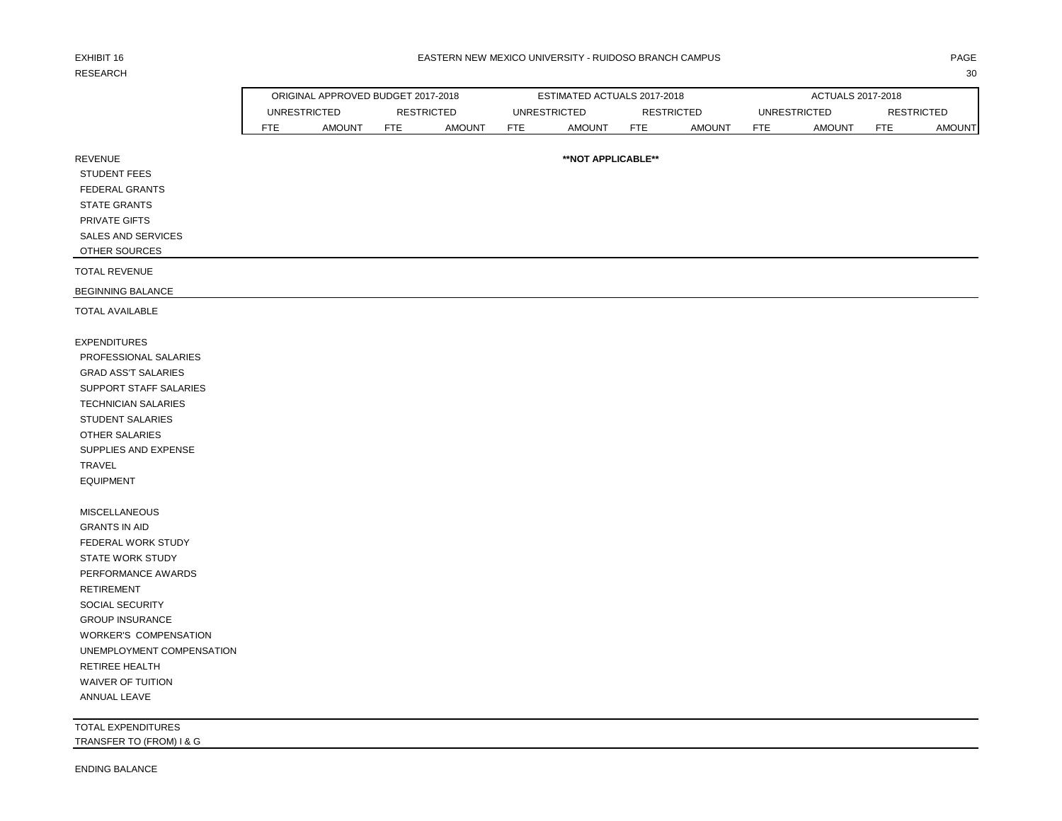# RESEARCH 2008 and 2008 and 2008 and 2008 and 2008 and 2008 and 2008 and 2008 and 2008 and 2008 and 2008 and 200

### EXHIBIT 16 PAGE PAGE AND THE SEASTERN NEW MEXICO UNIVERSITY - RUIDOSO BRANCH CAMPUS AND THE SEASTERN ONLY ANGE

|                              |            | ORIGINAL APPROVED BUDGET 2017-2018 |                   |               |            | ESTIMATED ACTUALS 2017-2018 |                   |               |            | ACTUALS 2017-2018   |                   |               |
|------------------------------|------------|------------------------------------|-------------------|---------------|------------|-----------------------------|-------------------|---------------|------------|---------------------|-------------------|---------------|
|                              |            | <b>UNRESTRICTED</b>                | <b>RESTRICTED</b> |               |            | <b>UNRESTRICTED</b>         | <b>RESTRICTED</b> |               |            | <b>UNRESTRICTED</b> | <b>RESTRICTED</b> |               |
|                              | <b>FTE</b> | <b>AMOUNT</b>                      | <b>FTE</b>        | <b>AMOUNT</b> | <b>FTE</b> | <b>AMOUNT</b>               | <b>FTE</b>        | <b>AMOUNT</b> | <b>FTE</b> | <b>AMOUNT</b>       | <b>FTE</b>        | <b>AMOUNT</b> |
| <b>REVENUE</b>               |            |                                    |                   |               |            | **NOT APPLICABLE**          |                   |               |            |                     |                   |               |
| <b>STUDENT FEES</b>          |            |                                    |                   |               |            |                             |                   |               |            |                     |                   |               |
| <b>FEDERAL GRANTS</b>        |            |                                    |                   |               |            |                             |                   |               |            |                     |                   |               |
| <b>STATE GRANTS</b>          |            |                                    |                   |               |            |                             |                   |               |            |                     |                   |               |
| PRIVATE GIFTS                |            |                                    |                   |               |            |                             |                   |               |            |                     |                   |               |
| SALES AND SERVICES           |            |                                    |                   |               |            |                             |                   |               |            |                     |                   |               |
| OTHER SOURCES                |            |                                    |                   |               |            |                             |                   |               |            |                     |                   |               |
| <b>TOTAL REVENUE</b>         |            |                                    |                   |               |            |                             |                   |               |            |                     |                   |               |
| BEGINNING BALANCE            |            |                                    |                   |               |            |                             |                   |               |            |                     |                   |               |
| <b>TOTAL AVAILABLE</b>       |            |                                    |                   |               |            |                             |                   |               |            |                     |                   |               |
| <b>EXPENDITURES</b>          |            |                                    |                   |               |            |                             |                   |               |            |                     |                   |               |
| PROFESSIONAL SALARIES        |            |                                    |                   |               |            |                             |                   |               |            |                     |                   |               |
| <b>GRAD ASS'T SALARIES</b>   |            |                                    |                   |               |            |                             |                   |               |            |                     |                   |               |
| SUPPORT STAFF SALARIES       |            |                                    |                   |               |            |                             |                   |               |            |                     |                   |               |
| TECHNICIAN SALARIES          |            |                                    |                   |               |            |                             |                   |               |            |                     |                   |               |
| <b>STUDENT SALARIES</b>      |            |                                    |                   |               |            |                             |                   |               |            |                     |                   |               |
| OTHER SALARIES               |            |                                    |                   |               |            |                             |                   |               |            |                     |                   |               |
| SUPPLIES AND EXPENSE         |            |                                    |                   |               |            |                             |                   |               |            |                     |                   |               |
| TRAVEL                       |            |                                    |                   |               |            |                             |                   |               |            |                     |                   |               |
| <b>EQUIPMENT</b>             |            |                                    |                   |               |            |                             |                   |               |            |                     |                   |               |
| <b>MISCELLANEOUS</b>         |            |                                    |                   |               |            |                             |                   |               |            |                     |                   |               |
| <b>GRANTS IN AID</b>         |            |                                    |                   |               |            |                             |                   |               |            |                     |                   |               |
| FEDERAL WORK STUDY           |            |                                    |                   |               |            |                             |                   |               |            |                     |                   |               |
| <b>STATE WORK STUDY</b>      |            |                                    |                   |               |            |                             |                   |               |            |                     |                   |               |
| PERFORMANCE AWARDS           |            |                                    |                   |               |            |                             |                   |               |            |                     |                   |               |
| <b>RETIREMENT</b>            |            |                                    |                   |               |            |                             |                   |               |            |                     |                   |               |
| SOCIAL SECURITY              |            |                                    |                   |               |            |                             |                   |               |            |                     |                   |               |
| <b>GROUP INSURANCE</b>       |            |                                    |                   |               |            |                             |                   |               |            |                     |                   |               |
| <b>WORKER'S COMPENSATION</b> |            |                                    |                   |               |            |                             |                   |               |            |                     |                   |               |
| UNEMPLOYMENT COMPENSATION    |            |                                    |                   |               |            |                             |                   |               |            |                     |                   |               |
| RETIREE HEALTH               |            |                                    |                   |               |            |                             |                   |               |            |                     |                   |               |
| <b>WAIVER OF TUITION</b>     |            |                                    |                   |               |            |                             |                   |               |            |                     |                   |               |
| ANNUAL LEAVE                 |            |                                    |                   |               |            |                             |                   |               |            |                     |                   |               |
| TOTAL EXPENDITURES           |            |                                    |                   |               |            |                             |                   |               |            |                     |                   |               |
| TRANSFER TO (FROM) I & G     |            |                                    |                   |               |            |                             |                   |               |            |                     |                   |               |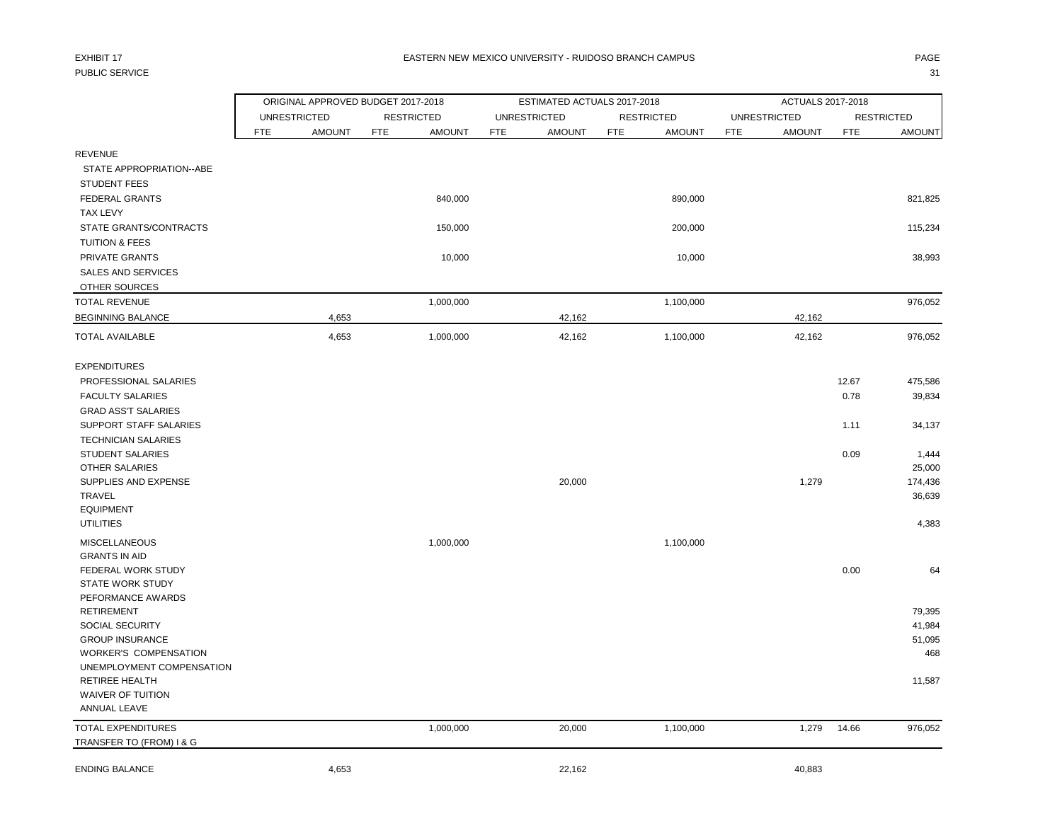## PUBLIC SERVICE And the state of the state of the state of the state of the state of the state of the state of the state of the state of the state of the state of the state of the state of the state of the state of the stat

|                                          | ORIGINAL APPROVED BUDGET 2017-2018 |               |            |                   |                     | ESTIMATED ACTUALS 2017-2018 |            |                   |                     | ACTUALS 2017-2018 |            |                   |
|------------------------------------------|------------------------------------|---------------|------------|-------------------|---------------------|-----------------------------|------------|-------------------|---------------------|-------------------|------------|-------------------|
|                                          | <b>UNRESTRICTED</b>                |               |            | <b>RESTRICTED</b> | <b>UNRESTRICTED</b> |                             |            | <b>RESTRICTED</b> | <b>UNRESTRICTED</b> |                   |            | <b>RESTRICTED</b> |
|                                          | <b>FTE</b>                         | <b>AMOUNT</b> | <b>FTE</b> | <b>AMOUNT</b>     | FTE                 | <b>AMOUNT</b>               | <b>FTE</b> | <b>AMOUNT</b>     | <b>FTE</b>          | <b>AMOUNT</b>     | <b>FTE</b> | <b>AMOUNT</b>     |
| <b>REVENUE</b>                           |                                    |               |            |                   |                     |                             |            |                   |                     |                   |            |                   |
| STATE APPROPRIATION--ABE                 |                                    |               |            |                   |                     |                             |            |                   |                     |                   |            |                   |
| <b>STUDENT FEES</b>                      |                                    |               |            |                   |                     |                             |            |                   |                     |                   |            |                   |
| FEDERAL GRANTS                           |                                    |               |            | 840,000           |                     |                             |            | 890,000           |                     |                   |            | 821,825           |
| <b>TAX LEVY</b>                          |                                    |               |            |                   |                     |                             |            |                   |                     |                   |            |                   |
| STATE GRANTS/CONTRACTS                   |                                    |               |            | 150,000           |                     |                             |            | 200,000           |                     |                   |            | 115,234           |
| <b>TUITION &amp; FEES</b>                |                                    |               |            |                   |                     |                             |            |                   |                     |                   |            |                   |
| PRIVATE GRANTS                           |                                    |               |            | 10,000            |                     |                             |            | 10,000            |                     |                   |            | 38,993            |
| <b>SALES AND SERVICES</b>                |                                    |               |            |                   |                     |                             |            |                   |                     |                   |            |                   |
| OTHER SOURCES                            |                                    |               |            |                   |                     |                             |            |                   |                     |                   |            |                   |
| <b>TOTAL REVENUE</b>                     |                                    |               |            | 1,000,000         |                     |                             |            | 1,100,000         |                     |                   |            | 976,052           |
| <b>BEGINNING BALANCE</b>                 |                                    | 4,653         |            |                   |                     | 42,162                      |            |                   |                     | 42,162            |            |                   |
| <b>TOTAL AVAILABLE</b>                   |                                    | 4,653         |            | 1,000,000         |                     | 42,162                      |            | 1,100,000         |                     | 42,162            |            | 976,052           |
| <b>EXPENDITURES</b>                      |                                    |               |            |                   |                     |                             |            |                   |                     |                   |            |                   |
| PROFESSIONAL SALARIES                    |                                    |               |            |                   |                     |                             |            |                   |                     |                   | 12.67      | 475,586           |
| <b>FACULTY SALARIES</b>                  |                                    |               |            |                   |                     |                             |            |                   |                     |                   | 0.78       | 39,834            |
| <b>GRAD ASS'T SALARIES</b>               |                                    |               |            |                   |                     |                             |            |                   |                     |                   |            |                   |
| SUPPORT STAFF SALARIES                   |                                    |               |            |                   |                     |                             |            |                   |                     |                   | 1.11       | 34,137            |
| <b>TECHNICIAN SALARIES</b>               |                                    |               |            |                   |                     |                             |            |                   |                     |                   |            |                   |
| STUDENT SALARIES                         |                                    |               |            |                   |                     |                             |            |                   |                     |                   | 0.09       | 1,444             |
| <b>OTHER SALARIES</b>                    |                                    |               |            |                   |                     |                             |            |                   |                     |                   |            | 25,000            |
| SUPPLIES AND EXPENSE                     |                                    |               |            |                   |                     | 20,000                      |            |                   |                     | 1,279             |            | 174,436           |
| <b>TRAVEL</b>                            |                                    |               |            |                   |                     |                             |            |                   |                     |                   |            | 36,639            |
| <b>EQUIPMENT</b>                         |                                    |               |            |                   |                     |                             |            |                   |                     |                   |            |                   |
| <b>UTILITIES</b>                         |                                    |               |            |                   |                     |                             |            |                   |                     |                   |            | 4,383             |
| <b>MISCELLANEOUS</b>                     |                                    |               |            | 1,000,000         |                     |                             |            | 1,100,000         |                     |                   |            |                   |
| <b>GRANTS IN AID</b>                     |                                    |               |            |                   |                     |                             |            |                   |                     |                   |            |                   |
| FEDERAL WORK STUDY                       |                                    |               |            |                   |                     |                             |            |                   |                     |                   | 0.00       | 64                |
| <b>STATE WORK STUDY</b>                  |                                    |               |            |                   |                     |                             |            |                   |                     |                   |            |                   |
| PEFORMANCE AWARDS                        |                                    |               |            |                   |                     |                             |            |                   |                     |                   |            |                   |
| <b>RETIREMENT</b>                        |                                    |               |            |                   |                     |                             |            |                   |                     |                   |            | 79,395            |
| SOCIAL SECURITY                          |                                    |               |            |                   |                     |                             |            |                   |                     |                   |            | 41,984            |
| <b>GROUP INSURANCE</b>                   |                                    |               |            |                   |                     |                             |            |                   |                     |                   |            | 51,095            |
| <b>WORKER'S COMPENSATION</b>             |                                    |               |            |                   |                     |                             |            |                   |                     |                   |            | 468               |
| UNEMPLOYMENT COMPENSATION                |                                    |               |            |                   |                     |                             |            |                   |                     |                   |            |                   |
| <b>RETIREE HEALTH</b>                    |                                    |               |            |                   |                     |                             |            |                   |                     |                   |            | 11,587            |
| <b>WAIVER OF TUITION</b><br>ANNUAL LEAVE |                                    |               |            |                   |                     |                             |            |                   |                     |                   |            |                   |
| <b>TOTAL EXPENDITURES</b>                |                                    |               |            | 1,000,000         |                     | 20,000                      |            | 1,100,000         |                     | 1,279             | 14.66      | 976,052           |
| TRANSFER TO (FROM) I & G                 |                                    |               |            |                   |                     |                             |            |                   |                     |                   |            |                   |
| <b>ENDING BALANCE</b>                    |                                    | 4,653         |            |                   |                     | 22,162                      |            |                   |                     | 40,883            |            |                   |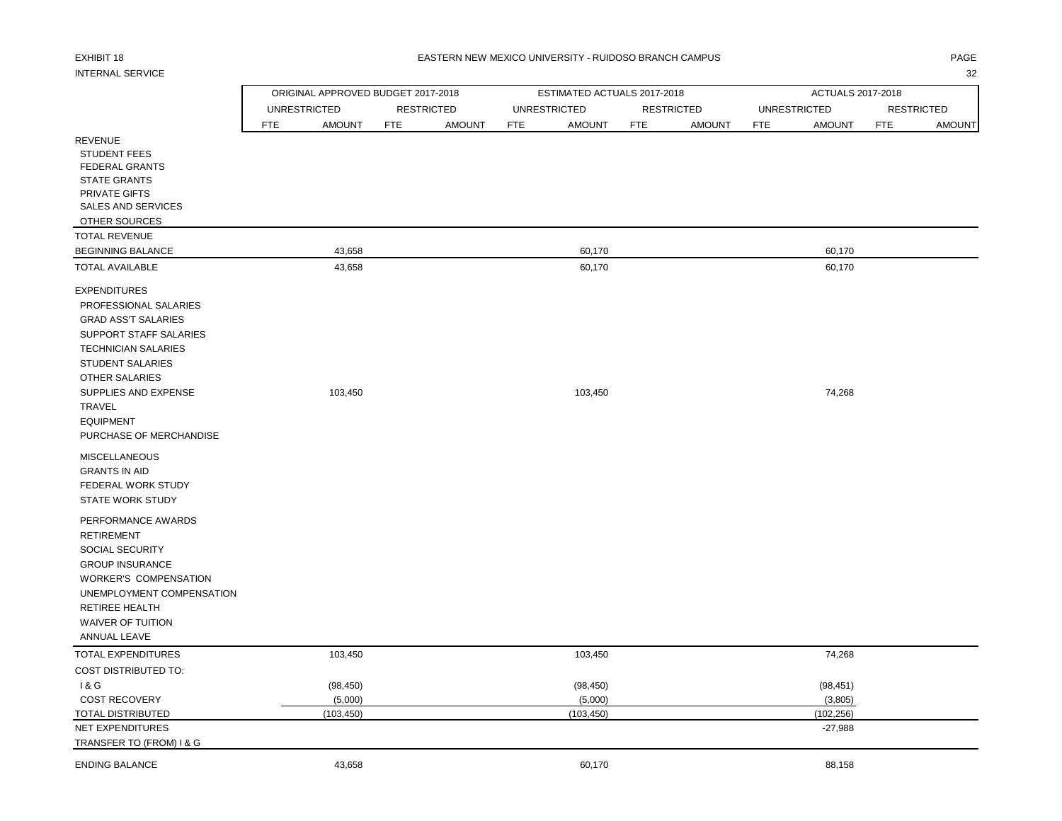# INTERNAL SERVICE 32

### EXHIBIT 18 PAGE EASTERN NEW MEXICO UNIVERSITY - RUIDOSO BRANCH CAMPUS

|                              |                     | ORIGINAL APPROVED BUDGET 2017-2018 |            |                   |            | ESTIMATED ACTUALS 2017-2018 |            |                   |            | ACTUALS 2017-2018   |            |                   |
|------------------------------|---------------------|------------------------------------|------------|-------------------|------------|-----------------------------|------------|-------------------|------------|---------------------|------------|-------------------|
|                              | <b>UNRESTRICTED</b> |                                    |            | <b>RESTRICTED</b> |            | <b>UNRESTRICTED</b>         |            | <b>RESTRICTED</b> |            | <b>UNRESTRICTED</b> |            | <b>RESTRICTED</b> |
|                              | FTE                 | <b>AMOUNT</b>                      | <b>FTE</b> | <b>AMOUNT</b>     | <b>FTE</b> | <b>AMOUNT</b>               | <b>FTE</b> | <b>AMOUNT</b>     | <b>FTE</b> | <b>AMOUNT</b>       | <b>FTE</b> | <b>AMOUNT</b>     |
| <b>REVENUE</b>               |                     |                                    |            |                   |            |                             |            |                   |            |                     |            |                   |
| <b>STUDENT FEES</b>          |                     |                                    |            |                   |            |                             |            |                   |            |                     |            |                   |
| <b>FEDERAL GRANTS</b>        |                     |                                    |            |                   |            |                             |            |                   |            |                     |            |                   |
| <b>STATE GRANTS</b>          |                     |                                    |            |                   |            |                             |            |                   |            |                     |            |                   |
| PRIVATE GIFTS                |                     |                                    |            |                   |            |                             |            |                   |            |                     |            |                   |
| <b>SALES AND SERVICES</b>    |                     |                                    |            |                   |            |                             |            |                   |            |                     |            |                   |
| OTHER SOURCES                |                     |                                    |            |                   |            |                             |            |                   |            |                     |            |                   |
| <b>TOTAL REVENUE</b>         |                     |                                    |            |                   |            |                             |            |                   |            |                     |            |                   |
| <b>BEGINNING BALANCE</b>     |                     | 43,658                             |            |                   |            | 60,170                      |            |                   |            | 60,170              |            |                   |
| <b>TOTAL AVAILABLE</b>       |                     | 43,658                             |            |                   |            | 60,170                      |            |                   |            | 60,170              |            |                   |
| <b>EXPENDITURES</b>          |                     |                                    |            |                   |            |                             |            |                   |            |                     |            |                   |
| PROFESSIONAL SALARIES        |                     |                                    |            |                   |            |                             |            |                   |            |                     |            |                   |
| <b>GRAD ASS'T SALARIES</b>   |                     |                                    |            |                   |            |                             |            |                   |            |                     |            |                   |
| SUPPORT STAFF SALARIES       |                     |                                    |            |                   |            |                             |            |                   |            |                     |            |                   |
| <b>TECHNICIAN SALARIES</b>   |                     |                                    |            |                   |            |                             |            |                   |            |                     |            |                   |
| <b>STUDENT SALARIES</b>      |                     |                                    |            |                   |            |                             |            |                   |            |                     |            |                   |
| OTHER SALARIES               |                     |                                    |            |                   |            |                             |            |                   |            |                     |            |                   |
| SUPPLIES AND EXPENSE         |                     | 103,450                            |            |                   |            | 103,450                     |            |                   |            | 74,268              |            |                   |
| TRAVEL                       |                     |                                    |            |                   |            |                             |            |                   |            |                     |            |                   |
| <b>EQUIPMENT</b>             |                     |                                    |            |                   |            |                             |            |                   |            |                     |            |                   |
| PURCHASE OF MERCHANDISE      |                     |                                    |            |                   |            |                             |            |                   |            |                     |            |                   |
|                              |                     |                                    |            |                   |            |                             |            |                   |            |                     |            |                   |
| <b>MISCELLANEOUS</b>         |                     |                                    |            |                   |            |                             |            |                   |            |                     |            |                   |
| <b>GRANTS IN AID</b>         |                     |                                    |            |                   |            |                             |            |                   |            |                     |            |                   |
| FEDERAL WORK STUDY           |                     |                                    |            |                   |            |                             |            |                   |            |                     |            |                   |
| STATE WORK STUDY             |                     |                                    |            |                   |            |                             |            |                   |            |                     |            |                   |
| PERFORMANCE AWARDS           |                     |                                    |            |                   |            |                             |            |                   |            |                     |            |                   |
| <b>RETIREMENT</b>            |                     |                                    |            |                   |            |                             |            |                   |            |                     |            |                   |
| SOCIAL SECURITY              |                     |                                    |            |                   |            |                             |            |                   |            |                     |            |                   |
| <b>GROUP INSURANCE</b>       |                     |                                    |            |                   |            |                             |            |                   |            |                     |            |                   |
| <b>WORKER'S COMPENSATION</b> |                     |                                    |            |                   |            |                             |            |                   |            |                     |            |                   |
| UNEMPLOYMENT COMPENSATION    |                     |                                    |            |                   |            |                             |            |                   |            |                     |            |                   |
| <b>RETIREE HEALTH</b>        |                     |                                    |            |                   |            |                             |            |                   |            |                     |            |                   |
| <b>WAIVER OF TUITION</b>     |                     |                                    |            |                   |            |                             |            |                   |            |                     |            |                   |
| ANNUAL LEAVE                 |                     |                                    |            |                   |            |                             |            |                   |            |                     |            |                   |
| TOTAL EXPENDITURES           |                     | 103,450                            |            |                   |            | 103,450                     |            |                   |            | 74,268              |            |                   |
| <b>COST DISTRIBUTED TO:</b>  |                     |                                    |            |                   |            |                             |            |                   |            |                     |            |                   |
| 1&G                          |                     | (98, 450)                          |            |                   |            | (98, 450)                   |            |                   |            | (98, 451)           |            |                   |
| <b>COST RECOVERY</b>         |                     | (5,000)                            |            |                   |            | (5,000)                     |            |                   |            | (3,805)             |            |                   |
| TOTAL DISTRIBUTED            |                     | (103, 450)                         |            |                   |            | (103, 450)                  |            |                   |            | (102, 256)          |            |                   |
| NET EXPENDITURES             |                     |                                    |            |                   |            |                             |            |                   |            | $-27,988$           |            |                   |
| TRANSFER TO (FROM) I & G     |                     |                                    |            |                   |            |                             |            |                   |            |                     |            |                   |
| <b>ENDING BALANCE</b>        |                     | 43,658                             |            |                   |            | 60,170                      |            |                   |            | 88,158              |            |                   |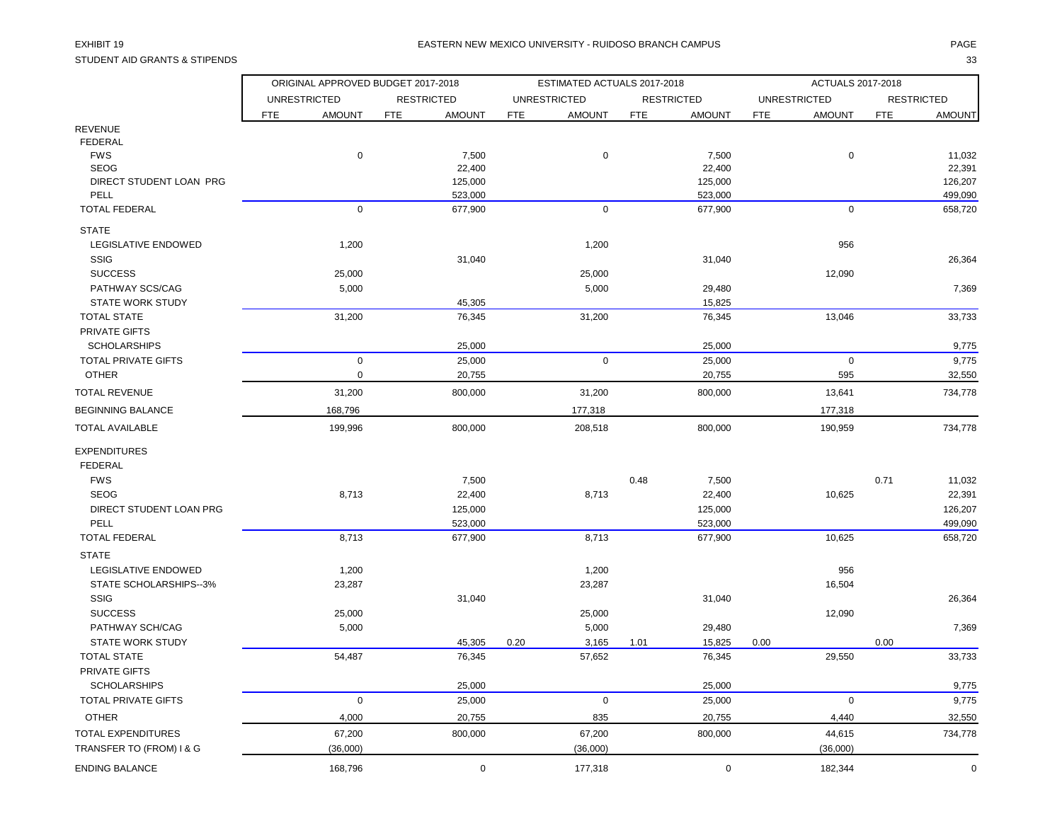STUDENT AID GRANTS & STIPENDS 33

|                              |                     | ORIGINAL APPROVED BUDGET 2017-2018 |                   |                    |            | ESTIMATED ACTUALS 2017-2018 |            |                    |            | ACTUALS 2017-2018   |                   |                    |
|------------------------------|---------------------|------------------------------------|-------------------|--------------------|------------|-----------------------------|------------|--------------------|------------|---------------------|-------------------|--------------------|
|                              | <b>UNRESTRICTED</b> |                                    | <b>RESTRICTED</b> |                    |            | <b>UNRESTRICTED</b>         |            | <b>RESTRICTED</b>  |            | <b>UNRESTRICTED</b> | <b>RESTRICTED</b> |                    |
|                              | <b>FTE</b>          | <b>AMOUNT</b>                      | <b>FTE</b>        | <b>AMOUNT</b>      | <b>FTE</b> | <b>AMOUNT</b>               | <b>FTE</b> | <b>AMOUNT</b>      | <b>FTE</b> | <b>AMOUNT</b>       | <b>FTE</b>        | <b>AMOUNT</b>      |
| <b>REVENUE</b>               |                     |                                    |                   |                    |            |                             |            |                    |            |                     |                   |                    |
| FEDERAL                      |                     |                                    |                   |                    |            |                             |            |                    |            |                     |                   |                    |
| <b>FWS</b>                   |                     | $\pmb{0}$                          |                   | 7,500              |            | $\pmb{0}$                   |            | 7,500              |            | $\pmb{0}$           |                   | 11,032             |
| <b>SEOG</b>                  |                     |                                    |                   | 22,400             |            |                             |            | 22,400             |            |                     |                   | 22,391             |
| DIRECT STUDENT LOAN PRG      |                     |                                    |                   | 125,000            |            |                             |            | 125,000            |            |                     |                   | 126,207            |
| PELL<br><b>TOTAL FEDERAL</b> |                     | $\mathbf 0$                        |                   | 523,000<br>677,900 |            | $\mathbf 0$                 |            | 523,000<br>677,900 |            | $\mathbf 0$         |                   | 499,090<br>658,720 |
|                              |                     |                                    |                   |                    |            |                             |            |                    |            |                     |                   |                    |
| <b>STATE</b>                 |                     |                                    |                   |                    |            |                             |            |                    |            |                     |                   |                    |
| <b>LEGISLATIVE ENDOWED</b>   |                     | 1,200                              |                   |                    |            | 1,200                       |            |                    |            | 956                 |                   |                    |
| <b>SSIG</b>                  |                     |                                    |                   | 31,040             |            |                             |            | 31,040             |            |                     |                   | 26,364             |
| <b>SUCCESS</b>               |                     | 25,000                             |                   |                    |            | 25,000                      |            |                    |            | 12,090              |                   |                    |
| PATHWAY SCS/CAG              |                     | 5,000                              |                   |                    |            | 5,000                       |            | 29,480             |            |                     |                   | 7,369              |
| <b>STATE WORK STUDY</b>      |                     |                                    |                   | 45,305             |            |                             |            | 15,825             |            |                     |                   |                    |
| <b>TOTAL STATE</b>           |                     | 31,200                             |                   | 76,345             |            | 31,200                      |            | 76,345             |            | 13,046              |                   | 33,733             |
| <b>PRIVATE GIFTS</b>         |                     |                                    |                   |                    |            |                             |            |                    |            |                     |                   |                    |
| <b>SCHOLARSHIPS</b>          |                     |                                    |                   | 25,000             |            |                             |            | 25,000             |            |                     |                   | 9,775              |
| TOTAL PRIVATE GIFTS          |                     | $\mathbf 0$                        |                   | 25,000             |            | $\mathbf 0$                 |            | 25,000             |            | $\mathbf 0$         |                   | 9,775              |
| <b>OTHER</b>                 |                     | $\pmb{0}$                          |                   | 20,755             |            |                             |            | 20,755             |            | 595                 |                   | 32,550             |
| <b>TOTAL REVENUE</b>         |                     | 31,200                             |                   | 800,000            |            | 31,200                      |            | 800,000            |            | 13,641              |                   | 734,778            |
| <b>BEGINNING BALANCE</b>     |                     | 168,796                            |                   |                    |            | 177,318                     |            |                    |            | 177,318             |                   |                    |
| <b>TOTAL AVAILABLE</b>       |                     | 199,996                            |                   | 800,000            |            | 208,518                     |            | 800,000            |            | 190,959             |                   | 734,778            |
| <b>EXPENDITURES</b>          |                     |                                    |                   |                    |            |                             |            |                    |            |                     |                   |                    |
| <b>FEDERAL</b>               |                     |                                    |                   |                    |            |                             |            |                    |            |                     |                   |                    |
| <b>FWS</b>                   |                     |                                    |                   | 7,500              |            |                             | 0.48       | 7,500              |            |                     | 0.71              | 11,032             |
| <b>SEOG</b>                  |                     | 8,713                              |                   | 22,400             |            | 8,713                       |            | 22,400             |            | 10,625              |                   | 22,391             |
| DIRECT STUDENT LOAN PRG      |                     |                                    |                   | 125,000            |            |                             |            | 125,000            |            |                     |                   | 126,207            |
| PELL                         |                     |                                    |                   | 523,000            |            |                             |            | 523,000            |            |                     |                   | 499,090            |
| <b>TOTAL FEDERAL</b>         |                     | 8,713                              |                   | 677,900            |            | 8,713                       |            | 677,900            |            | 10,625              |                   | 658,720            |
| <b>STATE</b>                 |                     |                                    |                   |                    |            |                             |            |                    |            |                     |                   |                    |
| LEGISLATIVE ENDOWED          |                     | 1,200                              |                   |                    |            | 1,200                       |            |                    |            | 956                 |                   |                    |
| STATE SCHOLARSHIPS--3%       |                     | 23,287                             |                   |                    |            | 23,287                      |            |                    |            | 16,504              |                   |                    |
| <b>SSIG</b>                  |                     |                                    |                   | 31,040             |            |                             |            | 31,040             |            |                     |                   | 26,364             |
| <b>SUCCESS</b>               |                     | 25,000                             |                   |                    |            | 25,000                      |            |                    |            | 12,090              |                   |                    |
| PATHWAY SCH/CAG              |                     | 5,000                              |                   |                    |            | 5,000                       |            | 29,480             |            |                     |                   | 7,369              |
| <b>STATE WORK STUDY</b>      |                     |                                    |                   | 45,305             | 0.20       | 3,165                       | 1.01       | 15,825             | 0.00       |                     | 0.00              |                    |
| <b>TOTAL STATE</b>           |                     | 54,487                             |                   | 76,345             |            | 57,652                      |            | 76,345             |            | 29,550              |                   | 33,733             |
| PRIVATE GIFTS                |                     |                                    |                   |                    |            |                             |            |                    |            |                     |                   |                    |
| <b>SCHOLARSHIPS</b>          |                     |                                    |                   | 25,000             |            |                             |            | 25,000             |            |                     |                   | 9,775              |
| TOTAL PRIVATE GIFTS          |                     | $\mathsf 0$                        |                   | 25,000             |            | $\mathsf 0$                 |            | 25,000             |            | $\mathsf 0$         |                   | 9,775              |
| <b>OTHER</b>                 |                     | 4,000                              |                   | 20,755             |            | 835                         |            | 20,755             |            | 4,440               |                   | 32,550             |
| <b>TOTAL EXPENDITURES</b>    |                     | 67,200                             |                   | 800,000            |            | 67,200                      |            | 800,000            |            | 44,615              |                   | 734,778            |
| TRANSFER TO (FROM) I & G     |                     | (36,000)                           |                   |                    |            | (36,000)                    |            |                    |            | (36,000)            |                   |                    |
| <b>ENDING BALANCE</b>        |                     | 168,796                            |                   | $\mathbf 0$        |            | 177,318                     |            | $\mathbf 0$        |            | 182,344             |                   | $\mathbf 0$        |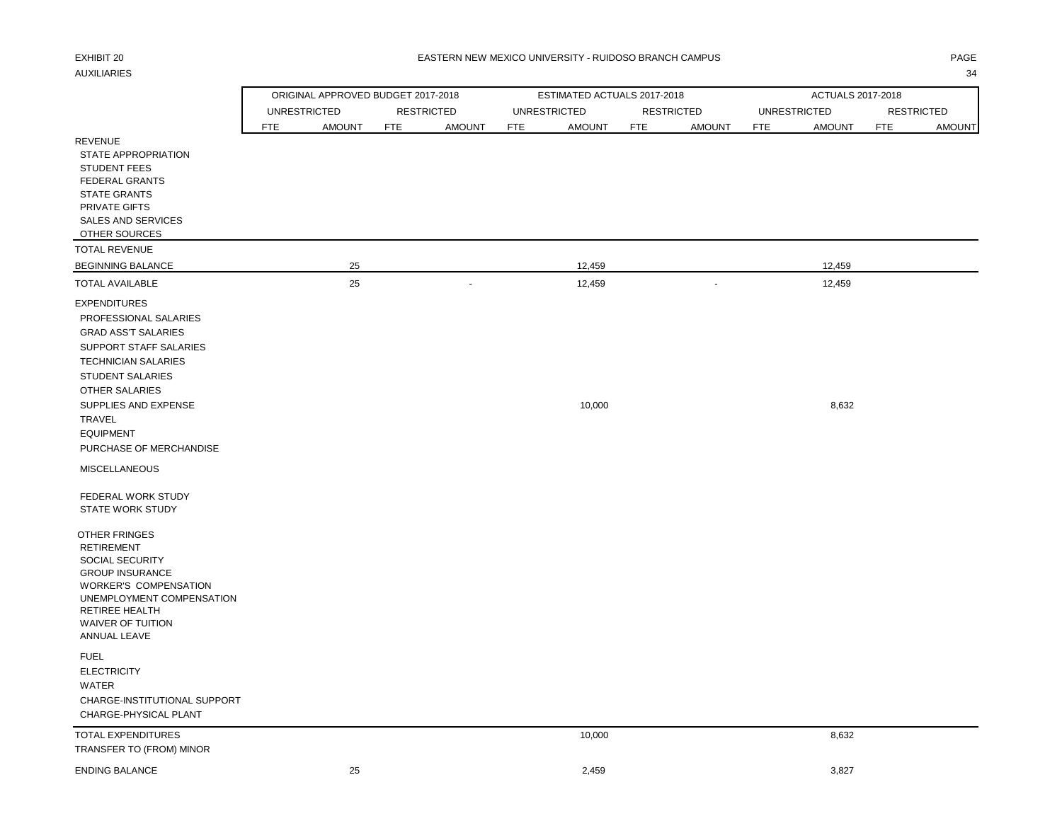## AUXILIARIES 34

### EXHIBIT 20 PAGE PAGE IN THE SEASTERN NEW MEXICO UNIVERSITY - RUIDOSO BRANCH CAMPUS AND THE SEASTERN ONLY ANGE

ORIGINAL APPROVED BUDGET 2017-2018 ESTIMATED ACTUALS 2017-2018 ACTUALS 2017-2018 UNRESTRICTED RESTRICTED UNRESTRICTED RESTRICTED UNRESTRICTED RESTRICTED

|                                                                                                                                                                                                                                                     | <b>FTE</b> | <b>AMOUNT</b> | <b>FTE</b> | <b>AMOUNT</b> | <b>FTE</b> | <b>AMOUNT</b> | <b>FTE</b> | <b>AMOUNT</b> | <b>FTE</b> | <b>AMOUNT</b> | <b>FTE</b> | <b>AMOUNT</b> |
|-----------------------------------------------------------------------------------------------------------------------------------------------------------------------------------------------------------------------------------------------------|------------|---------------|------------|---------------|------------|---------------|------------|---------------|------------|---------------|------------|---------------|
| <b>REVENUE</b><br><b>STATE APPROPRIATION</b><br><b>STUDENT FEES</b><br><b>FEDERAL GRANTS</b><br><b>STATE GRANTS</b><br>PRIVATE GIFTS<br>SALES AND SERVICES<br>OTHER SOURCES                                                                         |            |               |            |               |            |               |            |               |            |               |            |               |
| <b>TOTAL REVENUE</b>                                                                                                                                                                                                                                |            |               |            |               |            |               |            |               |            |               |            |               |
| <b>BEGINNING BALANCE</b>                                                                                                                                                                                                                            |            | 25            |            |               |            | 12,459        |            |               |            | 12,459        |            |               |
| <b>TOTAL AVAILABLE</b>                                                                                                                                                                                                                              |            | 25            |            | $\sim$        |            | 12,459        |            | ÷.            |            | 12,459        |            |               |
| <b>EXPENDITURES</b><br>PROFESSIONAL SALARIES<br><b>GRAD ASS'T SALARIES</b><br>SUPPORT STAFF SALARIES<br><b>TECHNICIAN SALARIES</b><br><b>STUDENT SALARIES</b><br><b>OTHER SALARIES</b><br>SUPPLIES AND EXPENSE<br><b>TRAVEL</b><br><b>EQUIPMENT</b> |            |               |            |               |            | 10,000        |            |               |            | 8,632         |            |               |
| PURCHASE OF MERCHANDISE                                                                                                                                                                                                                             |            |               |            |               |            |               |            |               |            |               |            |               |
| <b>MISCELLANEOUS</b>                                                                                                                                                                                                                                |            |               |            |               |            |               |            |               |            |               |            |               |
| FEDERAL WORK STUDY<br><b>STATE WORK STUDY</b>                                                                                                                                                                                                       |            |               |            |               |            |               |            |               |            |               |            |               |
| OTHER FRINGES<br><b>RETIREMENT</b><br>SOCIAL SECURITY<br><b>GROUP INSURANCE</b><br><b>WORKER'S COMPENSATION</b><br>UNEMPLOYMENT COMPENSATION<br><b>RETIREE HEALTH</b><br><b>WAIVER OF TUITION</b><br>ANNUAL LEAVE                                   |            |               |            |               |            |               |            |               |            |               |            |               |
| <b>FUEL</b><br><b>ELECTRICITY</b><br><b>WATER</b><br>CHARGE-INSTITUTIONAL SUPPORT<br>CHARGE-PHYSICAL PLANT                                                                                                                                          |            |               |            |               |            |               |            |               |            |               |            |               |
| <b>TOTAL EXPENDITURES</b>                                                                                                                                                                                                                           |            |               |            |               |            | 10,000        |            |               |            | 8,632         |            |               |

## TRANSFER TO (FROM) MINOR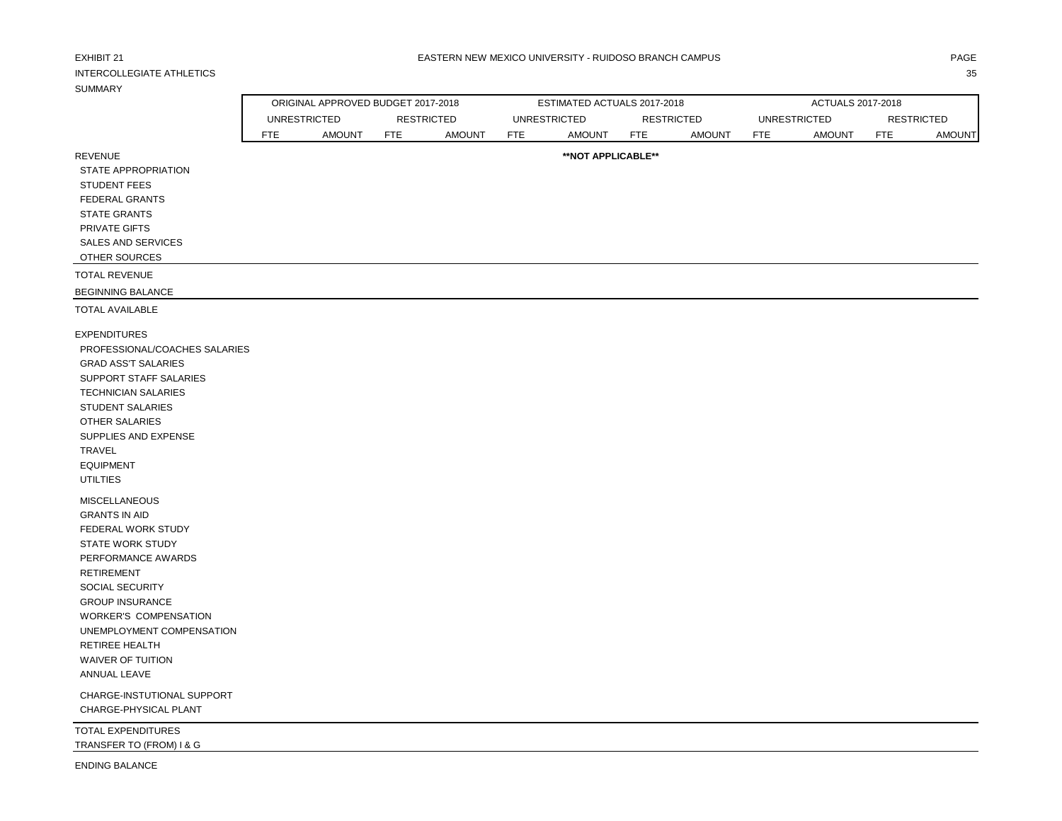| EXHIBIT 21<br><b>INTERCOLLEGIATE ATHLETICS</b><br><b>SUMMARY</b>                                                                                                                                                                                                                                                                        |                     |                                    |            |                   |            | EASTERN NEW MEXICO UNIVERSITY - RUIDOSO BRANCH CAMPUS |            |                   |     |                     |                   | PAGE<br>35    |
|-----------------------------------------------------------------------------------------------------------------------------------------------------------------------------------------------------------------------------------------------------------------------------------------------------------------------------------------|---------------------|------------------------------------|------------|-------------------|------------|-------------------------------------------------------|------------|-------------------|-----|---------------------|-------------------|---------------|
|                                                                                                                                                                                                                                                                                                                                         |                     | ORIGINAL APPROVED BUDGET 2017-2018 |            |                   |            | ESTIMATED ACTUALS 2017-2018                           |            |                   |     | ACTUALS 2017-2018   |                   |               |
|                                                                                                                                                                                                                                                                                                                                         | <b>UNRESTRICTED</b> |                                    |            | <b>RESTRICTED</b> |            | <b>UNRESTRICTED</b>                                   |            | <b>RESTRICTED</b> |     | <b>UNRESTRICTED</b> | <b>RESTRICTED</b> |               |
|                                                                                                                                                                                                                                                                                                                                         | <b>FTE</b>          | <b>AMOUNT</b>                      | <b>FTE</b> | <b>AMOUNT</b>     | <b>FTE</b> | <b>AMOUNT</b>                                         | <b>FTE</b> | <b>AMOUNT</b>     | FTE | <b>AMOUNT</b>       | <b>FTE</b>        | <b>AMOUNT</b> |
| <b>REVENUE</b><br>STATE APPROPRIATION<br><b>STUDENT FEES</b><br><b>FEDERAL GRANTS</b><br><b>STATE GRANTS</b><br>PRIVATE GIFTS<br>SALES AND SERVICES<br>OTHER SOURCES                                                                                                                                                                    |                     |                                    |            |                   |            | **NOT APPLICABLE**                                    |            |                   |     |                     |                   |               |
| <b>TOTAL REVENUE</b>                                                                                                                                                                                                                                                                                                                    |                     |                                    |            |                   |            |                                                       |            |                   |     |                     |                   |               |
| <b>BEGINNING BALANCE</b>                                                                                                                                                                                                                                                                                                                |                     |                                    |            |                   |            |                                                       |            |                   |     |                     |                   |               |
| <b>TOTAL AVAILABLE</b>                                                                                                                                                                                                                                                                                                                  |                     |                                    |            |                   |            |                                                       |            |                   |     |                     |                   |               |
| <b>EXPENDITURES</b><br>PROFESSIONAL/COACHES SALARIES<br><b>GRAD ASS'T SALARIES</b><br>SUPPORT STAFF SALARIES<br><b>TECHNICIAN SALARIES</b><br>STUDENT SALARIES<br>OTHER SALARIES<br>SUPPLIES AND EXPENSE<br>TRAVEL<br><b>EQUIPMENT</b><br><b>UTILTIES</b>                                                                               |                     |                                    |            |                   |            |                                                       |            |                   |     |                     |                   |               |
| <b>MISCELLANEOUS</b><br><b>GRANTS IN AID</b><br>FEDERAL WORK STUDY<br><b>STATE WORK STUDY</b><br>PERFORMANCE AWARDS<br><b>RETIREMENT</b><br><b>SOCIAL SECURITY</b><br><b>GROUP INSURANCE</b><br>WORKER'S COMPENSATION<br>UNEMPLOYMENT COMPENSATION<br>RETIREE HEALTH<br>WAIVER OF TUITION<br>ANNUAL LEAVE<br>CHARGE-INSTUTIONAL SUPPORT |                     |                                    |            |                   |            |                                                       |            |                   |     |                     |                   |               |
| CHARGE-PHYSICAL PLANT                                                                                                                                                                                                                                                                                                                   |                     |                                    |            |                   |            |                                                       |            |                   |     |                     |                   |               |
| TOTAL EXPENDITURES<br>TRANSFER TO (FROM) I & G                                                                                                                                                                                                                                                                                          |                     |                                    |            |                   |            |                                                       |            |                   |     |                     |                   |               |

ENDING BALANCE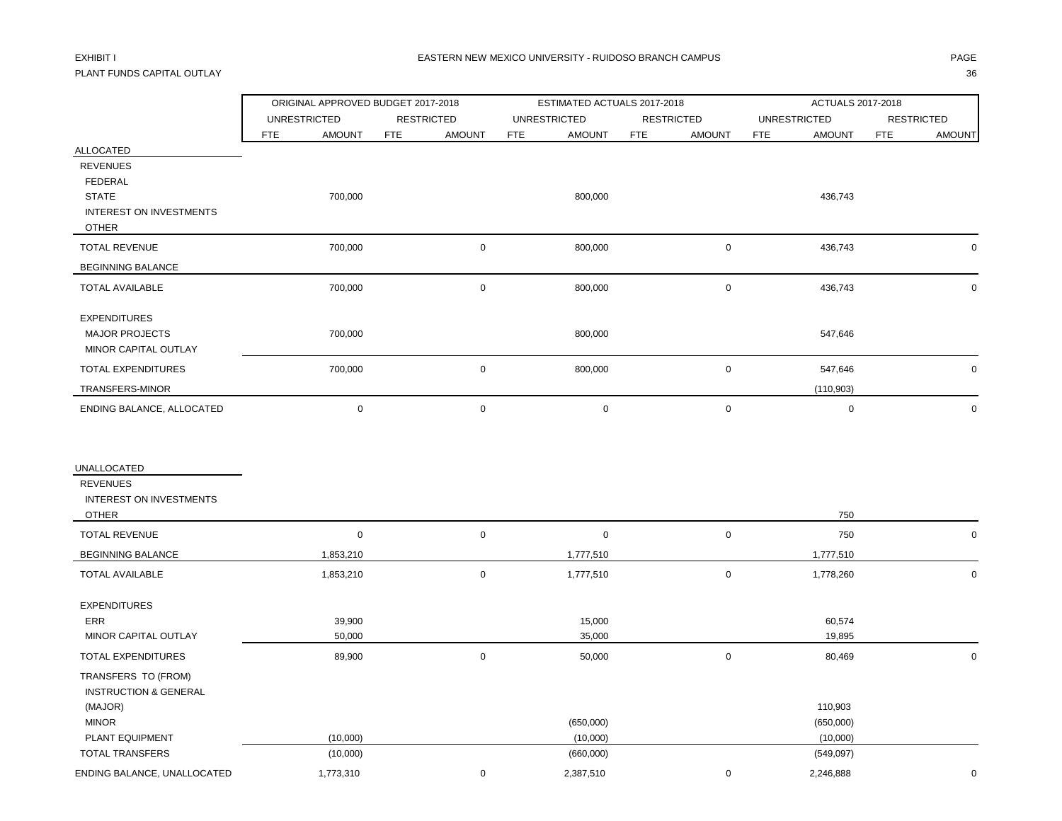## PLANT FUNDS CAPITAL OUTLAY 36

|                                                                                  | ORIGINAL APPROVED BUDGET 2017-2018 |                             | ESTIMATED ACTUALS 2017-2018 |                             | ACTUALS 2017-2018           |                             |
|----------------------------------------------------------------------------------|------------------------------------|-----------------------------|-----------------------------|-----------------------------|-----------------------------|-----------------------------|
|                                                                                  | <b>UNRESTRICTED</b>                | <b>RESTRICTED</b>           | <b>UNRESTRICTED</b>         | <b>RESTRICTED</b>           | <b>UNRESTRICTED</b>         | <b>RESTRICTED</b>           |
|                                                                                  | FTE<br><b>AMOUNT</b>               | <b>FTE</b><br><b>AMOUNT</b> | <b>FTE</b><br><b>AMOUNT</b> | <b>FTE</b><br><b>AMOUNT</b> | <b>FTE</b><br><b>AMOUNT</b> | <b>FTE</b><br><b>AMOUNT</b> |
| <b>ALLOCATED</b><br><b>REVENUES</b><br>FEDERAL<br><b>STATE</b>                   | 700,000                            |                             | 800,000                     |                             | 436,743                     |                             |
| <b>INTEREST ON INVESTMENTS</b><br><b>OTHER</b>                                   |                                    |                             |                             |                             |                             |                             |
| <b>TOTAL REVENUE</b>                                                             | 700,000                            | $\mathsf 0$                 | 800,000                     | $\mathsf{O}\xspace$         | 436,743                     | $\mathbf 0$                 |
| <b>BEGINNING BALANCE</b>                                                         |                                    |                             |                             |                             |                             |                             |
| <b>TOTAL AVAILABLE</b>                                                           | 700,000                            | $\mathbf 0$                 | 800,000                     | $\mathbf 0$                 | 436,743                     | $\mathbf 0$                 |
| <b>EXPENDITURES</b><br><b>MAJOR PROJECTS</b><br>MINOR CAPITAL OUTLAY             | 700,000                            |                             | 800,000                     |                             | 547,646                     |                             |
| <b>TOTAL EXPENDITURES</b>                                                        | 700,000                            | $\mathsf 0$                 | 800,000                     | $\mathsf 0$                 | 547,646                     | $\mathbf 0$                 |
| TRANSFERS-MINOR                                                                  |                                    |                             |                             |                             | (110, 903)                  |                             |
| ENDING BALANCE, ALLOCATED                                                        | $\pmb{0}$                          | $\mathsf 0$                 | $\mathbf 0$                 | $\mathbf 0$                 | $\pmb{0}$                   | $\mathbf 0$                 |
| UNALLOCATED<br><b>REVENUES</b><br><b>INTEREST ON INVESTMENTS</b><br><b>OTHER</b> |                                    |                             |                             |                             | 750                         |                             |
| <b>TOTAL REVENUE</b>                                                             | $\mathbf 0$                        | $\mathsf 0$                 | $\pmb{0}$                   | $\mathsf{O}\xspace$         | 750                         | $\mathbf 0$                 |
| <b>BEGINNING BALANCE</b>                                                         | 1,853,210                          |                             | 1,777,510                   |                             | 1,777,510                   |                             |
| <b>TOTAL AVAILABLE</b>                                                           | 1,853,210                          | $\mathsf 0$                 | 1,777,510                   | $\mathbf 0$                 | 1,778,260                   | $\mathbf 0$                 |
| <b>EXPENDITURES</b><br>ERR<br>MINOR CAPITAL OUTLAY                               | 39,900<br>50,000                   |                             | 15,000<br>35,000            |                             | 60,574<br>19,895            |                             |
| TOTAL EXPENDITURES                                                               | 89,900                             | $\mathsf{O}\xspace$         | 50,000                      | $\mathsf{O}\xspace$         | 80,469                      | $\mathsf{O}\xspace$         |
| TRANSFERS TO (FROM)<br><b>INSTRUCTION &amp; GENERAL</b><br>(MAJOR)               |                                    |                             |                             |                             | 110,903                     |                             |
| <b>MINOR</b>                                                                     |                                    |                             | (650,000)                   |                             | (650,000)                   |                             |
| PLANT EQUIPMENT<br><b>TOTAL TRANSFERS</b>                                        | (10,000)<br>(10,000)               |                             | (10,000)<br>(660,000)       |                             | (10,000)<br>(549,097)       |                             |
| ENDING BALANCE, UNALLOCATED                                                      | 1,773,310                          | $\mathbf 0$                 | 2,387,510                   | $\mathbf 0$                 | 2,246,888                   | $\mathbf 0$                 |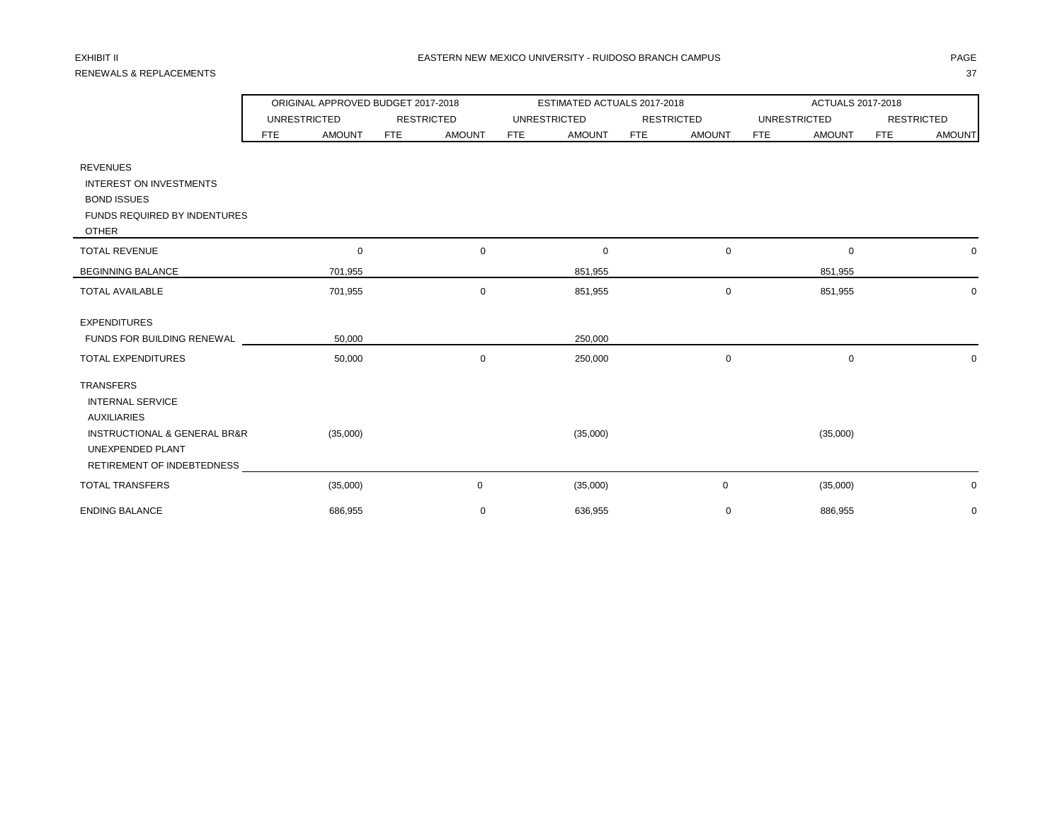## RENEWALS & REPLACEMENTS 37

|                                                                                                                                                     |                     | ORIGINAL APPROVED BUDGET 2017-2018 |                   |               |            | ESTIMATED ACTUALS 2017-2018 |            |                   | ACTUALS 2017-2018   |               |                   |               |  |
|-----------------------------------------------------------------------------------------------------------------------------------------------------|---------------------|------------------------------------|-------------------|---------------|------------|-----------------------------|------------|-------------------|---------------------|---------------|-------------------|---------------|--|
|                                                                                                                                                     | <b>UNRESTRICTED</b> |                                    | <b>RESTRICTED</b> |               |            | <b>UNRESTRICTED</b>         |            | <b>RESTRICTED</b> | <b>UNRESTRICTED</b> |               | <b>RESTRICTED</b> |               |  |
|                                                                                                                                                     | <b>FTE</b>          | <b>AMOUNT</b>                      | <b>FTE</b>        | <b>AMOUNT</b> | <b>FTE</b> | <b>AMOUNT</b>               | <b>FTE</b> | <b>AMOUNT</b>     | <b>FTE</b>          | <b>AMOUNT</b> | <b>FTE</b>        | <b>AMOUNT</b> |  |
| <b>REVENUES</b><br><b>INTEREST ON INVESTMENTS</b><br><b>BOND ISSUES</b><br>FUNDS REQUIRED BY INDENTURES                                             |                     |                                    |                   |               |            |                             |            |                   |                     |               |                   |               |  |
| <b>OTHER</b><br><b>TOTAL REVENUE</b>                                                                                                                |                     | 0                                  |                   | $\mathbf 0$   |            | 0                           |            | 0                 |                     | $\mathbf 0$   |                   | $\mathbf 0$   |  |
| <b>BEGINNING BALANCE</b>                                                                                                                            |                     | 701,955                            |                   |               |            | 851,955                     |            |                   |                     | 851,955       |                   |               |  |
| <b>TOTAL AVAILABLE</b>                                                                                                                              |                     | 701,955                            |                   | $\mathbf 0$   |            | 851,955                     |            | 0                 |                     | 851,955       |                   | $\mathbf 0$   |  |
| <b>EXPENDITURES</b><br>FUNDS FOR BUILDING RENEWAL<br><b>TOTAL EXPENDITURES</b>                                                                      |                     | 50,000<br>50,000                   |                   | $\mathbf 0$   |            | 250,000<br>250,000          |            | 0                 |                     | $\mathbf 0$   |                   | 0             |  |
| <b>TRANSFERS</b><br><b>INTERNAL SERVICE</b><br><b>AUXILIARIES</b><br>INSTRUCTIONAL & GENERAL BR&R<br>UNEXPENDED PLANT<br>RETIREMENT OF INDEBTEDNESS |                     | (35,000)                           |                   |               |            | (35,000)                    |            |                   |                     | (35,000)      |                   |               |  |
| <b>TOTAL TRANSFERS</b>                                                                                                                              |                     | (35,000)                           |                   | $\mathbf 0$   |            | (35,000)                    |            | 0                 |                     | (35,000)      |                   | 0             |  |
| <b>ENDING BALANCE</b>                                                                                                                               |                     | 686,955                            |                   | $\mathbf 0$   |            | 636,955                     |            | $\mathbf 0$       |                     | 886,955       |                   | $\mathbf 0$   |  |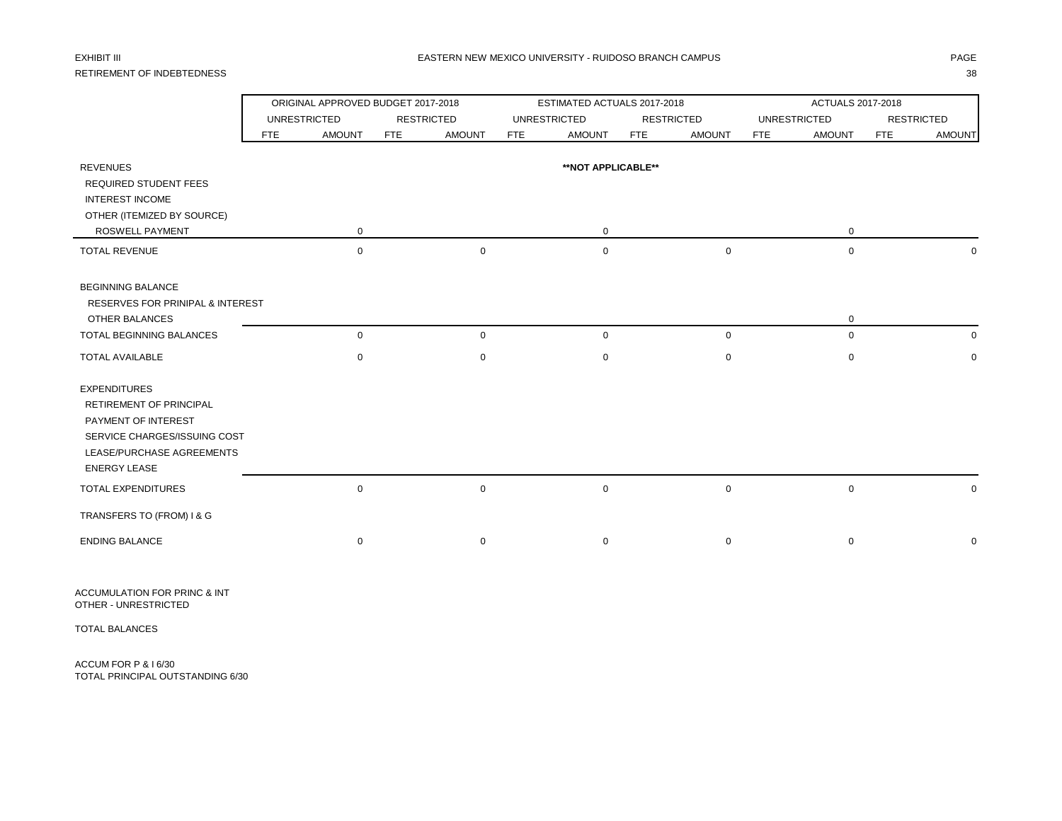## RETIREMENT OF INDEBTEDNESS 38

### EXHIBIT III CHANGE DAN MEXICO UNIVERSITY - RUIDOSO BRANCH CAMPUS CHANGE DAN MEXICO UNIVERSITY - RUIDOSO BRANCH CAMPUS

|                                                                                  |            | ORIGINAL APPROVED BUDGET 2017-2018 |                   |               |                     | ESTIMATED ACTUALS 2017-2018 |                   |               | ACTUALS 2017-2018           |             |                   |  |  |
|----------------------------------------------------------------------------------|------------|------------------------------------|-------------------|---------------|---------------------|-----------------------------|-------------------|---------------|-----------------------------|-------------|-------------------|--|--|
|                                                                                  |            | <b>UNRESTRICTED</b>                | <b>RESTRICTED</b> |               | <b>UNRESTRICTED</b> |                             | <b>RESTRICTED</b> |               | <b>UNRESTRICTED</b>         |             | <b>RESTRICTED</b> |  |  |
|                                                                                  | <b>FTE</b> | <b>AMOUNT</b>                      | <b>FTE</b>        | <b>AMOUNT</b> | FTE                 | <b>AMOUNT</b>               | <b>FTE</b>        | <b>AMOUNT</b> | <b>AMOUNT</b><br><b>FTE</b> | <b>FTE</b>  | <b>AMOUNT</b>     |  |  |
| <b>REVENUES</b>                                                                  |            |                                    |                   |               |                     | **NOT APPLICABLE**          |                   |               |                             |             |                   |  |  |
| REQUIRED STUDENT FEES                                                            |            |                                    |                   |               |                     |                             |                   |               |                             |             |                   |  |  |
| <b>INTEREST INCOME</b>                                                           |            |                                    |                   |               |                     |                             |                   |               |                             |             |                   |  |  |
| OTHER (ITEMIZED BY SOURCE)                                                       |            |                                    |                   |               |                     |                             |                   |               |                             |             |                   |  |  |
| ROSWELL PAYMENT                                                                  |            | $\mathbf 0$                        |                   |               |                     | $\mathbf 0$                 |                   |               |                             | 0           |                   |  |  |
| <b>TOTAL REVENUE</b>                                                             |            | $\mathbf 0$                        |                   | $\mathbf 0$   |                     | $\mathbf 0$                 |                   | $\mathbf 0$   |                             | $\mathbf 0$ | $\mathbf 0$       |  |  |
| <b>BEGINNING BALANCE</b><br>RESERVES FOR PRINIPAL & INTEREST                     |            |                                    |                   |               |                     |                             |                   |               |                             |             |                   |  |  |
| OTHER BALANCES                                                                   |            |                                    |                   |               |                     |                             |                   |               |                             | 0           |                   |  |  |
| TOTAL BEGINNING BALANCES                                                         |            | $\mathbf 0$                        |                   | $\mathbf 0$   |                     | $\mathbf 0$                 |                   | $\mathbf 0$   |                             | $\mathbf 0$ | 0                 |  |  |
| <b>TOTAL AVAILABLE</b>                                                           |            | $\mathbf 0$                        |                   | $\mathbf 0$   |                     | $\mathbf 0$                 |                   | 0             |                             | $\mathbf 0$ | $\mathbf 0$       |  |  |
| <b>EXPENDITURES</b><br>RETIREMENT OF PRINCIPAL<br>PAYMENT OF INTEREST            |            |                                    |                   |               |                     |                             |                   |               |                             |             |                   |  |  |
| SERVICE CHARGES/ISSUING COST<br>LEASE/PURCHASE AGREEMENTS<br><b>ENERGY LEASE</b> |            |                                    |                   |               |                     |                             |                   |               |                             |             |                   |  |  |
| <b>TOTAL EXPENDITURES</b>                                                        |            | $\mathbf 0$                        |                   | $\mathbf 0$   |                     | $\mathbf 0$                 |                   | 0             |                             | $\mathbf 0$ | $\mathbf 0$       |  |  |
| TRANSFERS TO (FROM) I & G                                                        |            |                                    |                   |               |                     |                             |                   |               |                             |             |                   |  |  |
| <b>ENDING BALANCE</b>                                                            |            | 0                                  |                   | $\mathbf 0$   |                     | $\mathbf 0$                 |                   | 0             |                             | 0           | $\mathbf 0$       |  |  |

ACCUMULATION FOR PRINC & INT OTHER - UNRESTRICTED

TOTAL BALANCES

ACCUM FOR P & I 6/30 TOTAL PRINCIPAL OUTSTANDING 6/30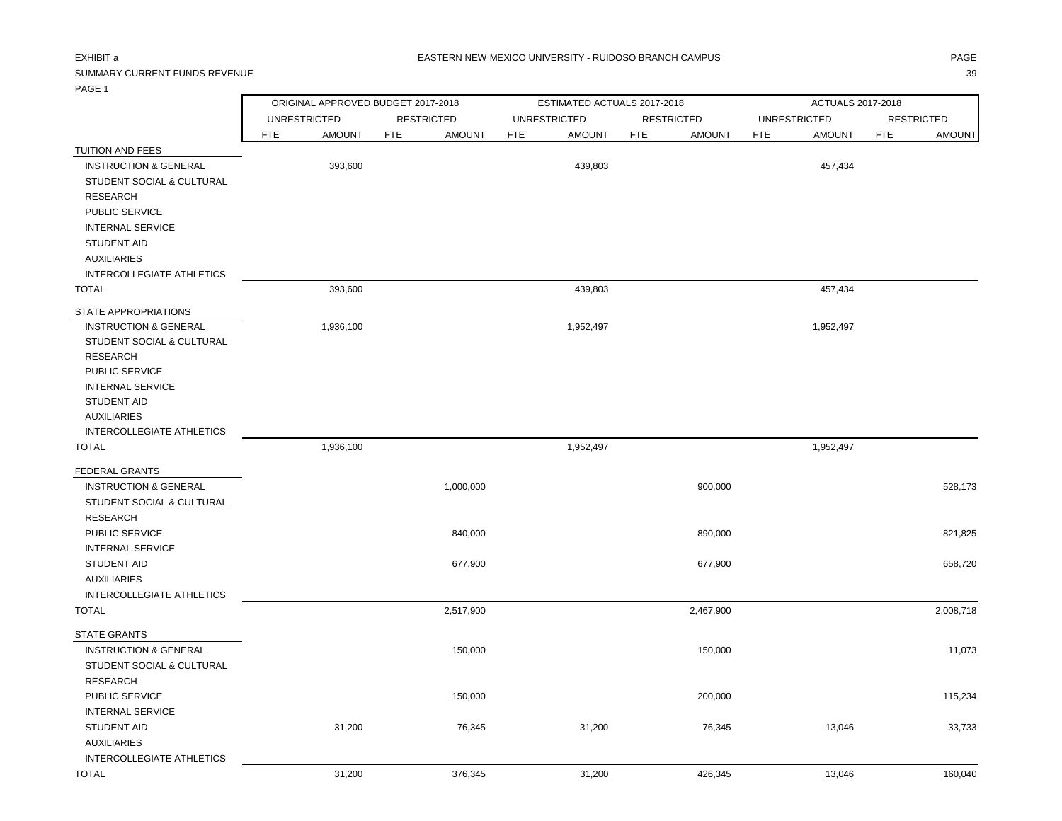## SUMMARY CURRENT FUNDS REVENUE 39

PAGE 1

ORIGINAL APPROVED BUDGET 2017-2018 ESTIMATED ACTUALS 2017-2018 ACTUALS 2017-2018

|                                  |            | <b>UNRESTRICTED</b> |            | <b>RESTRICTED</b> |            | <b>UNRESTRICTED</b> |            | <b>RESTRICTED</b> |            | <b>UNRESTRICTED</b> |            | <b>RESTRICTED</b> |
|----------------------------------|------------|---------------------|------------|-------------------|------------|---------------------|------------|-------------------|------------|---------------------|------------|-------------------|
|                                  | <b>FTE</b> | <b>AMOUNT</b>       | <b>FTE</b> | <b>AMOUNT</b>     | <b>FTE</b> | <b>AMOUNT</b>       | <b>FTE</b> | <b>AMOUNT</b>     | <b>FTE</b> | <b>AMOUNT</b>       | <b>FTE</b> | <b>AMOUNT</b>     |
| TUITION AND FEES                 |            |                     |            |                   |            |                     |            |                   |            |                     |            |                   |
| <b>INSTRUCTION &amp; GENERAL</b> |            | 393,600             |            |                   |            | 439,803             |            |                   |            | 457,434             |            |                   |
| STUDENT SOCIAL & CULTURAL        |            |                     |            |                   |            |                     |            |                   |            |                     |            |                   |
| <b>RESEARCH</b>                  |            |                     |            |                   |            |                     |            |                   |            |                     |            |                   |
| PUBLIC SERVICE                   |            |                     |            |                   |            |                     |            |                   |            |                     |            |                   |
| <b>INTERNAL SERVICE</b>          |            |                     |            |                   |            |                     |            |                   |            |                     |            |                   |
| <b>STUDENT AID</b>               |            |                     |            |                   |            |                     |            |                   |            |                     |            |                   |
| <b>AUXILIARIES</b>               |            |                     |            |                   |            |                     |            |                   |            |                     |            |                   |
| INTERCOLLEGIATE ATHLETICS        |            |                     |            |                   |            |                     |            |                   |            |                     |            |                   |
| <b>TOTAL</b>                     |            | 393,600             |            |                   |            | 439,803             |            |                   |            | 457,434             |            |                   |
| STATE APPROPRIATIONS             |            |                     |            |                   |            |                     |            |                   |            |                     |            |                   |
| <b>INSTRUCTION &amp; GENERAL</b> |            | 1,936,100           |            |                   |            | 1,952,497           |            |                   |            | 1,952,497           |            |                   |
| STUDENT SOCIAL & CULTURAL        |            |                     |            |                   |            |                     |            |                   |            |                     |            |                   |
| <b>RESEARCH</b>                  |            |                     |            |                   |            |                     |            |                   |            |                     |            |                   |
| <b>PUBLIC SERVICE</b>            |            |                     |            |                   |            |                     |            |                   |            |                     |            |                   |
| <b>INTERNAL SERVICE</b>          |            |                     |            |                   |            |                     |            |                   |            |                     |            |                   |
| <b>STUDENT AID</b>               |            |                     |            |                   |            |                     |            |                   |            |                     |            |                   |
| <b>AUXILIARIES</b>               |            |                     |            |                   |            |                     |            |                   |            |                     |            |                   |
| INTERCOLLEGIATE ATHLETICS        |            |                     |            |                   |            |                     |            |                   |            |                     |            |                   |
| <b>TOTAL</b>                     |            | 1,936,100           |            |                   |            | 1,952,497           |            |                   |            | 1,952,497           |            |                   |
| <b>FEDERAL GRANTS</b>            |            |                     |            |                   |            |                     |            |                   |            |                     |            |                   |
| <b>INSTRUCTION &amp; GENERAL</b> |            |                     |            | 1,000,000         |            |                     |            | 900,000           |            |                     |            | 528,173           |
| STUDENT SOCIAL & CULTURAL        |            |                     |            |                   |            |                     |            |                   |            |                     |            |                   |
| <b>RESEARCH</b>                  |            |                     |            |                   |            |                     |            |                   |            |                     |            |                   |
| PUBLIC SERVICE                   |            |                     |            | 840,000           |            |                     |            | 890,000           |            |                     |            | 821,825           |
| <b>INTERNAL SERVICE</b>          |            |                     |            |                   |            |                     |            |                   |            |                     |            |                   |
| <b>STUDENT AID</b>               |            |                     |            | 677,900           |            |                     |            | 677,900           |            |                     |            | 658,720           |
| <b>AUXILIARIES</b>               |            |                     |            |                   |            |                     |            |                   |            |                     |            |                   |
| <b>INTERCOLLEGIATE ATHLETICS</b> |            |                     |            |                   |            |                     |            |                   |            |                     |            |                   |
| <b>TOTAL</b>                     |            |                     |            | 2.547000          |            |                     |            | 2.46700           |            |                     |            | 2002740           |

| TOTAL                            |        | 2,517,900 |        | 2,467,900 |        | 2,008,718 |
|----------------------------------|--------|-----------|--------|-----------|--------|-----------|
| <b>STATE GRANTS</b>              |        |           |        |           |        |           |
| <b>INSTRUCTION &amp; GENERAL</b> |        | 150,000   |        | 150,000   |        | 11,073    |
| STUDENT SOCIAL & CULTURAL        |        |           |        |           |        |           |
| RESEARCH                         |        |           |        |           |        |           |
| <b>PUBLIC SERVICE</b>            |        | 150,000   |        | 200,000   |        | 115,234   |
| <b>INTERNAL SERVICE</b>          |        |           |        |           |        |           |
| <b>STUDENT AID</b>               | 31,200 | 76,345    | 31,200 | 76,345    | 13,046 | 33,733    |
| <b>AUXILIARIES</b>               |        |           |        |           |        |           |
| INTERCOLLEGIATE ATHLETICS        |        |           |        |           |        |           |
| TOTAL                            | 31,200 | 376,345   | 31,200 | 426,345   | 13,046 | 160,040   |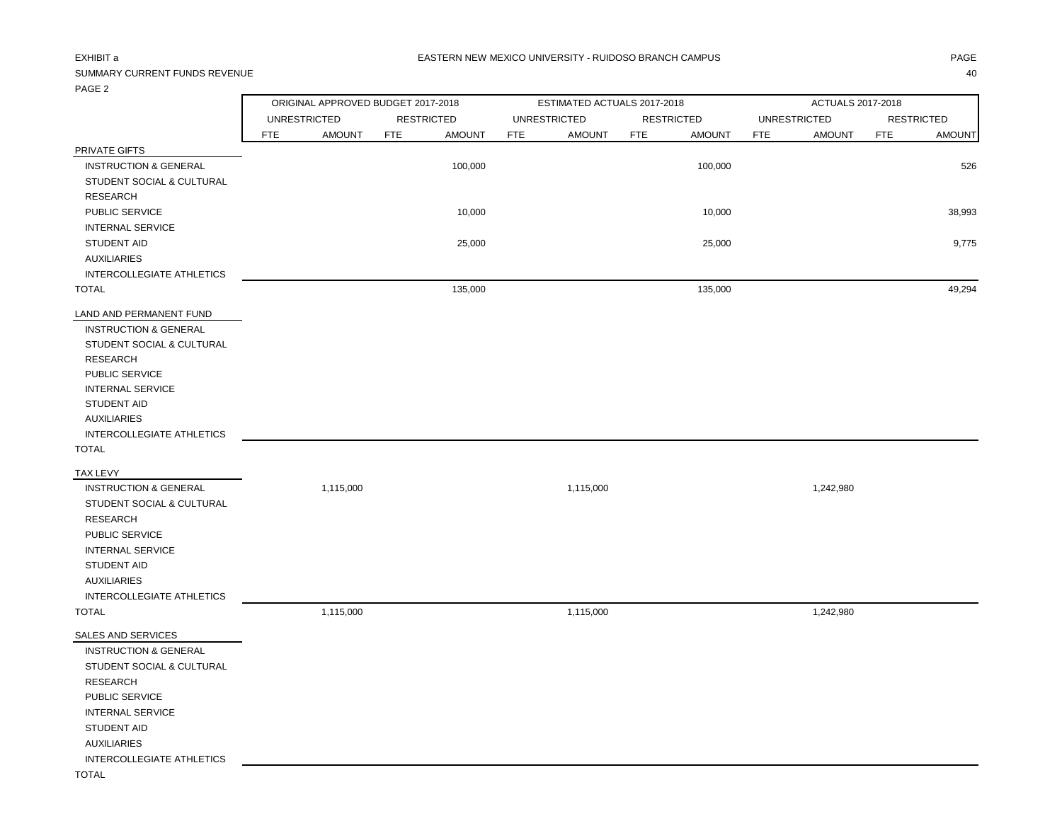### EXHIBIT a PAGE AND THE SERVICE OF THE SERVICE OF THE SERVICE OF THE SERVICE OF THE SERVICE OF THE SERVICE OF TH

## SUMMARY CURRENT FUNDS REVENUE 40

PAGE 2

|                                  |            | ORIGINAL APPROVED BUDGET 2017-2018 |            |                   |            | ESTIMATED ACTUALS 2017-2018 |            |                   | ACTUALS 2017-2018 |                     |            |                   |
|----------------------------------|------------|------------------------------------|------------|-------------------|------------|-----------------------------|------------|-------------------|-------------------|---------------------|------------|-------------------|
|                                  |            | <b>UNRESTRICTED</b>                |            | <b>RESTRICTED</b> |            | <b>UNRESTRICTED</b>         |            | <b>RESTRICTED</b> |                   | <b>UNRESTRICTED</b> |            | <b>RESTRICTED</b> |
|                                  | <b>FTE</b> | <b>AMOUNT</b>                      | <b>FTE</b> | <b>AMOUNT</b>     | <b>FTE</b> | <b>AMOUNT</b>               | <b>FTE</b> | <b>AMOUNT</b>     | <b>FTE</b>        | <b>AMOUNT</b>       | <b>FTE</b> | <b>AMOUNT</b>     |
| PRIVATE GIFTS                    |            |                                    |            |                   |            |                             |            |                   |                   |                     |            |                   |
| <b>INSTRUCTION &amp; GENERAL</b> |            |                                    |            | 100,000           |            |                             |            | 100,000           |                   |                     |            | 526               |
| STUDENT SOCIAL & CULTURAL        |            |                                    |            |                   |            |                             |            |                   |                   |                     |            |                   |
| <b>RESEARCH</b>                  |            |                                    |            |                   |            |                             |            |                   |                   |                     |            |                   |
| PUBLIC SERVICE                   |            |                                    |            | 10,000            |            |                             |            | 10,000            |                   |                     |            | 38,993            |
| <b>INTERNAL SERVICE</b>          |            |                                    |            |                   |            |                             |            |                   |                   |                     |            |                   |
| <b>STUDENT AID</b>               |            |                                    |            | 25,000            |            |                             |            | 25,000            |                   |                     |            | 9,775             |
| <b>AUXILIARIES</b>               |            |                                    |            |                   |            |                             |            |                   |                   |                     |            |                   |
| INTERCOLLEGIATE ATHLETICS        |            |                                    |            |                   |            |                             |            |                   |                   |                     |            |                   |
| <b>TOTAL</b>                     |            |                                    |            | 135,000           |            |                             |            | 135,000           |                   |                     |            | 49,294            |
| LAND AND PERMANENT FUND          |            |                                    |            |                   |            |                             |            |                   |                   |                     |            |                   |
| <b>INSTRUCTION &amp; GENERAL</b> |            |                                    |            |                   |            |                             |            |                   |                   |                     |            |                   |
| STUDENT SOCIAL & CULTURAL        |            |                                    |            |                   |            |                             |            |                   |                   |                     |            |                   |
| <b>RESEARCH</b>                  |            |                                    |            |                   |            |                             |            |                   |                   |                     |            |                   |
| PUBLIC SERVICE                   |            |                                    |            |                   |            |                             |            |                   |                   |                     |            |                   |
| <b>INTERNAL SERVICE</b>          |            |                                    |            |                   |            |                             |            |                   |                   |                     |            |                   |
| <b>STUDENT AID</b>               |            |                                    |            |                   |            |                             |            |                   |                   |                     |            |                   |
| <b>AUXILIARIES</b>               |            |                                    |            |                   |            |                             |            |                   |                   |                     |            |                   |
| INTERCOLLEGIATE ATHLETICS        |            |                                    |            |                   |            |                             |            |                   |                   |                     |            |                   |
| <b>TOTAL</b>                     |            |                                    |            |                   |            |                             |            |                   |                   |                     |            |                   |
| TAX LEVY                         |            |                                    |            |                   |            |                             |            |                   |                   |                     |            |                   |
| <b>INSTRUCTION &amp; GENERAL</b> |            | 1,115,000                          |            |                   |            | 1,115,000                   |            |                   |                   | 1,242,980           |            |                   |
| STUDENT SOCIAL & CULTURAL        |            |                                    |            |                   |            |                             |            |                   |                   |                     |            |                   |
| <b>RESEARCH</b>                  |            |                                    |            |                   |            |                             |            |                   |                   |                     |            |                   |
| PUBLIC SERVICE                   |            |                                    |            |                   |            |                             |            |                   |                   |                     |            |                   |
| <b>INTERNAL SERVICE</b>          |            |                                    |            |                   |            |                             |            |                   |                   |                     |            |                   |
| STUDENT AID                      |            |                                    |            |                   |            |                             |            |                   |                   |                     |            |                   |
| <b>AUXILIARIES</b>               |            |                                    |            |                   |            |                             |            |                   |                   |                     |            |                   |
| INTERCOLLEGIATE ATHLETICS        |            |                                    |            |                   |            |                             |            |                   |                   |                     |            |                   |
| <b>TOTAL</b>                     |            | 1,115,000                          |            |                   |            | 1,115,000                   |            |                   |                   | 1,242,980           |            |                   |
| SALES AND SERVICES               |            |                                    |            |                   |            |                             |            |                   |                   |                     |            |                   |
| <b>INSTRUCTION &amp; GENERAL</b> |            |                                    |            |                   |            |                             |            |                   |                   |                     |            |                   |
| STUDENT SOCIAL & CULTURAL        |            |                                    |            |                   |            |                             |            |                   |                   |                     |            |                   |
| <b>RESEARCH</b>                  |            |                                    |            |                   |            |                             |            |                   |                   |                     |            |                   |
| PUBLIC SERVICE                   |            |                                    |            |                   |            |                             |            |                   |                   |                     |            |                   |
| <b>INTERNAL SERVICE</b>          |            |                                    |            |                   |            |                             |            |                   |                   |                     |            |                   |
| <b>STUDENT AID</b>               |            |                                    |            |                   |            |                             |            |                   |                   |                     |            |                   |
| <b>AUXILIARIES</b>               |            |                                    |            |                   |            |                             |            |                   |                   |                     |            |                   |
| INTERCOLLEGIATE ATHLETICS        |            |                                    |            |                   |            |                             |            |                   |                   |                     |            |                   |
| <b>TOTAL</b>                     |            |                                    |            |                   |            |                             |            |                   |                   |                     |            |                   |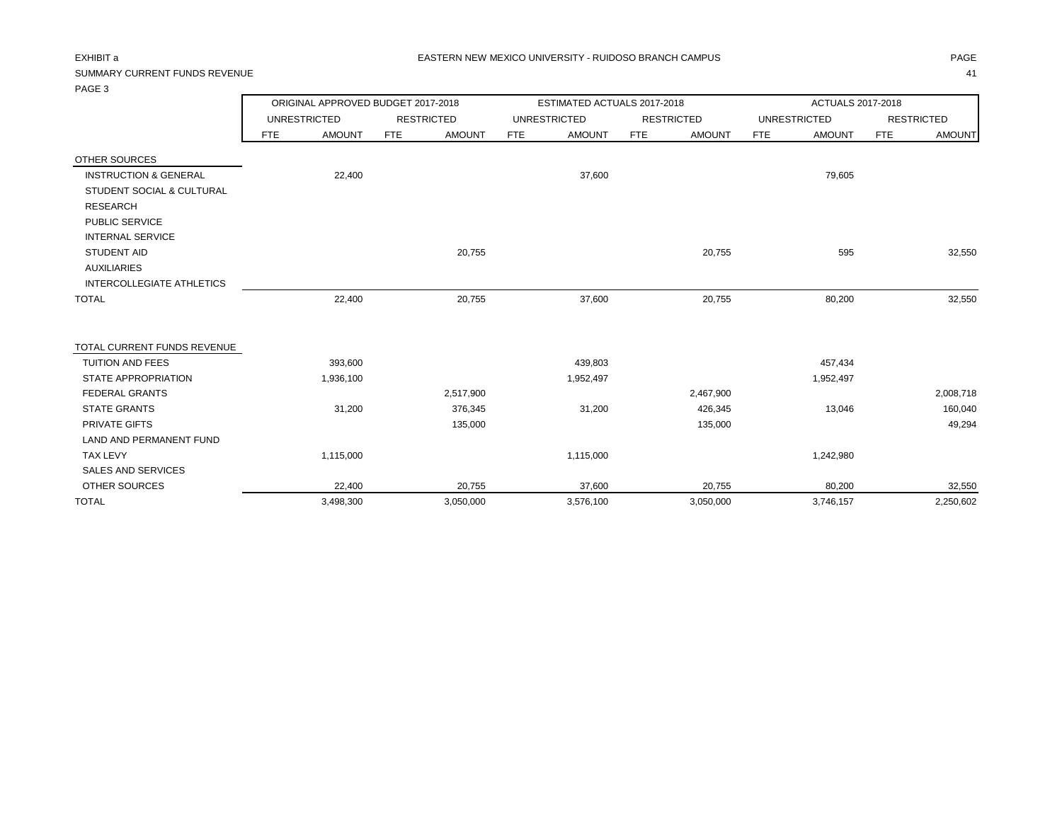## SUMMARY CURRENT FUNDS REVENUE 41

PAGE 3

| 170LJ                                |                     | ORIGINAL APPROVED BUDGET 2017-2018 |                   |               |            | ESTIMATED ACTUALS 2017-2018 |            |                   | ACTUALS 2017-2018 |                     |                   |               |  |
|--------------------------------------|---------------------|------------------------------------|-------------------|---------------|------------|-----------------------------|------------|-------------------|-------------------|---------------------|-------------------|---------------|--|
|                                      | <b>UNRESTRICTED</b> |                                    | <b>RESTRICTED</b> |               |            | <b>UNRESTRICTED</b>         |            | <b>RESTRICTED</b> |                   | <b>UNRESTRICTED</b> | <b>RESTRICTED</b> |               |  |
|                                      | <b>FTE</b>          | <b>AMOUNT</b>                      | <b>FTE</b>        | <b>AMOUNT</b> | <b>FTE</b> | <b>AMOUNT</b>               | <b>FTE</b> | <b>AMOUNT</b>     | <b>FTE</b>        | <b>AMOUNT</b>       | <b>FTE</b>        | <b>AMOUNT</b> |  |
| <b>OTHER SOURCES</b>                 |                     |                                    |                   |               |            |                             |            |                   |                   |                     |                   |               |  |
| <b>INSTRUCTION &amp; GENERAL</b>     |                     | 22,400                             |                   |               |            | 37,600                      |            |                   |                   | 79,605              |                   |               |  |
| <b>STUDENT SOCIAL &amp; CULTURAL</b> |                     |                                    |                   |               |            |                             |            |                   |                   |                     |                   |               |  |
| <b>RESEARCH</b>                      |                     |                                    |                   |               |            |                             |            |                   |                   |                     |                   |               |  |
| PUBLIC SERVICE                       |                     |                                    |                   |               |            |                             |            |                   |                   |                     |                   |               |  |
| <b>INTERNAL SERVICE</b>              |                     |                                    |                   |               |            |                             |            |                   |                   |                     |                   |               |  |
| <b>STUDENT AID</b>                   |                     |                                    |                   | 20,755        |            |                             |            | 20,755            |                   | 595                 |                   | 32,550        |  |
| <b>AUXILIARIES</b>                   |                     |                                    |                   |               |            |                             |            |                   |                   |                     |                   |               |  |
| INTERCOLLEGIATE ATHLETICS            |                     |                                    |                   |               |            |                             |            |                   |                   |                     |                   |               |  |
| <b>TOTAL</b>                         |                     | 22,400                             |                   | 20,755        |            | 37,600                      |            | 20,755            |                   | 80,200              |                   | 32,550        |  |
| TOTAL CURRENT FUNDS REVENUE          |                     |                                    |                   |               |            |                             |            |                   |                   |                     |                   |               |  |
| <b>TUITION AND FEES</b>              |                     | 393,600                            |                   |               |            | 439,803                     |            |                   |                   | 457,434             |                   |               |  |
| <b>STATE APPROPRIATION</b>           |                     | 1,936,100                          |                   |               |            | 1,952,497                   |            |                   |                   | 1,952,497           |                   |               |  |
| <b>FEDERAL GRANTS</b>                |                     |                                    |                   | 2,517,900     |            |                             |            | 2,467,900         |                   |                     |                   | 2,008,718     |  |
| <b>STATE GRANTS</b>                  |                     | 31,200                             |                   | 376,345       |            | 31,200                      |            | 426,345           |                   | 13,046              |                   | 160,040       |  |
| <b>PRIVATE GIFTS</b>                 |                     |                                    |                   | 135,000       |            |                             |            | 135,000           |                   |                     |                   | 49,294        |  |
| <b>LAND AND PERMANENT FUND</b>       |                     |                                    |                   |               |            |                             |            |                   |                   |                     |                   |               |  |
| <b>TAX LEVY</b>                      |                     | 1,115,000                          |                   |               |            | 1,115,000                   |            |                   |                   | 1,242,980           |                   |               |  |
| SALES AND SERVICES                   |                     |                                    |                   |               |            |                             |            |                   |                   |                     |                   |               |  |
| OTHER SOURCES                        |                     | 22,400                             |                   | 20,755        |            | 37,600                      |            | 20,755            |                   | 80,200              |                   | 32,550        |  |
| <b>TOTAL</b>                         |                     | 3,498,300                          |                   | 3,050,000     |            | 3,576,100                   |            | 3,050,000         |                   | 3,746,157           |                   | 2,250,602     |  |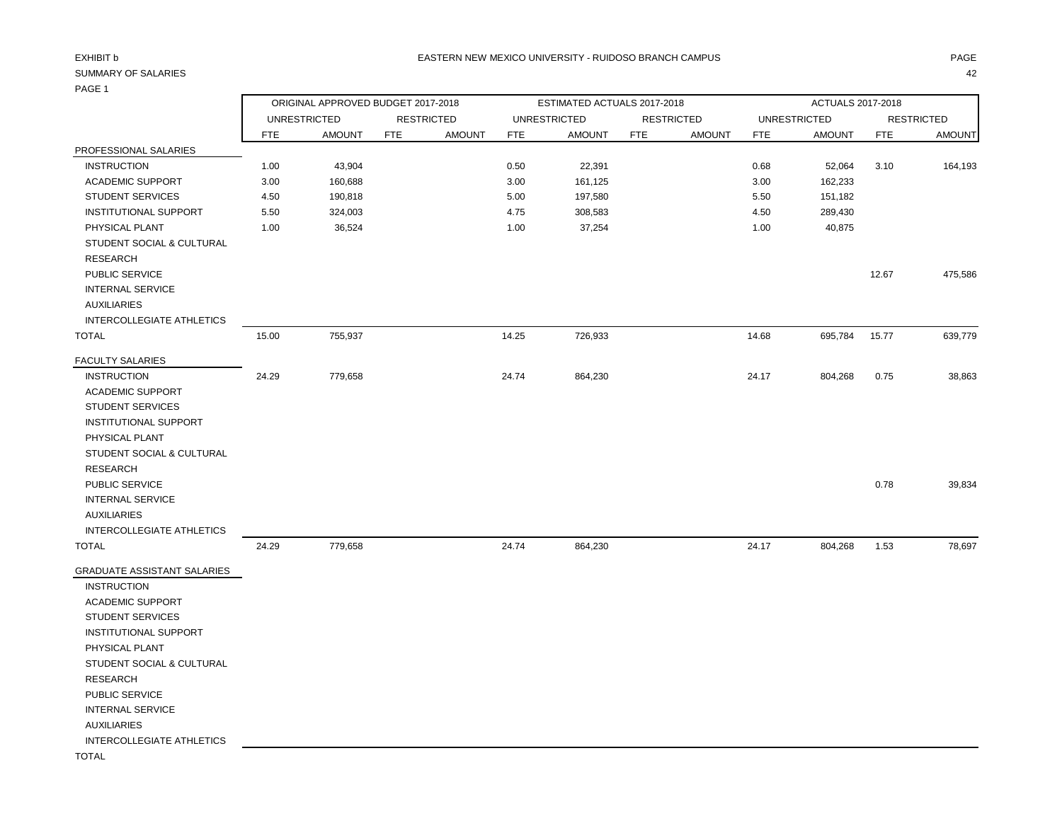## PAGE 1

| .                                |                                                                                |               |            |               |            |                             |            |                   |            |                     |            |                   |
|----------------------------------|--------------------------------------------------------------------------------|---------------|------------|---------------|------------|-----------------------------|------------|-------------------|------------|---------------------|------------|-------------------|
|                                  | ORIGINAL APPROVED BUDGET 2017-2018<br><b>UNRESTRICTED</b><br><b>RESTRICTED</b> |               |            |               |            | ESTIMATED ACTUALS 2017-2018 |            |                   |            | ACTUALS 2017-2018   |            |                   |
|                                  |                                                                                |               |            |               |            | <b>UNRESTRICTED</b>         |            | <b>RESTRICTED</b> |            | <b>UNRESTRICTED</b> |            | <b>RESTRICTED</b> |
|                                  | <b>FTE</b>                                                                     | <b>AMOUNT</b> | <b>FTE</b> | <b>AMOUNT</b> | <b>FTE</b> | <b>AMOUNT</b>               | <b>FTE</b> | <b>AMOUNT</b>     | <b>FTE</b> | <b>AMOUNT</b>       | <b>FTE</b> | <b>AMOUNT</b>     |
| PROFESSIONAL SALARIES            |                                                                                |               |            |               |            |                             |            |                   |            |                     |            |                   |
| <b>INSTRUCTION</b>               | 1.00                                                                           | 43,904        |            |               | 0.50       | 22,391                      |            |                   | 0.68       | 52,064              | 3.10       | 164,193           |
| <b>ACADEMIC SUPPORT</b>          | 3.00                                                                           | 160,688       |            |               | 3.00       | 161,125                     |            |                   | 3.00       | 162,233             |            |                   |
| <b>STUDENT SERVICES</b>          | 4.50                                                                           | 190,818       |            |               | 5.00       | 197,580                     |            |                   | 5.50       | 151,182             |            |                   |
| <b>INSTITUTIONAL SUPPORT</b>     | 5.50                                                                           | 324,003       |            |               | 4.75       | 308,583                     |            |                   | 4.50       | 289,430             |            |                   |
| PHYSICAL PLANT                   | 1.00                                                                           | 36,524        |            |               | 1.00       | 37,254                      |            |                   | 1.00       | 40,875              |            |                   |
| STUDENT SOCIAL & CULTURAL        |                                                                                |               |            |               |            |                             |            |                   |            |                     |            |                   |
| <b>RESEARCH</b>                  |                                                                                |               |            |               |            |                             |            |                   |            |                     |            |                   |
| <b>PUBLIC SERVICE</b>            |                                                                                |               |            |               |            |                             |            |                   |            |                     | 12.67      | 475,586           |
| <b>INTERNAL SERVICE</b>          |                                                                                |               |            |               |            |                             |            |                   |            |                     |            |                   |
| <b>AUXILIARIES</b>               |                                                                                |               |            |               |            |                             |            |                   |            |                     |            |                   |
| INTERCOLLEGIATE ATHLETICS        |                                                                                |               |            |               |            |                             |            |                   |            |                     |            |                   |
| TOTAL                            | 15.00                                                                          | 755,937       |            |               | 14.25      | 726,933                     |            |                   | 14.68      | 695,784             | 15.77      | 639,779           |
| <b>FACULTY SALARIES</b>          |                                                                                |               |            |               |            |                             |            |                   |            |                     |            |                   |
| <b>INSTRUCTION</b>               | 24.29                                                                          | 779,658       |            |               | 24.74      | 864,230                     |            |                   | 24.17      | 804,268             | 0.75       | 38,863            |
| <b>ACADEMIC SUPPORT</b>          |                                                                                |               |            |               |            |                             |            |                   |            |                     |            |                   |
| <b>STUDENT SERVICES</b>          |                                                                                |               |            |               |            |                             |            |                   |            |                     |            |                   |
| <b>INSTITUTIONAL SUPPORT</b>     |                                                                                |               |            |               |            |                             |            |                   |            |                     |            |                   |
| PHYSICAL PLANT                   |                                                                                |               |            |               |            |                             |            |                   |            |                     |            |                   |
| STUDENT SOCIAL & CULTURAL        |                                                                                |               |            |               |            |                             |            |                   |            |                     |            |                   |
| <b>RESEARCH</b>                  |                                                                                |               |            |               |            |                             |            |                   |            |                     |            |                   |
| <b>PUBLIC SERVICE</b>            |                                                                                |               |            |               |            |                             |            |                   |            |                     | 0.78       | 39,834            |
| <b>INTERNAL SERVICE</b>          |                                                                                |               |            |               |            |                             |            |                   |            |                     |            |                   |
| <b>AUXILIARIES</b>               |                                                                                |               |            |               |            |                             |            |                   |            |                     |            |                   |
| <b>INTERCOLLEGIATE ATHLETICS</b> |                                                                                |               |            |               |            |                             |            |                   |            |                     |            |                   |
| TOTAL                            | 24.29                                                                          | 779,658       |            |               | 24.74      | 864,230                     |            |                   | 24.17      | 804,268             | 1.53       | 78,697            |
| GRADUATE ASSISTANT SALARIES      |                                                                                |               |            |               |            |                             |            |                   |            |                     |            |                   |
| <b>INSTRUCTION</b>               |                                                                                |               |            |               |            |                             |            |                   |            |                     |            |                   |
| <b>ACADEMIC SUPPORT</b>          |                                                                                |               |            |               |            |                             |            |                   |            |                     |            |                   |
| <b>STUDENT SERVICES</b>          |                                                                                |               |            |               |            |                             |            |                   |            |                     |            |                   |
| INSTITUTIONAL SUPPORT            |                                                                                |               |            |               |            |                             |            |                   |            |                     |            |                   |
| PHYSICAL PLANT                   |                                                                                |               |            |               |            |                             |            |                   |            |                     |            |                   |
| STUDENT SOCIAL & CULTURAL        |                                                                                |               |            |               |            |                             |            |                   |            |                     |            |                   |
| <b>RESEARCH</b>                  |                                                                                |               |            |               |            |                             |            |                   |            |                     |            |                   |
| PUBLIC SERVICE                   |                                                                                |               |            |               |            |                             |            |                   |            |                     |            |                   |
| <b>INTERNAL SERVICE</b>          |                                                                                |               |            |               |            |                             |            |                   |            |                     |            |                   |
| <b>AUXILIARIES</b>               |                                                                                |               |            |               |            |                             |            |                   |            |                     |            |                   |
| <b>INTERCOLLEGIATE ATHLETICS</b> |                                                                                |               |            |               |            |                             |            |                   |            |                     |            |                   |
|                                  |                                                                                |               |            |               |            |                             |            |                   |            |                     |            |                   |

TOTAL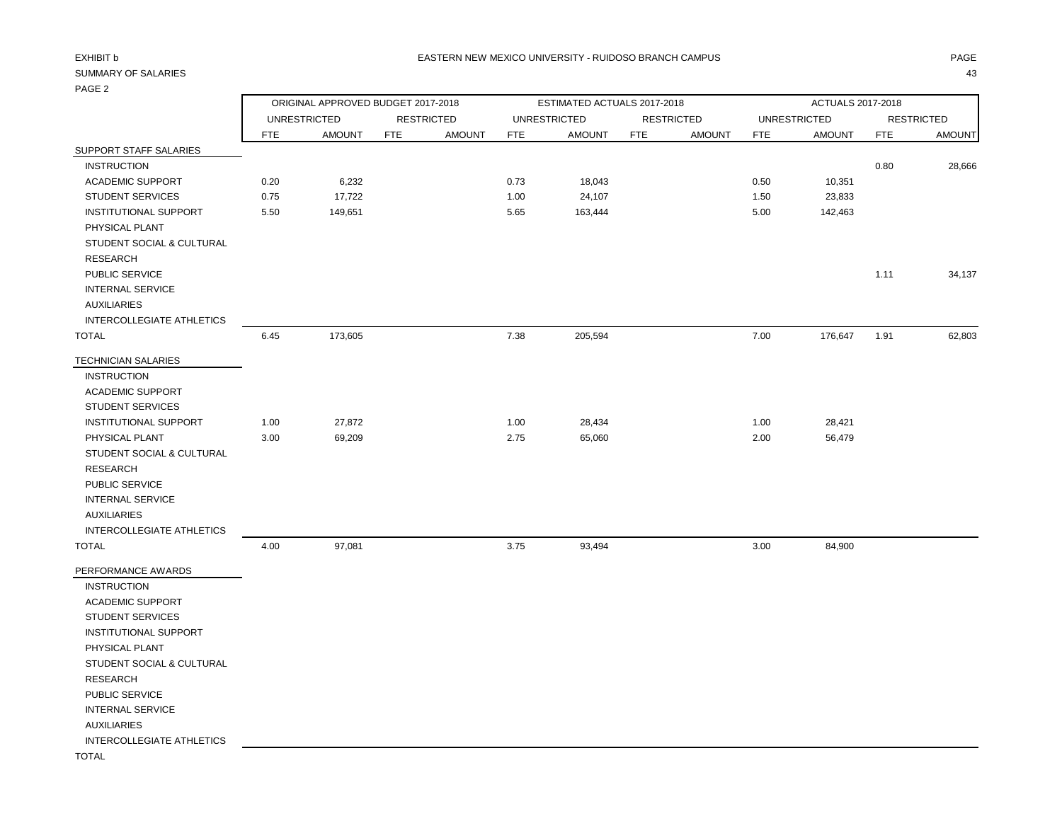## PAGE 2

| $. 7.0 - 1$                      |                                    |                     |            |                   |                             |                     |            |                   |            |                     |            |                   |  |
|----------------------------------|------------------------------------|---------------------|------------|-------------------|-----------------------------|---------------------|------------|-------------------|------------|---------------------|------------|-------------------|--|
|                                  | ORIGINAL APPROVED BUDGET 2017-2018 |                     |            |                   | ESTIMATED ACTUALS 2017-2018 |                     |            |                   |            | ACTUALS 2017-2018   |            |                   |  |
|                                  |                                    | <b>UNRESTRICTED</b> |            | <b>RESTRICTED</b> |                             | <b>UNRESTRICTED</b> |            | <b>RESTRICTED</b> |            | <b>UNRESTRICTED</b> |            | <b>RESTRICTED</b> |  |
|                                  | <b>FTE</b>                         | <b>AMOUNT</b>       | <b>FTE</b> | <b>AMOUNT</b>     | <b>FTE</b>                  | <b>AMOUNT</b>       | <b>FTE</b> | <b>AMOUNT</b>     | <b>FTE</b> | <b>AMOUNT</b>       | <b>FTE</b> | <b>AMOUNT</b>     |  |
| SUPPORT STAFF SALARIES           |                                    |                     |            |                   |                             |                     |            |                   |            |                     |            |                   |  |
| <b>INSTRUCTION</b>               |                                    |                     |            |                   |                             |                     |            |                   |            |                     | 0.80       | 28,666            |  |
| <b>ACADEMIC SUPPORT</b>          | 0.20                               | 6,232               |            |                   | 0.73                        | 18,043              |            |                   | 0.50       | 10,351              |            |                   |  |
| <b>STUDENT SERVICES</b>          | 0.75                               | 17,722              |            |                   | 1.00                        | 24,107              |            |                   | 1.50       | 23,833              |            |                   |  |
| INSTITUTIONAL SUPPORT            | 5.50                               | 149,651             |            |                   | 5.65                        | 163,444             |            |                   | 5.00       | 142,463             |            |                   |  |
| PHYSICAL PLANT                   |                                    |                     |            |                   |                             |                     |            |                   |            |                     |            |                   |  |
| STUDENT SOCIAL & CULTURAL        |                                    |                     |            |                   |                             |                     |            |                   |            |                     |            |                   |  |
| <b>RESEARCH</b>                  |                                    |                     |            |                   |                             |                     |            |                   |            |                     |            |                   |  |
| <b>PUBLIC SERVICE</b>            |                                    |                     |            |                   |                             |                     |            |                   |            |                     | 1.11       | 34,137            |  |
| <b>INTERNAL SERVICE</b>          |                                    |                     |            |                   |                             |                     |            |                   |            |                     |            |                   |  |
| <b>AUXILIARIES</b>               |                                    |                     |            |                   |                             |                     |            |                   |            |                     |            |                   |  |
| <b>INTERCOLLEGIATE ATHLETICS</b> |                                    |                     |            |                   |                             |                     |            |                   |            |                     |            |                   |  |
| <b>TOTAL</b>                     | 6.45                               | 173,605             |            |                   | 7.38                        | 205,594             |            |                   | 7.00       | 176,647             | 1.91       | 62,803            |  |
| <b>TECHNICIAN SALARIES</b>       |                                    |                     |            |                   |                             |                     |            |                   |            |                     |            |                   |  |
| <b>INSTRUCTION</b>               |                                    |                     |            |                   |                             |                     |            |                   |            |                     |            |                   |  |
| <b>ACADEMIC SUPPORT</b>          |                                    |                     |            |                   |                             |                     |            |                   |            |                     |            |                   |  |
| <b>STUDENT SERVICES</b>          |                                    |                     |            |                   |                             |                     |            |                   |            |                     |            |                   |  |
| INSTITUTIONAL SUPPORT            | 1.00                               | 27,872              |            |                   | 1.00                        | 28,434              |            |                   | 1.00       | 28,421              |            |                   |  |
| PHYSICAL PLANT                   | 3.00                               | 69,209              |            |                   | 2.75                        | 65,060              |            |                   | 2.00       | 56,479              |            |                   |  |
| STUDENT SOCIAL & CULTURAL        |                                    |                     |            |                   |                             |                     |            |                   |            |                     |            |                   |  |
| <b>RESEARCH</b>                  |                                    |                     |            |                   |                             |                     |            |                   |            |                     |            |                   |  |
| PUBLIC SERVICE                   |                                    |                     |            |                   |                             |                     |            |                   |            |                     |            |                   |  |
| <b>INTERNAL SERVICE</b>          |                                    |                     |            |                   |                             |                     |            |                   |            |                     |            |                   |  |
| <b>AUXILIARIES</b>               |                                    |                     |            |                   |                             |                     |            |                   |            |                     |            |                   |  |
| INTERCOLLEGIATE ATHLETICS        |                                    |                     |            |                   |                             |                     |            |                   |            |                     |            |                   |  |
| <b>TOTAL</b>                     | 4.00                               | 97,081              |            |                   | 3.75                        | 93,494              |            |                   | 3.00       | 84,900              |            |                   |  |
| PERFORMANCE AWARDS               |                                    |                     |            |                   |                             |                     |            |                   |            |                     |            |                   |  |
| <b>INSTRUCTION</b>               |                                    |                     |            |                   |                             |                     |            |                   |            |                     |            |                   |  |
| <b>ACADEMIC SUPPORT</b>          |                                    |                     |            |                   |                             |                     |            |                   |            |                     |            |                   |  |
| <b>STUDENT SERVICES</b>          |                                    |                     |            |                   |                             |                     |            |                   |            |                     |            |                   |  |
| INSTITUTIONAL SUPPORT            |                                    |                     |            |                   |                             |                     |            |                   |            |                     |            |                   |  |
| PHYSICAL PLANT                   |                                    |                     |            |                   |                             |                     |            |                   |            |                     |            |                   |  |
| STUDENT SOCIAL & CULTURAL        |                                    |                     |            |                   |                             |                     |            |                   |            |                     |            |                   |  |
| <b>RESEARCH</b>                  |                                    |                     |            |                   |                             |                     |            |                   |            |                     |            |                   |  |
| PUBLIC SERVICE                   |                                    |                     |            |                   |                             |                     |            |                   |            |                     |            |                   |  |
| <b>INTERNAL SERVICE</b>          |                                    |                     |            |                   |                             |                     |            |                   |            |                     |            |                   |  |
| <b>AUXILIARIES</b>               |                                    |                     |            |                   |                             |                     |            |                   |            |                     |            |                   |  |
| <b>INTERCOLLEGIATE ATHLETICS</b> |                                    |                     |            |                   |                             |                     |            |                   |            |                     |            |                   |  |
| <b>TOTAL</b>                     |                                    |                     |            |                   |                             |                     |            |                   |            |                     |            |                   |  |
|                                  |                                    |                     |            |                   |                             |                     |            |                   |            |                     |            |                   |  |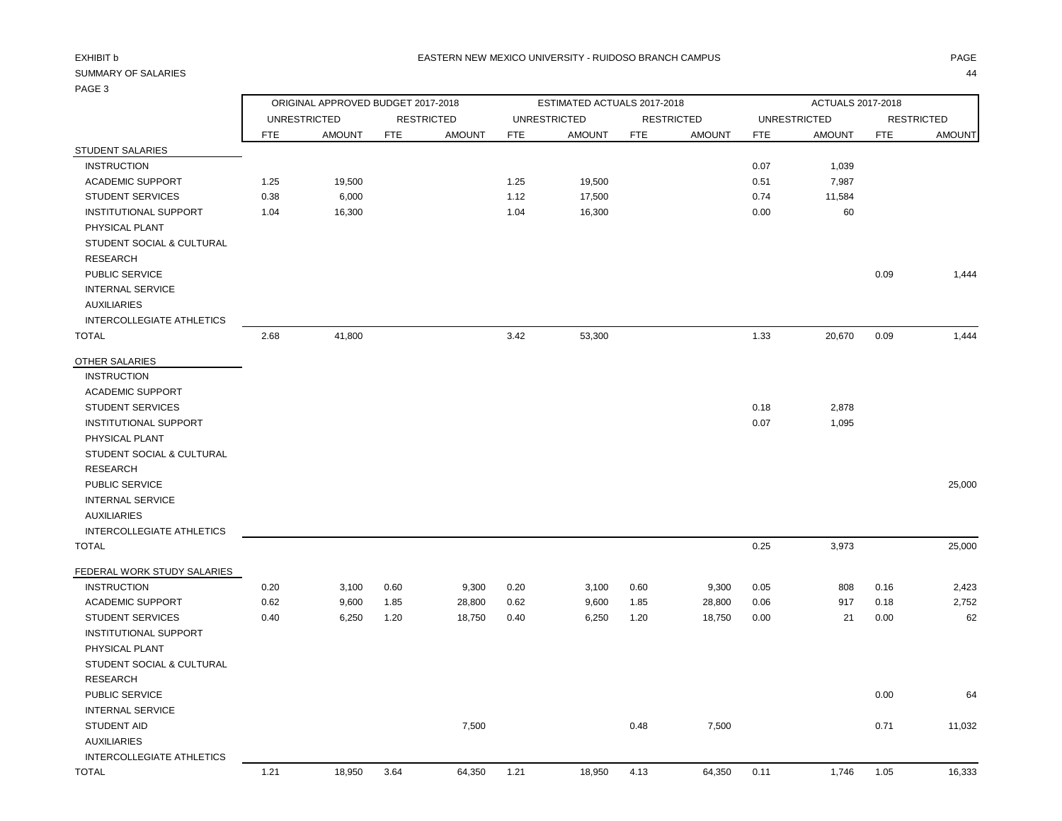## PAGE 3

|                                                                                              |            | ORIGINAL APPROVED BUDGET 2017-2018 |            |                   | ESTIMATED ACTUALS 2017-2018 |                     |            |                   |                     | ACTUALS 2017-2018 |            |                   |  |  |
|----------------------------------------------------------------------------------------------|------------|------------------------------------|------------|-------------------|-----------------------------|---------------------|------------|-------------------|---------------------|-------------------|------------|-------------------|--|--|
|                                                                                              |            | <b>UNRESTRICTED</b>                |            | <b>RESTRICTED</b> |                             | <b>UNRESTRICTED</b> |            | <b>RESTRICTED</b> | <b>UNRESTRICTED</b> |                   |            | <b>RESTRICTED</b> |  |  |
|                                                                                              | <b>FTE</b> | <b>AMOUNT</b>                      | <b>FTE</b> | <b>AMOUNT</b>     | <b>FTE</b>                  | <b>AMOUNT</b>       | <b>FTE</b> | <b>AMOUNT</b>     | <b>FTE</b>          | <b>AMOUNT</b>     | <b>FTE</b> | <b>AMOUNT</b>     |  |  |
| <b>STUDENT SALARIES</b>                                                                      |            |                                    |            |                   |                             |                     |            |                   |                     |                   |            |                   |  |  |
| <b>INSTRUCTION</b>                                                                           |            |                                    |            |                   |                             |                     |            |                   | 0.07                | 1,039             |            |                   |  |  |
| <b>ACADEMIC SUPPORT</b>                                                                      | 1.25       | 19,500                             |            |                   | 1.25                        | 19,500              |            |                   | 0.51                | 7,987             |            |                   |  |  |
| <b>STUDENT SERVICES</b>                                                                      | 0.38       | 6,000                              |            |                   | 1.12                        | 17,500              |            |                   | 0.74                | 11,584            |            |                   |  |  |
| INSTITUTIONAL SUPPORT<br>PHYSICAL PLANT<br>STUDENT SOCIAL & CULTURAL<br><b>RESEARCH</b>      | 1.04       | 16,300                             |            |                   | 1.04                        | 16,300              |            |                   | 0.00                | 60                |            |                   |  |  |
| PUBLIC SERVICE<br><b>INTERNAL SERVICE</b><br><b>AUXILIARIES</b><br>INTERCOLLEGIATE ATHLETICS |            |                                    |            |                   |                             |                     |            |                   |                     |                   | 0.09       | 1,444             |  |  |
| <b>TOTAL</b>                                                                                 | 2.68       | 41,800                             |            |                   | 3.42                        | 53,300              |            |                   | 1.33                | 20,670            | 0.09       | 1,444             |  |  |
| OTHER SALARIES                                                                               |            |                                    |            |                   |                             |                     |            |                   |                     |                   |            |                   |  |  |
| <b>INSTRUCTION</b>                                                                           |            |                                    |            |                   |                             |                     |            |                   |                     |                   |            |                   |  |  |
| <b>ACADEMIC SUPPORT</b>                                                                      |            |                                    |            |                   |                             |                     |            |                   |                     |                   |            |                   |  |  |
| <b>STUDENT SERVICES</b>                                                                      |            |                                    |            |                   |                             |                     |            |                   | 0.18                | 2,878             |            |                   |  |  |
| <b>INSTITUTIONAL SUPPORT</b>                                                                 |            |                                    |            |                   |                             |                     |            |                   | 0.07                | 1,095             |            |                   |  |  |
| PHYSICAL PLANT                                                                               |            |                                    |            |                   |                             |                     |            |                   |                     |                   |            |                   |  |  |
| STUDENT SOCIAL & CULTURAL<br><b>RESEARCH</b>                                                 |            |                                    |            |                   |                             |                     |            |                   |                     |                   |            |                   |  |  |
| PUBLIC SERVICE                                                                               |            |                                    |            |                   |                             |                     |            |                   |                     |                   |            | 25,000            |  |  |
| <b>INTERNAL SERVICE</b>                                                                      |            |                                    |            |                   |                             |                     |            |                   |                     |                   |            |                   |  |  |
| <b>AUXILIARIES</b>                                                                           |            |                                    |            |                   |                             |                     |            |                   |                     |                   |            |                   |  |  |
| INTERCOLLEGIATE ATHLETICS                                                                    |            |                                    |            |                   |                             |                     |            |                   |                     |                   |            |                   |  |  |
| <b>TOTAL</b>                                                                                 |            |                                    |            |                   |                             |                     |            |                   | 0.25                | 3,973             |            | 25,000            |  |  |
|                                                                                              |            |                                    |            |                   |                             |                     |            |                   |                     |                   |            |                   |  |  |
| FEDERAL WORK STUDY SALARIES                                                                  |            |                                    |            |                   |                             |                     |            |                   |                     |                   |            |                   |  |  |
| <b>INSTRUCTION</b>                                                                           | 0.20       | 3,100                              | 0.60       | 9,300             | 0.20                        | 3,100               | 0.60       | 9,300             | 0.05                | 808               | 0.16       | 2,423             |  |  |
| <b>ACADEMIC SUPPORT</b>                                                                      | 0.62       | 9,600                              | 1.85       | 28,800            | 0.62                        | 9,600               | 1.85       | 28,800            | 0.06                | 917               | 0.18       | 2,752             |  |  |
| <b>STUDENT SERVICES</b>                                                                      | 0.40       | 6,250                              | 1.20       | 18,750            | 0.40                        | 6,250               | 1.20       | 18,750            | 0.00                | 21                | 0.00       | 62                |  |  |
| <b>INSTITUTIONAL SUPPORT</b>                                                                 |            |                                    |            |                   |                             |                     |            |                   |                     |                   |            |                   |  |  |
| PHYSICAL PLANT                                                                               |            |                                    |            |                   |                             |                     |            |                   |                     |                   |            |                   |  |  |
| STUDENT SOCIAL & CULTURAL                                                                    |            |                                    |            |                   |                             |                     |            |                   |                     |                   |            |                   |  |  |
| <b>RESEARCH</b>                                                                              |            |                                    |            |                   |                             |                     |            |                   |                     |                   |            |                   |  |  |
| PUBLIC SERVICE                                                                               |            |                                    |            |                   |                             |                     |            |                   |                     |                   | 0.00       | 64                |  |  |
| <b>INTERNAL SERVICE</b>                                                                      |            |                                    |            |                   |                             |                     |            |                   |                     |                   |            |                   |  |  |
| STUDENT AID                                                                                  |            |                                    |            | 7,500             |                             |                     | 0.48       | 7,500             |                     |                   | 0.71       | 11,032            |  |  |
| <b>AUXILIARIES</b>                                                                           |            |                                    |            |                   |                             |                     |            |                   |                     |                   |            |                   |  |  |
| <b>INTERCOLLEGIATE ATHLETICS</b>                                                             |            |                                    |            |                   |                             |                     |            |                   |                     |                   |            |                   |  |  |
| <b>TOTAL</b>                                                                                 | 1.21       | 18,950                             | 3.64       | 64,350            | 1.21                        | 18,950              | 4.13       | 64,350            | 0.11                | 1,746             | 1.05       | 16,333            |  |  |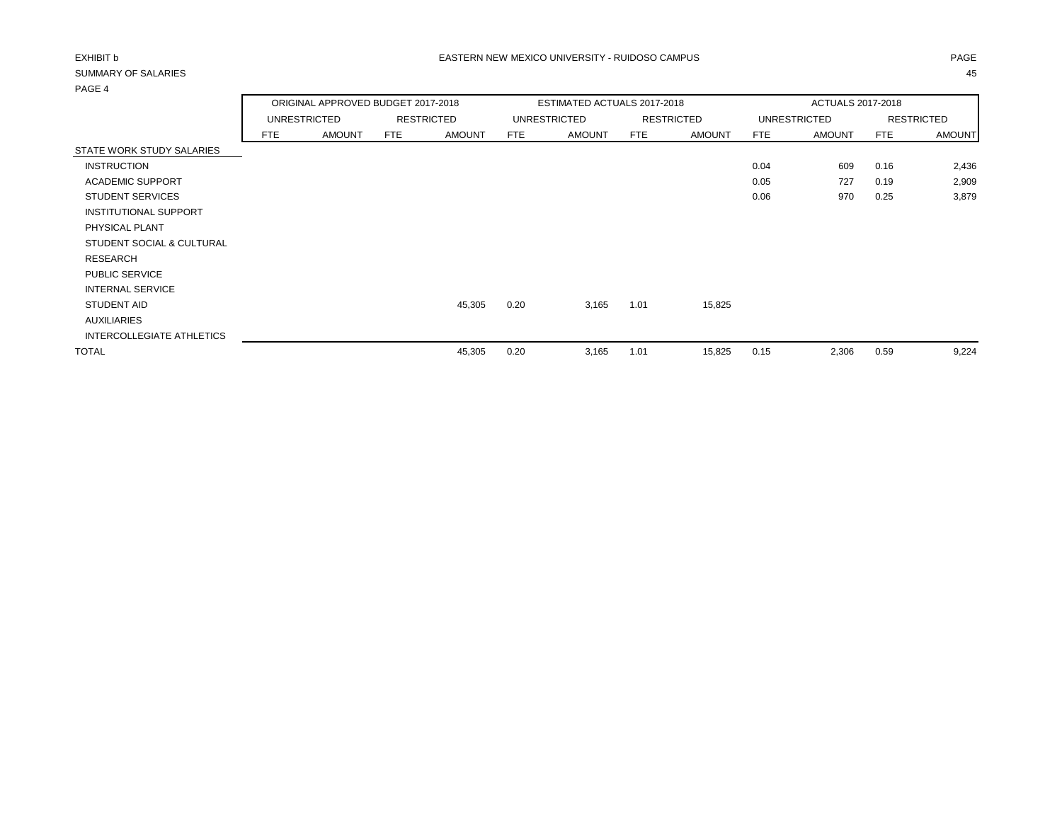|                              | ORIGINAL APPROVED BUDGET 2017-2018 |               |                   |               |            | ESTIMATED ACTUALS 2017-2018 |                   |               | ACTUALS 2017-2018   |               |                   |               |
|------------------------------|------------------------------------|---------------|-------------------|---------------|------------|-----------------------------|-------------------|---------------|---------------------|---------------|-------------------|---------------|
|                              |                                    | UNRESTRICTED  | <b>RESTRICTED</b> |               |            | UNRESTRICTED                | <b>RESTRICTED</b> |               | <b>UNRESTRICTED</b> |               | <b>RESTRICTED</b> |               |
|                              | <b>FTE</b>                         | <b>AMOUNT</b> | <b>FTE</b>        | <b>AMOUNT</b> | <b>FTE</b> | <b>AMOUNT</b>               | FTE               | <b>AMOUNT</b> | <b>FTE</b>          | <b>AMOUNT</b> | FTE               | <b>AMOUNT</b> |
| STATE WORK STUDY SALARIES    |                                    |               |                   |               |            |                             |                   |               |                     |               |                   |               |
| <b>INSTRUCTION</b>           |                                    |               |                   |               |            |                             |                   |               | 0.04                | 609           | 0.16              | 2,436         |
| <b>ACADEMIC SUPPORT</b>      |                                    |               |                   |               |            |                             |                   |               | 0.05                | 727           | 0.19              | 2,909         |
| <b>STUDENT SERVICES</b>      |                                    |               |                   |               |            |                             |                   |               | 0.06                | 970           | 0.25              | 3,879         |
| <b>INSTITUTIONAL SUPPORT</b> |                                    |               |                   |               |            |                             |                   |               |                     |               |                   |               |
| PHYSICAL PLANT               |                                    |               |                   |               |            |                             |                   |               |                     |               |                   |               |
| STUDENT SOCIAL & CULTURAL    |                                    |               |                   |               |            |                             |                   |               |                     |               |                   |               |
| <b>RESEARCH</b>              |                                    |               |                   |               |            |                             |                   |               |                     |               |                   |               |
| PUBLIC SERVICE               |                                    |               |                   |               |            |                             |                   |               |                     |               |                   |               |
| <b>INTERNAL SERVICE</b>      |                                    |               |                   |               |            |                             |                   |               |                     |               |                   |               |
| STUDENT AID                  |                                    |               |                   | 45,305        | 0.20       | 3,165                       | 1.01              | 15,825        |                     |               |                   |               |
| <b>AUXILIARIES</b>           |                                    |               |                   |               |            |                             |                   |               |                     |               |                   |               |
| INTERCOLLEGIATE ATHLETICS    |                                    |               |                   |               |            |                             |                   |               |                     |               |                   |               |
| <b>TOTAL</b>                 |                                    |               |                   | 45,305        | 0.20       | 3,165                       | 1.01              | 15,825        | 0.15                | 2,306         | 0.59              | 9,224         |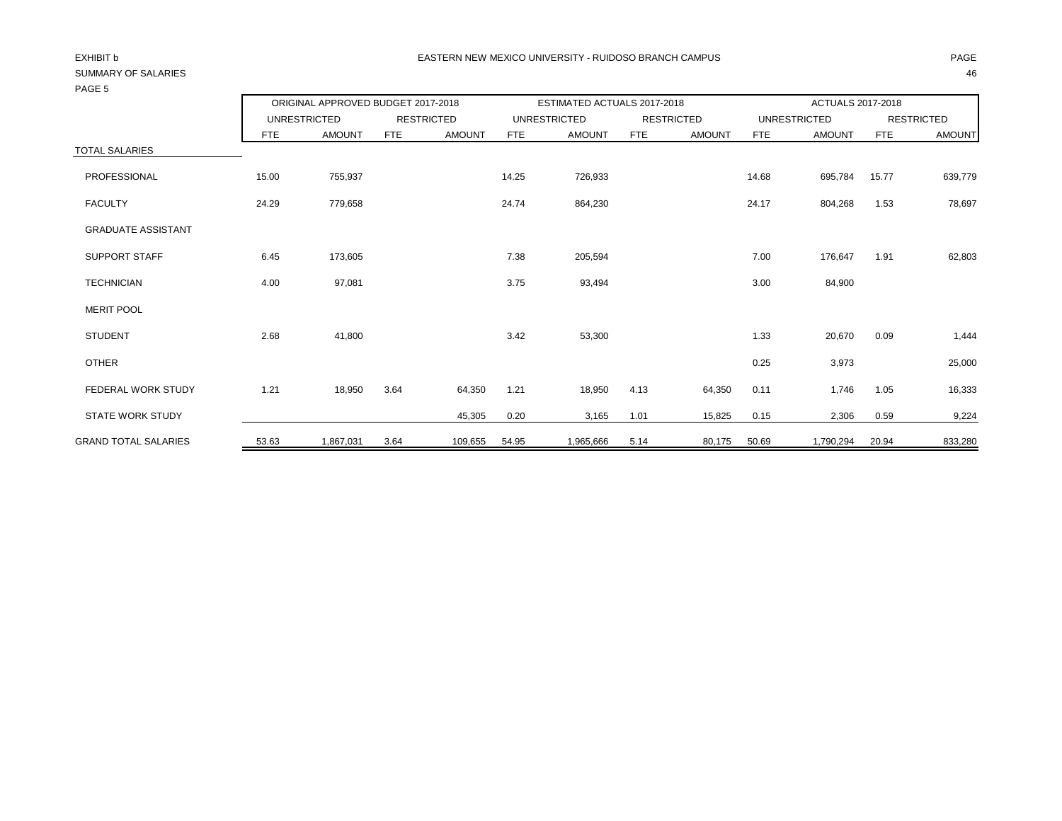## PAGE 5

|                             | ORIGINAL APPROVED BUDGET 2017-2018 |               |                   | ESTIMATED ACTUALS 2017-2018 |                     |               |                   | ACTUALS 2017-2018 |                     |               |                   |               |
|-----------------------------|------------------------------------|---------------|-------------------|-----------------------------|---------------------|---------------|-------------------|-------------------|---------------------|---------------|-------------------|---------------|
|                             | <b>UNRESTRICTED</b>                |               | <b>RESTRICTED</b> |                             | <b>UNRESTRICTED</b> |               | <b>RESTRICTED</b> |                   | <b>UNRESTRICTED</b> |               | <b>RESTRICTED</b> |               |
|                             | FTE.                               | <b>AMOUNT</b> | FTE               | <b>AMOUNT</b>               | <b>FTE</b>          | <b>AMOUNT</b> | <b>FTE</b>        | <b>AMOUNT</b>     | <b>FTE</b>          | <b>AMOUNT</b> | <b>FTE</b>        | <b>AMOUNT</b> |
| <b>TOTAL SALARIES</b>       |                                    |               |                   |                             |                     |               |                   |                   |                     |               |                   |               |
| PROFESSIONAL                | 15.00                              | 755,937       |                   |                             | 14.25               | 726,933       |                   |                   | 14.68               | 695,784       | 15.77             | 639,779       |
| <b>FACULTY</b>              | 24.29                              | 779,658       |                   |                             | 24.74               | 864,230       |                   |                   | 24.17               | 804,268       | 1.53              | 78,697        |
| <b>GRADUATE ASSISTANT</b>   |                                    |               |                   |                             |                     |               |                   |                   |                     |               |                   |               |
| <b>SUPPORT STAFF</b>        | 6.45                               | 173,605       |                   |                             | 7.38                | 205,594       |                   |                   | 7.00                | 176,647       | 1.91              | 62,803        |
| <b>TECHNICIAN</b>           | 4.00                               | 97,081        |                   |                             | 3.75                | 93,494        |                   |                   | 3.00                | 84,900        |                   |               |
| <b>MERIT POOL</b>           |                                    |               |                   |                             |                     |               |                   |                   |                     |               |                   |               |
| <b>STUDENT</b>              | 2.68                               | 41,800        |                   |                             | 3.42                | 53,300        |                   |                   | 1.33                | 20,670        | 0.09              | 1,444         |
| <b>OTHER</b>                |                                    |               |                   |                             |                     |               |                   |                   | 0.25                | 3,973         |                   | 25,000        |
| FEDERAL WORK STUDY          | 1.21                               | 18,950        | 3.64              | 64,350                      | 1.21                | 18,950        | 4.13              | 64,350            | 0.11                | 1,746         | 1.05              | 16,333        |
| <b>STATE WORK STUDY</b>     |                                    |               |                   | 45,305                      | 0.20                | 3,165         | 1.01              | 15,825            | 0.15                | 2,306         | 0.59              | 9,224         |
| <b>GRAND TOTAL SALARIES</b> | 53.63                              | 1,867,031     | 3.64              | 109,655                     | 54.95               | 1,965,666     | 5.14              | 80,175            | 50.69               | 1,790,294     | 20.94             | 833,280       |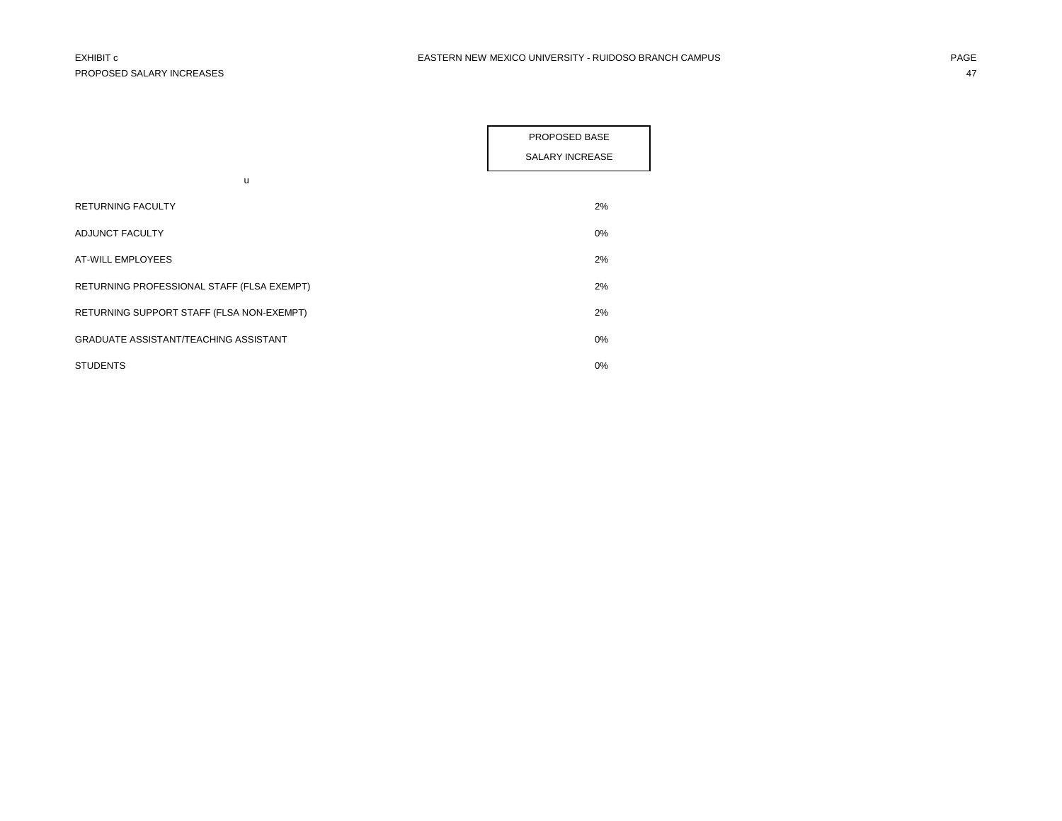|                                              | PROPOSED BASE          |
|----------------------------------------------|------------------------|
|                                              | <b>SALARY INCREASE</b> |
|                                              |                        |
| u                                            |                        |
| <b>RETURNING FACULTY</b>                     | 2%                     |
| ADJUNCT FACULTY                              | $0\%$                  |
| AT-WILL EMPLOYEES                            | 2%                     |
| RETURNING PROFESSIONAL STAFF (FLSA EXEMPT)   | 2%                     |
| RETURNING SUPPORT STAFF (FLSA NON-EXEMPT)    | 2%                     |
| <b>GRADUATE ASSISTANT/TEACHING ASSISTANT</b> | $0\%$                  |
| <b>STUDENTS</b>                              | $0\%$                  |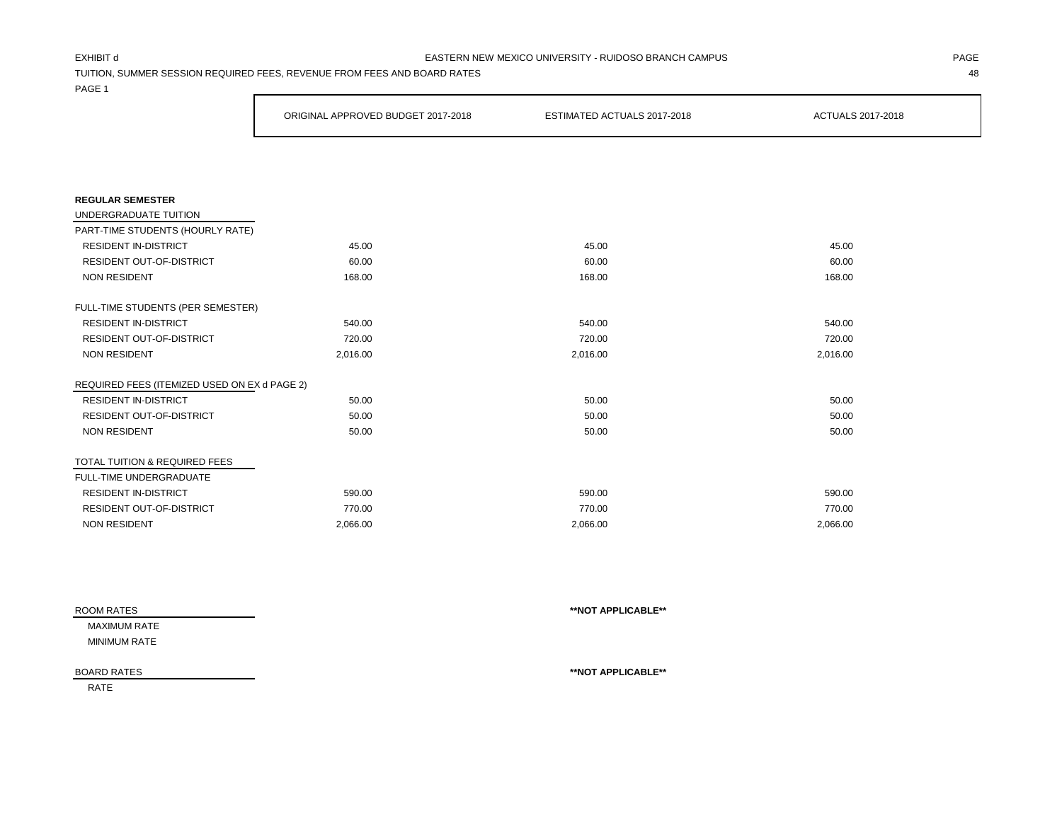### EXHIBIT d PAGE EASTERN NEW MEXICO UNIVERSITY - RUIDOSO BRANCH CAMPUS

TUITION, SUMMER SESSION REQUIRED FEES, REVENUE FROM FEES AND BOARD RATES 48

PAGE 1

|                                              | ORIGINAL APPROVED BUDGET 2017-2018 | ESTIMATED ACTUALS 2017-2018 | ACTUALS 2017-2018 |
|----------------------------------------------|------------------------------------|-----------------------------|-------------------|
|                                              |                                    |                             |                   |
|                                              |                                    |                             |                   |
| <b>REGULAR SEMESTER</b>                      |                                    |                             |                   |
| UNDERGRADUATE TUITION                        |                                    |                             |                   |
| PART-TIME STUDENTS (HOURLY RATE)             |                                    |                             |                   |
| <b>RESIDENT IN-DISTRICT</b>                  | 45.00                              | 45.00                       | 45.00             |
| <b>RESIDENT OUT-OF-DISTRICT</b>              | 60.00                              | 60.00                       | 60.00             |
| <b>NON RESIDENT</b>                          | 168.00                             | 168.00                      | 168.00            |
| FULL-TIME STUDENTS (PER SEMESTER)            |                                    |                             |                   |
| <b>RESIDENT IN-DISTRICT</b>                  | 540.00                             | 540.00                      | 540.00            |
| RESIDENT OUT-OF-DISTRICT                     | 720.00                             | 720.00                      | 720.00            |
| <b>NON RESIDENT</b>                          | 2,016.00                           | 2,016.00                    | 2,016.00          |
| REQUIRED FEES (ITEMIZED USED ON EX d PAGE 2) |                                    |                             |                   |
| <b>RESIDENT IN-DISTRICT</b>                  | 50.00                              | 50.00                       | 50.00             |
| RESIDENT OUT-OF-DISTRICT                     | 50.00                              | 50.00                       | 50.00             |
| <b>NON RESIDENT</b>                          | 50.00                              | 50.00                       | 50.00             |
| TOTAL TUITION & REQUIRED FEES                |                                    |                             |                   |
| FULL-TIME UNDERGRADUATE                      |                                    |                             |                   |
| <b>RESIDENT IN-DISTRICT</b>                  | 590.00                             | 590.00                      | 590.00            |
| <b>RESIDENT OUT-OF-DISTRICT</b>              | 770.00                             | 770.00                      | 770.00            |
| <b>NON RESIDENT</b>                          | 2.066.00                           | 2.066.00                    | 2,066.00          |

| ROOM RATES   | **NOT APPLICABLE** |
|--------------|--------------------|
| MAXIMUM RATE |                    |
| MINIMUM RATE |                    |
|              |                    |
| BOARD RATES  | **NOT APPLICABLE** |

RATE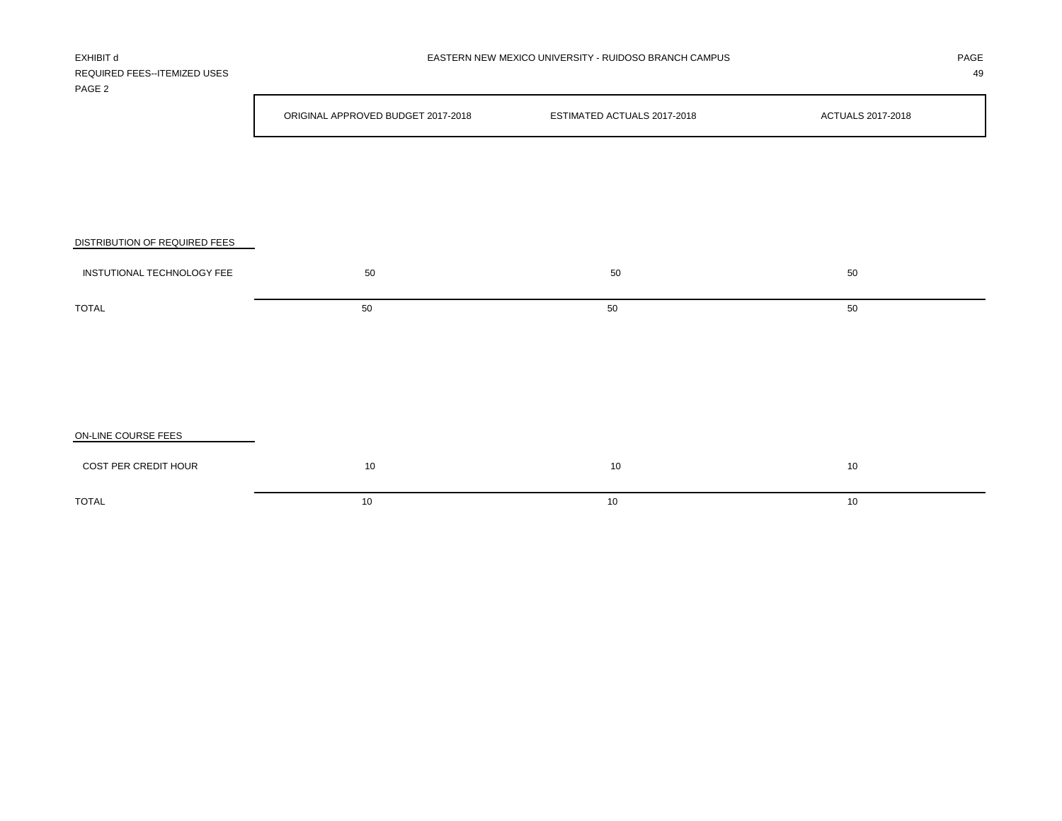| REQUIRED FEES--ITEMIZED USES<br>PAGE 2 |                                    |                             | 49                |
|----------------------------------------|------------------------------------|-----------------------------|-------------------|
|                                        | ORIGINAL APPROVED BUDGET 2017-2018 | ESTIMATED ACTUALS 2017-2018 | ACTUALS 2017-2018 |
|                                        |                                    |                             |                   |
|                                        |                                    |                             |                   |
| DISTRIBUTION OF REQUIRED FEES          |                                    |                             |                   |
| INSTUTIONAL TECHNOLOGY FEE             | 50                                 | 50                          | 50                |
| <b>TOTAL</b>                           | 50                                 | 50                          | 50                |
|                                        |                                    |                             |                   |
|                                        |                                    |                             |                   |
|                                        |                                    |                             |                   |
| ON-LINE COURSE FEES                    |                                    |                             |                   |
| COST PER CREDIT HOUR                   | 10                                 | 10                          | 10                |

 $\blacksquare$  TOTAL to the contract of the contract of the contract of the contract of the contract of the contract of the contract of the contract of the contract of the contract of the contract of the contract of the contract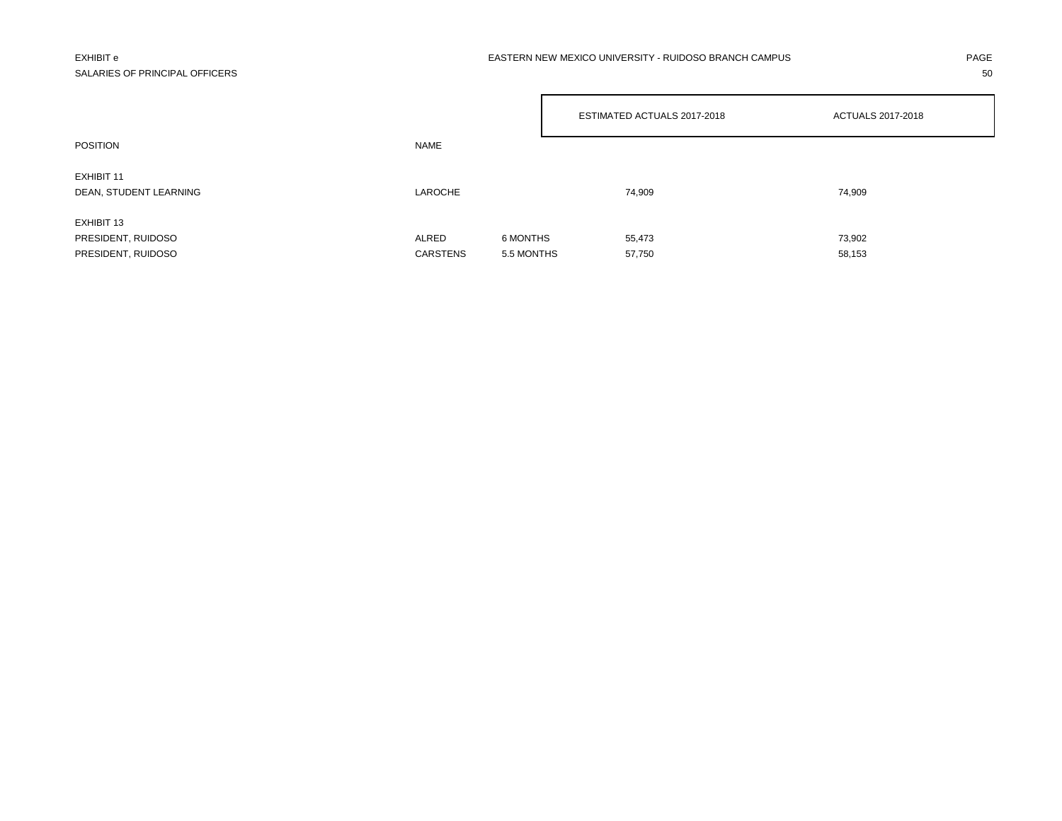## SALARIES OF PRINCIPAL OFFICERS 50

### EXHIBIT e PAGE EASTERN NEW MEXICO UNIVERSITY - RUIDOSO BRANCH CAMPUS AND THE PAGE AND PAGE

|                                      |                 |            | ESTIMATED ACTUALS 2017-2018 | <b>ACTUALS 2017-2018</b> |  |
|--------------------------------------|-----------------|------------|-----------------------------|--------------------------|--|
| <b>POSITION</b>                      | <b>NAME</b>     |            |                             |                          |  |
| EXHIBIT 11<br>DEAN, STUDENT LEARNING | LAROCHE         |            | 74,909                      | 74,909                   |  |
| EXHIBIT 13                           |                 |            |                             |                          |  |
| PRESIDENT, RUIDOSO                   | ALRED           | 6 MONTHS   | 55,473                      | 73,902                   |  |
| PRESIDENT, RUIDOSO                   | <b>CARSTENS</b> | 5.5 MONTHS | 57,750                      | 58,153                   |  |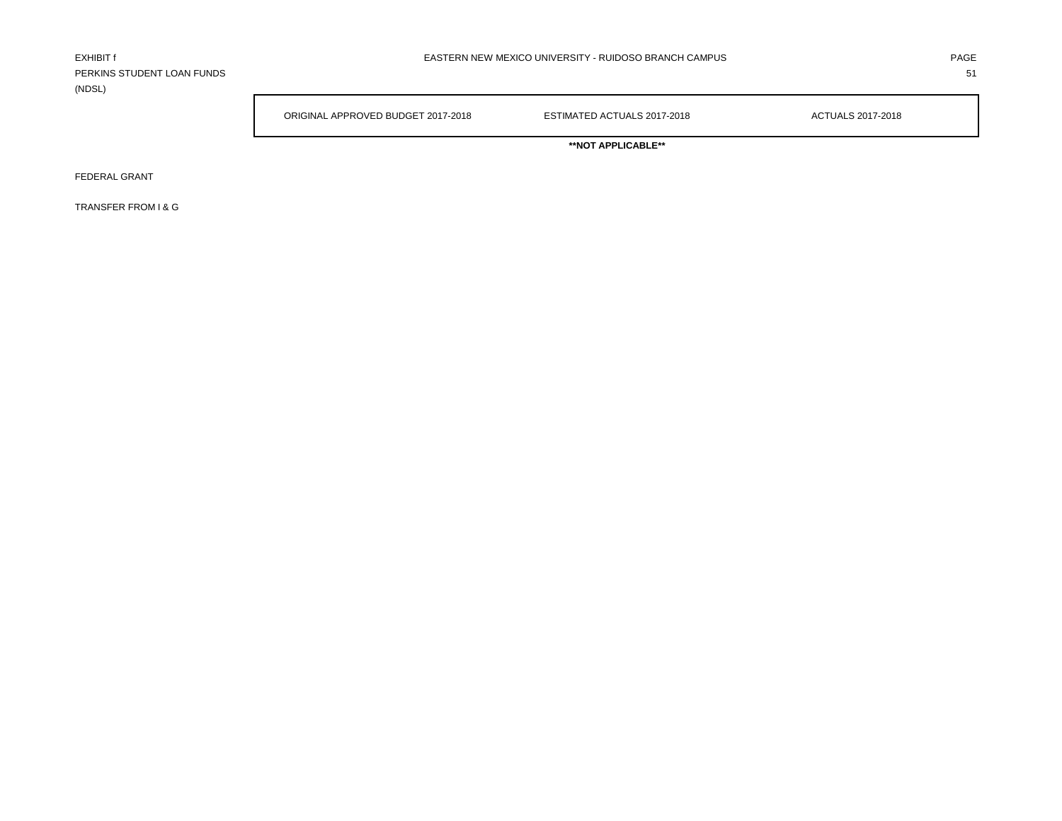PERKINS STUDENT LOAN FUNDS 51 (NDSL)

ORIGINAL APPROVED BUDGET 2017-2018 ESTIMATED ACTUALS 2017-2018 ACTUALS 2017-2018

**\*\*NOT APPLICABLE\*\***

FEDERAL GRANT

TRANSFER FROM I & G